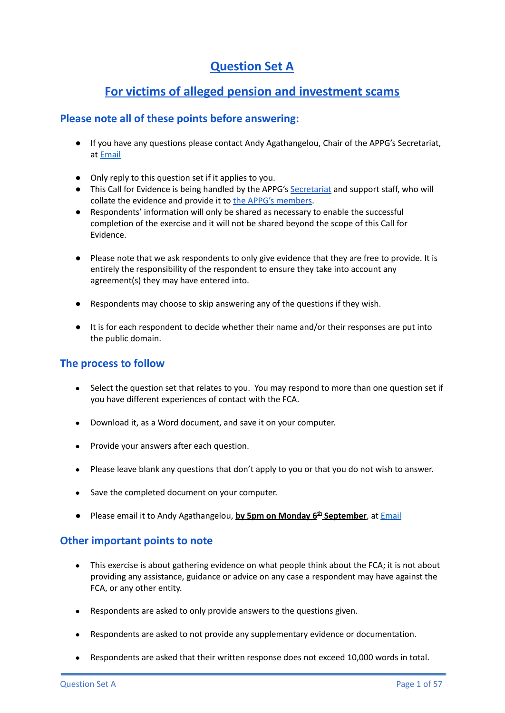# **Question Set A**

# **For victims of alleged pension and investment scams**

# **Please note all of these points before answering:**

- If you have any questions please contact Andy Agathangelou, Chair of the APPG's Secretariat, at [Email](mailto:andy.agathangelou@transparencytaskforce.org?subject=%20My%20submission%20to%20the%20Call%20for%20Evidence%20about%20the%20FCA)
- Only reply to this question set if it applies to you.
- This Call for Evidence is being handled by the APPG's [Secretariat](https://appgonpersonalbankingandfairerfinancialservices.org/about-us/secretariat) and support staff, who will collate the evidence and provide it to the APPG's [members](https://appgonpersonalbankingandfairerfinancialservices.org/about-us/members).
- Respondents' information will only be shared as necessary to enable the successful completion of the exercise and it will not be shared beyond the scope of this Call for Evidence.
- Please note that we ask respondents to only give evidence that they are free to provide. It is entirely the responsibility of the respondent to ensure they take into account any agreement(s) they may have entered into.
- Respondents may choose to skip answering any of the questions if they wish.
- It is for each respondent to decide whether their name and/or their responses are put into the public domain.

## **The process to follow**

- Select the question set that relates to you. You may respond to more than one question set if you have different experiences of contact with the FCA.
- Download it, as a Word document, and save it on your computer.
- Provide your answers after each question.
- Please leave blank any questions that don't apply to you or that you do not wish to answer.
- Save the completed document on your computer.
- Please email it to Andy Agathangelou, **by 5pm on Monday 6 th September**, at [Email](mailto:andy.agathangelou@transparencytaskforce.org?subject=%20My%20submission%20to%20the%20Call%20for%20Evidence%20about%20the%20FCA)

## **Other important points to note**

- This exercise is about gathering evidence on what people think about the FCA; it is not about providing any assistance, guidance or advice on any case a respondent may have against the FCA, or any other entity.
- Respondents are asked to only provide answers to the questions given.
- Respondents are asked to not provide any supplementary evidence or documentation.
- Respondents are asked that their written response does not exceed 10,000 words in total.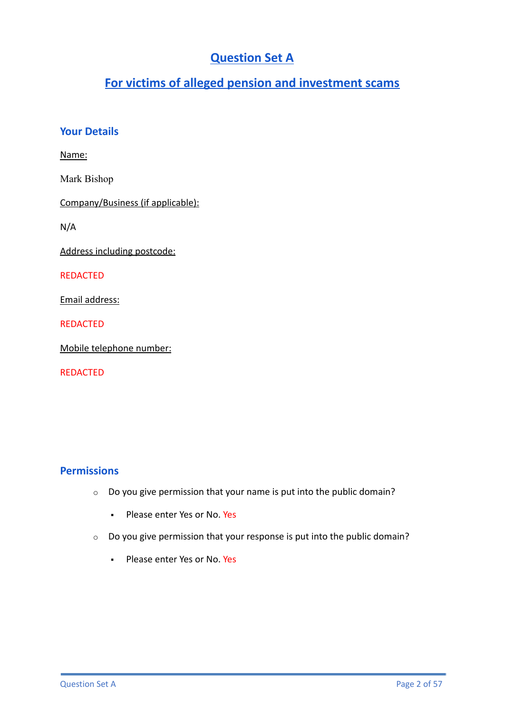# **Question Set A**

# **For victims of alleged pension and investment scams**

# **Your Details**

Name:

Mark Bishop

Company/Business (if applicable):

N/A

Address including postcode:

REDACTED

Email address:

REDACTED

Mobile telephone number:

REDACTED

# **Permissions**

- o Do you give permission that your name is put into the public domain?
	- Please enter Yes or No. Yes
- o Do you give permission that your response is put into the public domain?
	- **Please enter Yes or No. Yes**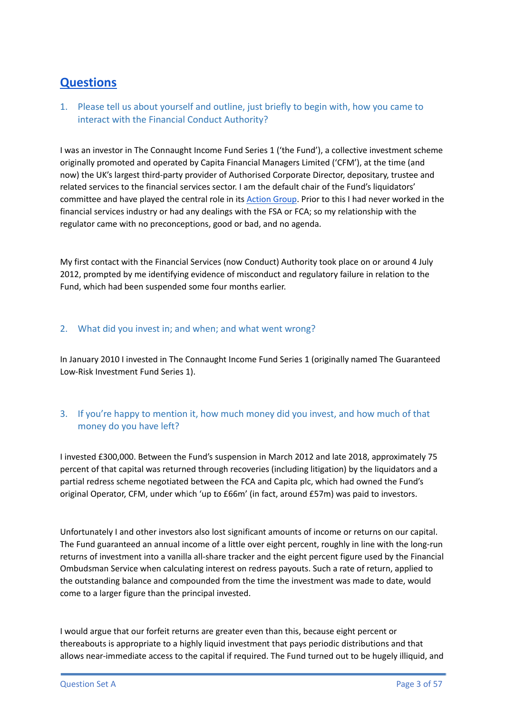# **Questions**

1. Please tell us about yourself and outline, just briefly to begin with, how you came to interact with the Financial Conduct Authority?

I was an investor in The Connaught Income Fund Series 1 ('the Fund'), a collective investment scheme originally promoted and operated by Capita Financial Managers Limited ('CFM'), at the time (and now) the UK's largest third-party provider of Authorised Corporate Director, depositary, trustee and related services to the financial services sector. I am the default chair of the Fund's liquidators' committee and have played the central role in its [Action](https://connaughtactiongroup.com/) Group. Prior to this I had never worked in the financial services industry or had any dealings with the FSA or FCA; so my relationship with the regulator came with no preconceptions, good or bad, and no agenda.

My first contact with the Financial Services (now Conduct) Authority took place on or around 4 July 2012, prompted by me identifying evidence of misconduct and regulatory failure in relation to the Fund, which had been suspended some four months earlier.

## 2. What did you invest in; and when; and what went wrong?

In January 2010 I invested in The Connaught Income Fund Series 1 (originally named The Guaranteed Low-Risk Investment Fund Series 1).

## 3. If you're happy to mention it, how much money did you invest, and how much of that money do you have left?

I invested £300,000. Between the Fund's suspension in March 2012 and late 2018, approximately 75 percent of that capital was returned through recoveries (including litigation) by the liquidators and a partial redress scheme negotiated between the FCA and Capita plc, which had owned the Fund's original Operator, CFM, under which 'up to £66m' (in fact, around £57m) was paid to investors.

Unfortunately I and other investors also lost significant amounts of income or returns on our capital. The Fund guaranteed an annual income of a little over eight percent, roughly in line with the long-run returns of investment into a vanilla all-share tracker and the eight percent figure used by the Financial Ombudsman Service when calculating interest on redress payouts. Such a rate of return, applied to the outstanding balance and compounded from the time the investment was made to date, would come to a larger figure than the principal invested.

I would argue that our forfeit returns are greater even than this, because eight percent or thereabouts is appropriate to a highly liquid investment that pays periodic distributions and that allows near-immediate access to the capital if required. The Fund turned out to be hugely illiquid, and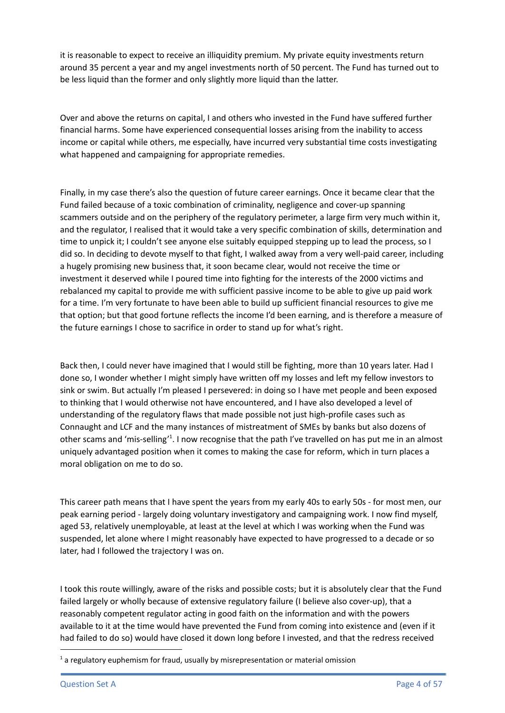it is reasonable to expect to receive an illiquidity premium. My private equity investments return around 35 percent a year and my angel investments north of 50 percent. The Fund has turned out to be less liquid than the former and only slightly more liquid than the latter.

Over and above the returns on capital, I and others who invested in the Fund have suffered further financial harms. Some have experienced consequential losses arising from the inability to access income or capital while others, me especially, have incurred very substantial time costs investigating what happened and campaigning for appropriate remedies.

Finally, in my case there's also the question of future career earnings. Once it became clear that the Fund failed because of a toxic combination of criminality, negligence and cover-up spanning scammers outside and on the periphery of the regulatory perimeter, a large firm very much within it, and the regulator, I realised that it would take a very specific combination of skills, determination and time to unpick it; I couldn't see anyone else suitably equipped stepping up to lead the process, so I did so. In deciding to devote myself to that fight, I walked away from a very well-paid career, including a hugely promising new business that, it soon became clear, would not receive the time or investment it deserved while I poured time into fighting for the interests of the 2000 victims and rebalanced my capital to provide me with sufficient passive income to be able to give up paid work for a time. I'm very fortunate to have been able to build up sufficient financial resources to give me that option; but that good fortune reflects the income I'd been earning, and is therefore a measure of the future earnings I chose to sacrifice in order to stand up for what's right.

Back then, I could never have imagined that I would still be fighting, more than 10 years later. Had I done so, I wonder whether I might simply have written off my losses and left my fellow investors to sink or swim. But actually I'm pleased I persevered: in doing so I have met people and been exposed to thinking that I would otherwise not have encountered, and I have also developed a level of understanding of the regulatory flaws that made possible not just high-profile cases such as Connaught and LCF and the many instances of mistreatment of SMEs by banks but also dozens of other scams and 'mis-selling'<sup>1</sup>. I now recognise that the path I've travelled on has put me in an almost uniquely advantaged position when it comes to making the case for reform, which in turn places a moral obligation on me to do so.

This career path means that I have spent the years from my early 40s to early 50s - for most men, our peak earning period - largely doing voluntary investigatory and campaigning work. I now find myself, aged 53, relatively unemployable, at least at the level at which I was working when the Fund was suspended, let alone where I might reasonably have expected to have progressed to a decade or so later, had I followed the trajectory I was on.

I took this route willingly, aware of the risks and possible costs; but it is absolutely clear that the Fund failed largely or wholly because of extensive regulatory failure (I believe also cover-up), that a reasonably competent regulator acting in good faith on the information and with the powers available to it at the time would have prevented the Fund from coming into existence and (even if it had failed to do so) would have closed it down long before I invested, and that the redress received

 $1$  a regulatory euphemism for fraud, usually by misrepresentation or material omission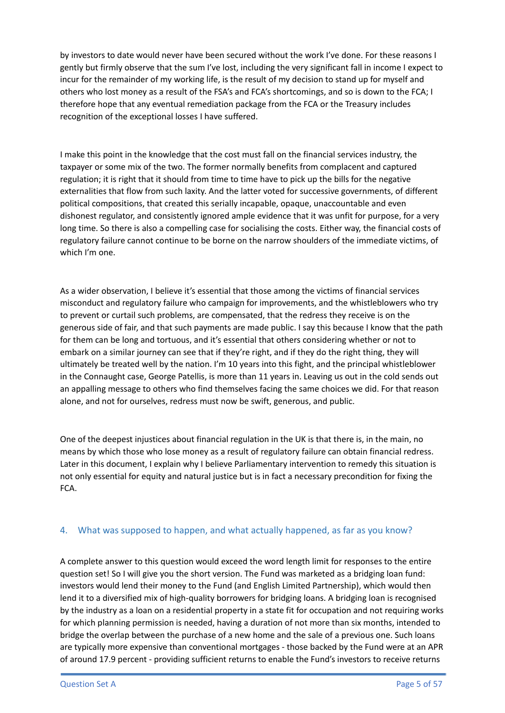by investors to date would never have been secured without the work I've done. For these reasons I gently but firmly observe that the sum I've lost, including the very significant fall in income I expect to incur for the remainder of my working life, is the result of my decision to stand up for myself and others who lost money as a result of the FSA's and FCA's shortcomings, and so is down to the FCA; I therefore hope that any eventual remediation package from the FCA or the Treasury includes recognition of the exceptional losses I have suffered.

I make this point in the knowledge that the cost must fall on the financial services industry, the taxpayer or some mix of the two. The former normally benefits from complacent and captured regulation; it is right that it should from time to time have to pick up the bills for the negative externalities that flow from such laxity. And the latter voted for successive governments, of different political compositions, that created this serially incapable, opaque, unaccountable and even dishonest regulator, and consistently ignored ample evidence that it was unfit for purpose, for a very long time. So there is also a compelling case for socialising the costs. Either way, the financial costs of regulatory failure cannot continue to be borne on the narrow shoulders of the immediate victims, of which I'm one.

As a wider observation, I believe it's essential that those among the victims of financial services misconduct and regulatory failure who campaign for improvements, and the whistleblowers who try to prevent or curtail such problems, are compensated, that the redress they receive is on the generous side of fair, and that such payments are made public. I say this because I know that the path for them can be long and tortuous, and it's essential that others considering whether or not to embark on a similar journey can see that if they're right, and if they do the right thing, they will ultimately be treated well by the nation. I'm 10 years into this fight, and the principal whistleblower in the Connaught case, George Patellis, is more than 11 years in. Leaving us out in the cold sends out an appalling message to others who find themselves facing the same choices we did. For that reason alone, and not for ourselves, redress must now be swift, generous, and public.

One of the deepest injustices about financial regulation in the UK is that there is, in the main, no means by which those who lose money as a result of regulatory failure can obtain financial redress. Later in this document, I explain why I believe Parliamentary intervention to remedy this situation is not only essential for equity and natural justice but is in fact a necessary precondition for fixing the FCA.

### 4. What was supposed to happen, and what actually happened, as far as you know?

A complete answer to this question would exceed the word length limit for responses to the entire question set! So I will give you the short version. The Fund was marketed as a bridging loan fund: investors would lend their money to the Fund (and English Limited Partnership), which would then lend it to a diversified mix of high-quality borrowers for bridging loans. A bridging loan is recognised by the industry as a loan on a residential property in a state fit for occupation and not requiring works for which planning permission is needed, having a duration of not more than six months, intended to bridge the overlap between the purchase of a new home and the sale of a previous one. Such loans are typically more expensive than conventional mortgages - those backed by the Fund were at an APR of around 17.9 percent - providing sufficient returns to enable the Fund's investors to receive returns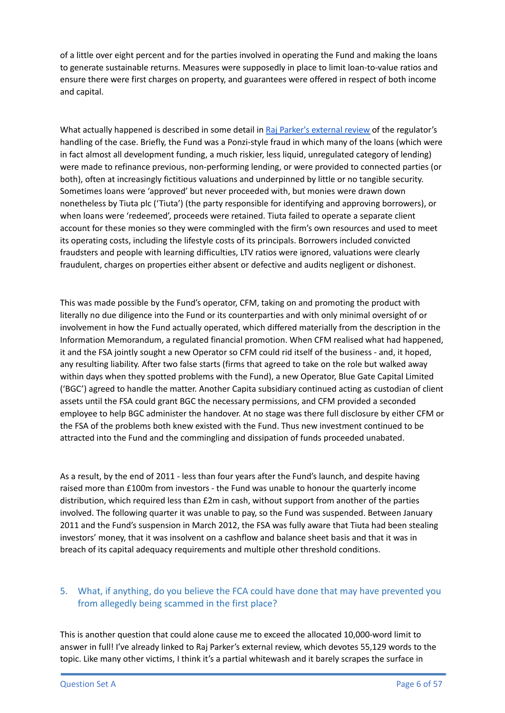of a little over eight percent and for the parties involved in operating the Fund and making the loans to generate sustainable returns. Measures were supposedly in place to limit loan-to-value ratios and ensure there were first charges on property, and guarantees were offered in respect of both income and capital.

What actually happened is described in some detail in Raj Parker's [external](https://www.fca.org.uk/publication/corporate/connaught-independent-review.pdf) review of the regulator's handling of the case. Briefly, the Fund was a Ponzi-style fraud in which many of the loans (which were in fact almost all development funding, a much riskier, less liquid, unregulated category of lending) were made to refinance previous, non-performing lending, or were provided to connected parties (or both), often at increasingly fictitious valuations and underpinned by little or no tangible security. Sometimes loans were 'approved' but never proceeded with, but monies were drawn down nonetheless by Tiuta plc ('Tiuta') (the party responsible for identifying and approving borrowers), or when loans were 'redeemed', proceeds were retained. Tiuta failed to operate a separate client account for these monies so they were commingled with the firm's own resources and used to meet its operating costs, including the lifestyle costs of its principals. Borrowers included convicted fraudsters and people with learning difficulties, LTV ratios were ignored, valuations were clearly fraudulent, charges on properties either absent or defective and audits negligent or dishonest.

This was made possible by the Fund's operator, CFM, taking on and promoting the product with literally no due diligence into the Fund or its counterparties and with only minimal oversight of or involvement in how the Fund actually operated, which differed materially from the description in the Information Memorandum, a regulated financial promotion. When CFM realised what had happened, it and the FSA jointly sought a new Operator so CFM could rid itself of the business - and, it hoped, any resulting liability. After two false starts (firms that agreed to take on the role but walked away within days when they spotted problems with the Fund), a new Operator, Blue Gate Capital Limited ('BGC') agreed to handle the matter. Another Capita subsidiary continued acting as custodian of client assets until the FSA could grant BGC the necessary permissions, and CFM provided a seconded employee to help BGC administer the handover. At no stage was there full disclosure by either CFM or the FSA of the problems both knew existed with the Fund. Thus new investment continued to be attracted into the Fund and the commingling and dissipation of funds proceeded unabated.

As a result, by the end of 2011 - less than four years after the Fund's launch, and despite having raised more than £100m from investors - the Fund was unable to honour the quarterly income distribution, which required less than £2m in cash, without support from another of the parties involved. The following quarter it was unable to pay, so the Fund was suspended. Between January 2011 and the Fund's suspension in March 2012, the FSA was fully aware that Tiuta had been stealing investors' money, that it was insolvent on a cashflow and balance sheet basis and that it was in breach of its capital adequacy requirements and multiple other threshold conditions.

## 5. What, if anything, do you believe the FCA could have done that may have prevented you from allegedly being scammed in the first place?

This is another question that could alone cause me to exceed the allocated 10,000-word limit to answer in full! I've already linked to Raj Parker's external review, which devotes 55,129 words to the topic. Like many other victims, I think it's a partial whitewash and it barely scrapes the surface in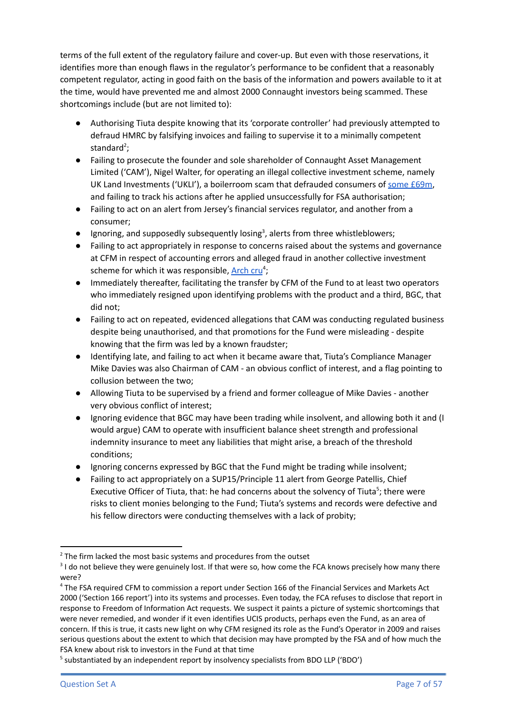terms of the full extent of the regulatory failure and cover-up. But even with those reservations, it identifies more than enough flaws in the regulator's performance to be confident that a reasonably competent regulator, acting in good faith on the basis of the information and powers available to it at the time, would have prevented me and almost 2000 Connaught investors being scammed. These shortcomings include (but are not limited to):

- Authorising Tiuta despite knowing that its 'corporate controller' had previously attempted to defraud HMRC by falsifying invoices and failing to supervise it to a minimally competent standard<sup>2</sup>;
- Failing to prosecute the founder and sole shareholder of Connaught Asset Management Limited ('CAM'), Nigel Walter, for operating an illegal collective investment scheme, namely UK Land Investments ('UKLI'), a boilerroom scam that defrauded consumers of some  $£69m$ , and failing to track his actions after he applied unsuccessfully for FSA authorisation;
- Failing to act on an alert from Jersey's financial services regulator, and another from a consumer;
- $\bullet$  Ignoring, and supposedly subsequently losing<sup>3</sup>, alerts from three whistleblowers;
- Failing to act appropriately in response to concerns raised about the systems and governance at CFM in respect of accounting errors and alleged fraud in another collective investment scheme for which it was responsible, [Arch](https://www.fca.org.uk/publication/final-notices/capita-financial-managers.pdf) cru<sup>4</sup>;
- Immediately thereafter, facilitating the transfer by CFM of the Fund to at least two operators who immediately resigned upon identifying problems with the product and a third, BGC, that did not;
- Failing to act on repeated, evidenced allegations that CAM was conducting regulated business despite being unauthorised, and that promotions for the Fund were misleading - despite knowing that the firm was led by a known fraudster;
- Identifying late, and failing to act when it became aware that, Tiuta's Compliance Manager Mike Davies was also Chairman of CAM - an obvious conflict of interest, and a flag pointing to collusion between the two;
- Allowing Tiuta to be supervised by a friend and former colleague of Mike Davies another very obvious conflict of interest;
- Ignoring evidence that BGC may have been trading while insolvent, and allowing both it and (I would argue) CAM to operate with insufficient balance sheet strength and professional indemnity insurance to meet any liabilities that might arise, a breach of the threshold conditions;
- Ignoring concerns expressed by BGC that the Fund might be trading while insolvent;
- Failing to act appropriately on a SUP15/Principle 11 alert from George Patellis, Chief Executive Officer of Tiuta, that: he had concerns about the solvency of Tiuta<sup>5</sup>; there were risks to client monies belonging to the Fund; Tiuta's systems and records were defective and his fellow directors were conducting themselves with a lack of probity;

 $2$  The firm lacked the most basic systems and procedures from the outset

 $31$  do not believe they were genuinely lost. If that were so, how come the FCA knows precisely how many there were?

<sup>4</sup> The FSA required CFM to commission a report under Section 166 of the Financial Services and Markets Act 2000 ('Section 166 report') into its systems and processes. Even today, the FCA refuses to disclose that report in response to Freedom of Information Act requests. We suspect it paints a picture of systemic shortcomings that were never remedied, and wonder if it even identifies UCIS products, perhaps even the Fund, as an area of concern. If this is true, it casts new light on why CFM resigned its role as the Fund's Operator in 2009 and raises serious questions about the extent to which that decision may have prompted by the FSA and of how much the FSA knew about risk to investors in the Fund at that time

<sup>&</sup>lt;sup>5</sup> substantiated by an independent report by insolvency specialists from BDO LLP ('BDO')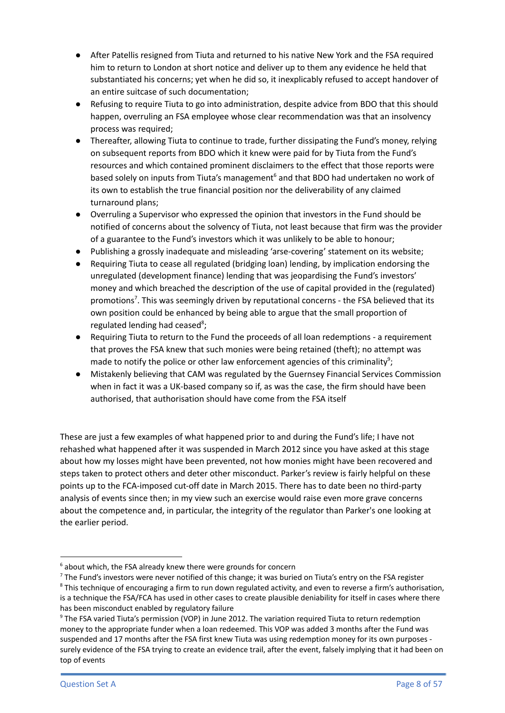- After Patellis resigned from Tiuta and returned to his native New York and the FSA required him to return to London at short notice and deliver up to them any evidence he held that substantiated his concerns; yet when he did so, it inexplicably refused to accept handover of an entire suitcase of such documentation;
- Refusing to require Tiuta to go into administration, despite advice from BDO that this should happen, overruling an FSA employee whose clear recommendation was that an insolvency process was required;
- Thereafter, allowing Tiuta to continue to trade, further dissipating the Fund's money, relying on subsequent reports from BDO which it knew were paid for by Tiuta from the Fund's resources and which contained prominent disclaimers to the effect that those reports were based solely on inputs from Tiuta's management<sup>6</sup> and that BDO had undertaken no work of its own to establish the true financial position nor the deliverability of any claimed turnaround plans;
- Overruling a Supervisor who expressed the opinion that investors in the Fund should be notified of concerns about the solvency of Tiuta, not least because that firm was the provider of a guarantee to the Fund's investors which it was unlikely to be able to honour;
- Publishing a grossly inadequate and misleading 'arse-covering' statement on its website;
- Requiring Tiuta to cease all regulated (bridging loan) lending, by implication endorsing the unregulated (development finance) lending that was jeopardising the Fund's investors' money and which breached the description of the use of capital provided in the (regulated) promotions<sup>7</sup>. This was seemingly driven by reputational concerns - the FSA believed that its own position could be enhanced by being able to argue that the small proportion of regulated lending had ceased<sup>8</sup>;
- Requiring Tiuta to return to the Fund the proceeds of all loan redemptions a requirement that proves the FSA knew that such monies were being retained (theft); no attempt was made to notify the police or other law enforcement agencies of this criminality<sup>9</sup>;
- Mistakenly believing that CAM was regulated by the Guernsey Financial Services Commission when in fact it was a UK-based company so if, as was the case, the firm should have been authorised, that authorisation should have come from the FSA itself

These are just a few examples of what happened prior to and during the Fund's life; I have not rehashed what happened after it was suspended in March 2012 since you have asked at this stage about how my losses might have been prevented, not how monies might have been recovered and steps taken to protect others and deter other misconduct. Parker's review is fairly helpful on these points up to the FCA-imposed cut-off date in March 2015. There has to date been no third-party analysis of events since then; in my view such an exercise would raise even more grave concerns about the competence and, in particular, the integrity of the regulator than Parker's one looking at the earlier period.

 $6$  about which, the FSA already knew there were grounds for concern

<sup>&</sup>lt;sup>7</sup> The Fund's investors were never notified of this change; it was buried on Tiuta's entry on the FSA register

<sup>&</sup>lt;sup>8</sup> This technique of encouraging a firm to run down regulated activity, and even to reverse a firm's authorisation, is a technique the FSA/FCA has used in other cases to create plausible deniability for itself in cases where there has been misconduct enabled by regulatory failure

<sup>9</sup> The FSA varied Tiuta's permission (VOP) in June 2012. The variation required Tiuta to return redemption money to the appropriate funder when a loan redeemed. This VOP was added 3 months after the Fund was suspended and 17 months after the FSA first knew Tiuta was using redemption money for its own purposes surely evidence of the FSA trying to create an evidence trail, after the event, falsely implying that it had been on top of events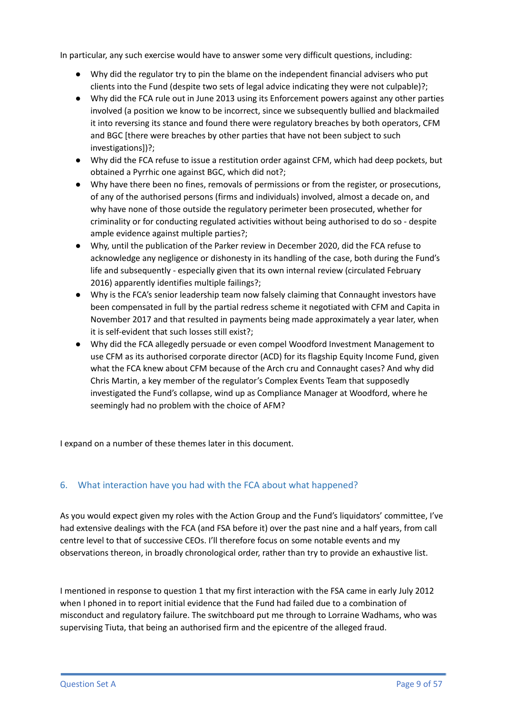In particular, any such exercise would have to answer some very difficult questions, including:

- Why did the regulator try to pin the blame on the independent financial advisers who put clients into the Fund (despite two sets of legal advice indicating they were not culpable)?;
- Why did the FCA rule out in June 2013 using its Enforcement powers against any other parties involved (a position we know to be incorrect, since we subsequently bullied and blackmailed it into reversing its stance and found there were regulatory breaches by both operators, CFM and BGC [there were breaches by other parties that have not been subject to such investigations])?;
- Why did the FCA refuse to issue a restitution order against CFM, which had deep pockets, but obtained a Pyrrhic one against BGC, which did not?;
- Why have there been no fines, removals of permissions or from the register, or prosecutions, of any of the authorised persons (firms and individuals) involved, almost a decade on, and why have none of those outside the regulatory perimeter been prosecuted, whether for criminality or for conducting regulated activities without being authorised to do so - despite ample evidence against multiple parties?;
- Why, until the publication of the Parker review in December 2020, did the FCA refuse to acknowledge any negligence or dishonesty in its handling of the case, both during the Fund's life and subsequently - especially given that its own internal review (circulated February 2016) apparently identifies multiple failings?;
- Why is the FCA's senior leadership team now falsely claiming that Connaught investors have been compensated in full by the partial redress scheme it negotiated with CFM and Capita in November 2017 and that resulted in payments being made approximately a year later, when it is self-evident that such losses still exist?;
- Why did the FCA allegedly persuade or even compel Woodford Investment Management to use CFM as its authorised corporate director (ACD) for its flagship Equity Income Fund, given what the FCA knew about CFM because of the Arch cru and Connaught cases? And why did Chris Martin, a key member of the regulator's Complex Events Team that supposedly investigated the Fund's collapse, wind up as Compliance Manager at Woodford, where he seemingly had no problem with the choice of AFM?

I expand on a number of these themes later in this document.

## 6. What interaction have you had with the FCA about what happened?

As you would expect given my roles with the Action Group and the Fund's liquidators' committee, I've had extensive dealings with the FCA (and FSA before it) over the past nine and a half years, from call centre level to that of successive CEOs. I'll therefore focus on some notable events and my observations thereon, in broadly chronological order, rather than try to provide an exhaustive list.

I mentioned in response to question 1 that my first interaction with the FSA came in early July 2012 when I phoned in to report initial evidence that the Fund had failed due to a combination of misconduct and regulatory failure. The switchboard put me through to Lorraine Wadhams, who was supervising Tiuta, that being an authorised firm and the epicentre of the alleged fraud.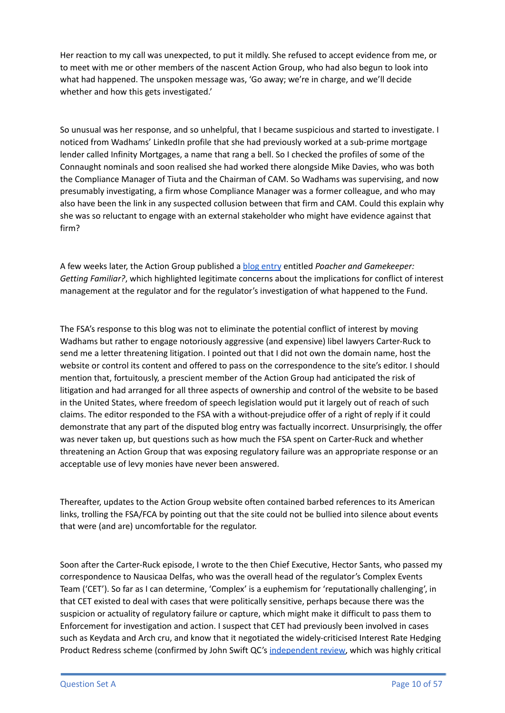Her reaction to my call was unexpected, to put it mildly. She refused to accept evidence from me, or to meet with me or other members of the nascent Action Group, who had also begun to look into what had happened. The unspoken message was, 'Go away; we're in charge, and we'll decide whether and how this gets investigated.'

So unusual was her response, and so unhelpful, that I became suspicious and started to investigate. I noticed from Wadhams' LinkedIn profile that she had previously worked at a sub-prime mortgage lender called Infinity Mortgages, a name that rang a bell. So I checked the profiles of some of the Connaught nominals and soon realised she had worked there alongside Mike Davies, who was both the Compliance Manager of Tiuta and the Chairman of CAM. So Wadhams was supervising, and now presumably investigating, a firm whose Compliance Manager was a former colleague, and who may also have been the link in any suspected collusion between that firm and CAM. Could this explain why she was so reluctant to engage with an external stakeholder who might have evidence against that firm?

A few weeks later, the Action Group published a blog [entry](https://connaughtactiongroup.com/2012/08/13/poacher-and-gamekeeper-getting-familiar/) entitled *Poacher and Gamekeeper: Getting Familiar?*, which highlighted legitimate concerns about the implications for conflict of interest management at the regulator and for the regulator's investigation of what happened to the Fund.

The FSA's response to this blog was not to eliminate the potential conflict of interest by moving Wadhams but rather to engage notoriously aggressive (and expensive) libel lawyers Carter-Ruck to send me a letter threatening litigation. I pointed out that I did not own the domain name, host the website or control its content and offered to pass on the correspondence to the site's editor. I should mention that, fortuitously, a prescient member of the Action Group had anticipated the risk of litigation and had arranged for all three aspects of ownership and control of the website to be based in the United States, where freedom of speech legislation would put it largely out of reach of such claims. The editor responded to the FSA with a without-prejudice offer of a right of reply if it could demonstrate that any part of the disputed blog entry was factually incorrect. Unsurprisingly, the offer was never taken up, but questions such as how much the FSA spent on Carter-Ruck and whether threatening an Action Group that was exposing regulatory failure was an appropriate response or an acceptable use of levy monies have never been answered.

Thereafter, updates to the Action Group website often contained barbed references to its American links, trolling the FSA/FCA by pointing out that the site could not be bullied into silence about events that were (and are) uncomfortable for the regulator.

Soon after the Carter-Ruck episode, I wrote to the then Chief Executive, Hector Sants, who passed my correspondence to Nausicaa Delfas, who was the overall head of the regulator's Complex Events Team ('CET'). So far as I can determine, 'Complex' is a euphemism for 'reputationally challenging', in that CET existed to deal with cases that were politically sensitive, perhaps because there was the suspicion or actuality of regulatory failure or capture, which might make it difficult to pass them to Enforcement for investigation and action. I suspect that CET had previously been involved in cases such as Keydata and Arch cru, and know that it negotiated the widely-criticised Interest Rate Hedging Product Redress scheme (confirmed by John Swift QC's [independent](https://www.fca.org.uk/publication/corporate/independent-review-of-interest-rate-hedging-products-final-report.pdf) review, which was highly critical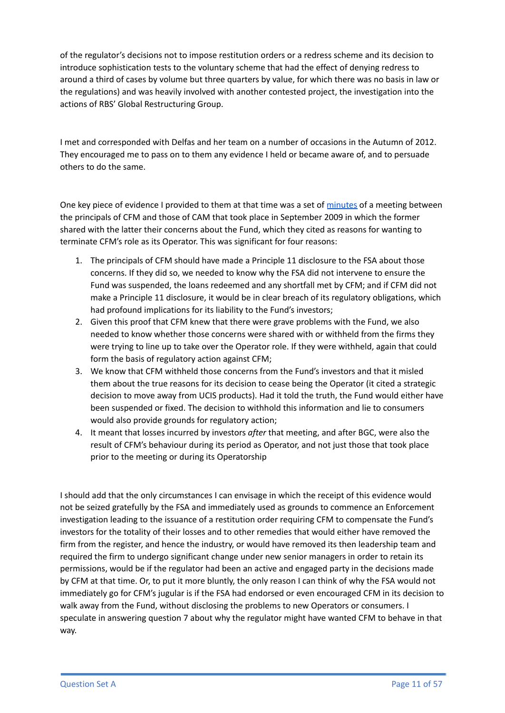of the regulator's decisions not to impose restitution orders or a redress scheme and its decision to introduce sophistication tests to the voluntary scheme that had the effect of denying redress to around a third of cases by volume but three quarters by value, for which there was no basis in law or the regulations) and was heavily involved with another contested project, the investigation into the actions of RBS' Global Restructuring Group.

I met and corresponded with Delfas and her team on a number of occasions in the Autumn of 2012. They encouraged me to pass on to them any evidence I held or became aware of, and to persuade others to do the same.

One key piece of evidence I provided to them at that time was a set of [minutes](https://drive.google.com/file/d/1C4MGoiKr6x2pw60Cl-bWVMbXL54O0hrh/view?usp=sharing) of a meeting between the principals of CFM and those of CAM that took place in September 2009 in which the former shared with the latter their concerns about the Fund, which they cited as reasons for wanting to terminate CFM's role as its Operator. This was significant for four reasons:

- 1. The principals of CFM should have made a Principle 11 disclosure to the FSA about those concerns. If they did so, we needed to know why the FSA did not intervene to ensure the Fund was suspended, the loans redeemed and any shortfall met by CFM; and if CFM did not make a Principle 11 disclosure, it would be in clear breach of its regulatory obligations, which had profound implications for its liability to the Fund's investors;
- 2. Given this proof that CFM knew that there were grave problems with the Fund, we also needed to know whether those concerns were shared with or withheld from the firms they were trying to line up to take over the Operator role. If they were withheld, again that could form the basis of regulatory action against CFM;
- 3. We know that CFM withheld those concerns from the Fund's investors and that it misled them about the true reasons for its decision to cease being the Operator (it cited a strategic decision to move away from UCIS products). Had it told the truth, the Fund would either have been suspended or fixed. The decision to withhold this information and lie to consumers would also provide grounds for regulatory action;
- 4. It meant that losses incurred by investors *after* that meeting, and after BGC, were also the result of CFM's behaviour during its period as Operator, and not just those that took place prior to the meeting or during its Operatorship

I should add that the only circumstances I can envisage in which the receipt of this evidence would not be seized gratefully by the FSA and immediately used as grounds to commence an Enforcement investigation leading to the issuance of a restitution order requiring CFM to compensate the Fund's investors for the totality of their losses and to other remedies that would either have removed the firm from the register, and hence the industry, or would have removed its then leadership team and required the firm to undergo significant change under new senior managers in order to retain its permissions, would be if the regulator had been an active and engaged party in the decisions made by CFM at that time. Or, to put it more bluntly, the only reason I can think of why the FSA would not immediately go for CFM's jugular is if the FSA had endorsed or even encouraged CFM in its decision to walk away from the Fund, without disclosing the problems to new Operators or consumers. I speculate in answering question 7 about why the regulator might have wanted CFM to behave in that way.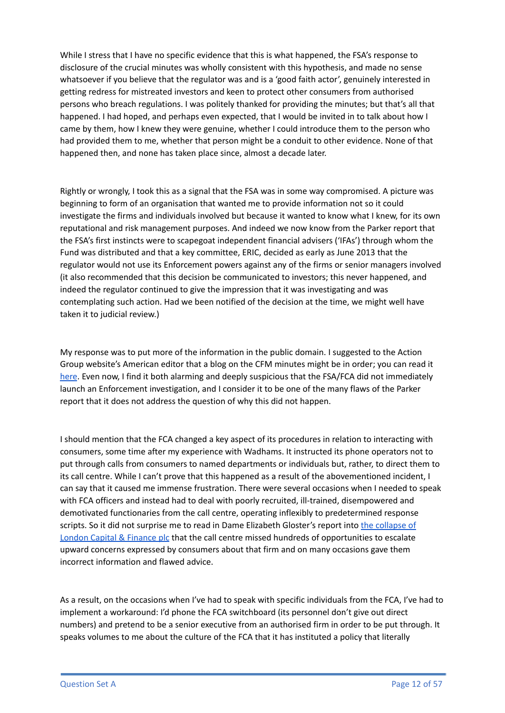While I stress that I have no specific evidence that this is what happened, the FSA's response to disclosure of the crucial minutes was wholly consistent with this hypothesis, and made no sense whatsoever if you believe that the regulator was and is a 'good faith actor', genuinely interested in getting redress for mistreated investors and keen to protect other consumers from authorised persons who breach regulations. I was politely thanked for providing the minutes; but that's all that happened. I had hoped, and perhaps even expected, that I would be invited in to talk about how I came by them, how I knew they were genuine, whether I could introduce them to the person who had provided them to me, whether that person might be a conduit to other evidence. None of that happened then, and none has taken place since, almost a decade later.

Rightly or wrongly, I took this as a signal that the FSA was in some way compromised. A picture was beginning to form of an organisation that wanted me to provide information not so it could investigate the firms and individuals involved but because it wanted to know what I knew, for its own reputational and risk management purposes. And indeed we now know from the Parker report that the FSA's first instincts were to scapegoat independent financial advisers ('IFAs') through whom the Fund was distributed and that a key committee, ERIC, decided as early as June 2013 that the regulator would not use its Enforcement powers against any of the firms or senior managers involved (it also recommended that this decision be communicated to investors; this never happened, and indeed the regulator continued to give the impression that it was investigating and was contemplating such action. Had we been notified of the decision at the time, we might well have taken it to judicial review.)

My response was to put more of the information in the public domain. I suggested to the Action Group website's American editor that a blog on the CFM minutes might be in order; you can read it [here](https://connaughtactiongroup.com/2012/11/16/will-crapita-take-the-rap/). Even now, I find it both alarming and deeply suspicious that the FSA/FCA did not immediately launch an Enforcement investigation, and I consider it to be one of the many flaws of the Parker report that it does not address the question of why this did not happen.

I should mention that the FCA changed a key aspect of its procedures in relation to interacting with consumers, some time after my experience with Wadhams. It instructed its phone operators not to put through calls from consumers to named departments or individuals but, rather, to direct them to its call centre. While I can't prove that this happened as a result of the abovementioned incident, I can say that it caused me immense frustration. There were several occasions when I needed to speak with FCA officers and instead had to deal with poorly recruited, ill-trained, disempowered and demotivated functionaries from the call centre, operating inflexibly to predetermined response scripts. So it did not surprise me to read in Dame Elizabeth Gloster's report into the [collapse](https://assets.publishing.service.gov.uk/government/uploads/system/uploads/attachment_data/file/945247/Gloster_Report_FINAL.pdf) of London Capital & [Finance](https://assets.publishing.service.gov.uk/government/uploads/system/uploads/attachment_data/file/945247/Gloster_Report_FINAL.pdf) plc that the call centre missed hundreds of opportunities to escalate upward concerns expressed by consumers about that firm and on many occasions gave them incorrect information and flawed advice.

As a result, on the occasions when I've had to speak with specific individuals from the FCA, I've had to implement a workaround: I'd phone the FCA switchboard (its personnel don't give out direct numbers) and pretend to be a senior executive from an authorised firm in order to be put through. It speaks volumes to me about the culture of the FCA that it has instituted a policy that literally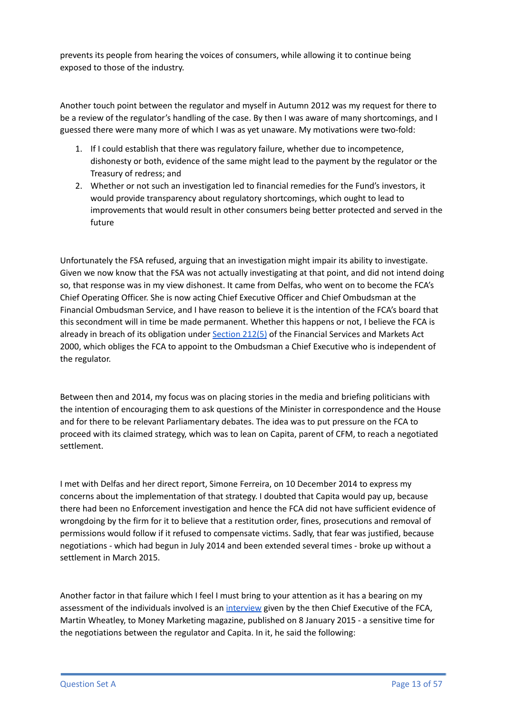prevents its people from hearing the voices of consumers, while allowing it to continue being exposed to those of the industry.

Another touch point between the regulator and myself in Autumn 2012 was my request for there to be a review of the regulator's handling of the case. By then I was aware of many shortcomings, and I guessed there were many more of which I was as yet unaware. My motivations were two-fold:

- 1. If I could establish that there was regulatory failure, whether due to incompetence, dishonesty or both, evidence of the same might lead to the payment by the regulator or the Treasury of redress; and
- 2. Whether or not such an investigation led to financial remedies for the Fund's investors, it would provide transparency about regulatory shortcomings, which ought to lead to improvements that would result in other consumers being better protected and served in the future

Unfortunately the FSA refused, arguing that an investigation might impair its ability to investigate. Given we now know that the FSA was not actually investigating at that point, and did not intend doing so, that response was in my view dishonest. It came from Delfas, who went on to become the FCA's Chief Operating Officer. She is now acting Chief Executive Officer and Chief Ombudsman at the Financial Ombudsman Service, and I have reason to believe it is the intention of the FCA's board that this secondment will in time be made permanent. Whether this happens or not, I believe the FCA is already in breach of its obligation under [Section](https://www.legislation.gov.uk/ukpga/2000/8/part/XV) 212(5) of the Financial Services and Markets Act 2000, which obliges the FCA to appoint to the Ombudsman a Chief Executive who is independent of the regulator.

Between then and 2014, my focus was on placing stories in the media and briefing politicians with the intention of encouraging them to ask questions of the Minister in correspondence and the House and for there to be relevant Parliamentary debates. The idea was to put pressure on the FCA to proceed with its claimed strategy, which was to lean on Capita, parent of CFM, to reach a negotiated settlement.

I met with Delfas and her direct report, Simone Ferreira, on 10 December 2014 to express my concerns about the implementation of that strategy. I doubted that Capita would pay up, because there had been no Enforcement investigation and hence the FCA did not have sufficient evidence of wrongdoing by the firm for it to believe that a restitution order, fines, prosecutions and removal of permissions would follow if it refused to compensate victims. Sadly, that fear was justified, because negotiations - which had begun in July 2014 and been extended several times - broke up without a settlement in March 2015.

Another factor in that failure which I feel I must bring to your attention as it has a bearing on my assessment of the individuals involved is an [interview](https://www.moneymarketing.co.uk/news/exclusive-martin-wheatley-warns-on-unsuitable-budget-products/) given by the then Chief Executive of the FCA, Martin Wheatley, to Money Marketing magazine, published on 8 January 2015 - a sensitive time for the negotiations between the regulator and Capita. In it, he said the following: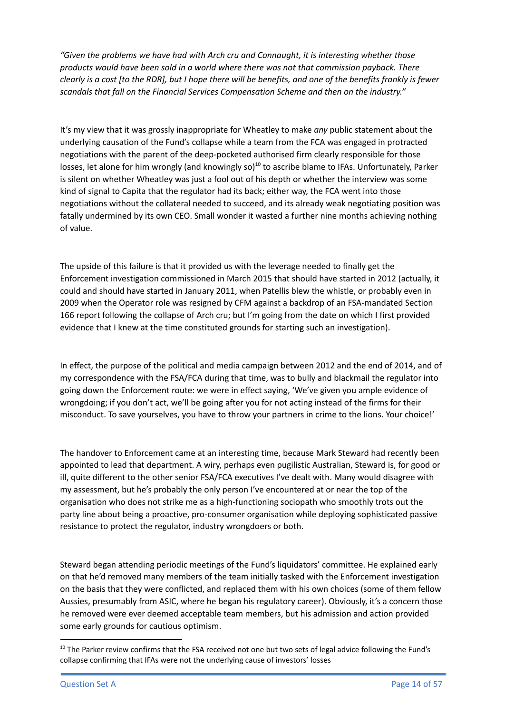*"Given the problems we have had with Arch cru and Connaught, it is interesting whether those products would have been sold in a world where there was not that commission payback. There* clearly is a cost [to the RDR], but I hope there will be benefits, and one of the benefits frankly is fewer *scandals that fall on the Financial Services Compensation Scheme and then on the industry."*

It's my view that it was grossly inappropriate for Wheatley to make *any* public statement about the underlying causation of the Fund's collapse while a team from the FCA was engaged in protracted negotiations with the parent of the deep-pocketed authorised firm clearly responsible for those losses, let alone for him wrongly (and knowingly so)<sup>10</sup> to ascribe blame to IFAs. Unfortunately, Parker is silent on whether Wheatley was just a fool out of his depth or whether the interview was some kind of signal to Capita that the regulator had its back; either way, the FCA went into those negotiations without the collateral needed to succeed, and its already weak negotiating position was fatally undermined by its own CEO. Small wonder it wasted a further nine months achieving nothing of value.

The upside of this failure is that it provided us with the leverage needed to finally get the Enforcement investigation commissioned in March 2015 that should have started in 2012 (actually, it could and should have started in January 2011, when Patellis blew the whistle, or probably even in 2009 when the Operator role was resigned by CFM against a backdrop of an FSA-mandated Section 166 report following the collapse of Arch cru; but I'm going from the date on which I first provided evidence that I knew at the time constituted grounds for starting such an investigation).

In effect, the purpose of the political and media campaign between 2012 and the end of 2014, and of my correspondence with the FSA/FCA during that time, was to bully and blackmail the regulator into going down the Enforcement route: we were in effect saying, 'We've given you ample evidence of wrongdoing; if you don't act, we'll be going after you for not acting instead of the firms for their misconduct. To save yourselves, you have to throw your partners in crime to the lions. Your choice!'

The handover to Enforcement came at an interesting time, because Mark Steward had recently been appointed to lead that department. A wiry, perhaps even pugilistic Australian, Steward is, for good or ill, quite different to the other senior FSA/FCA executives I've dealt with. Many would disagree with my assessment, but he's probably the only person I've encountered at or near the top of the organisation who does not strike me as a high-functioning sociopath who smoothly trots out the party line about being a proactive, pro-consumer organisation while deploying sophisticated passive resistance to protect the regulator, industry wrongdoers or both.

Steward began attending periodic meetings of the Fund's liquidators' committee. He explained early on that he'd removed many members of the team initially tasked with the Enforcement investigation on the basis that they were conflicted, and replaced them with his own choices (some of them fellow Aussies, presumably from ASIC, where he began his regulatory career). Obviously, it's a concern those he removed were ever deemed acceptable team members, but his admission and action provided some early grounds for cautious optimism.

 $10$  The Parker review confirms that the FSA received not one but two sets of legal advice following the Fund's collapse confirming that IFAs were not the underlying cause of investors' losses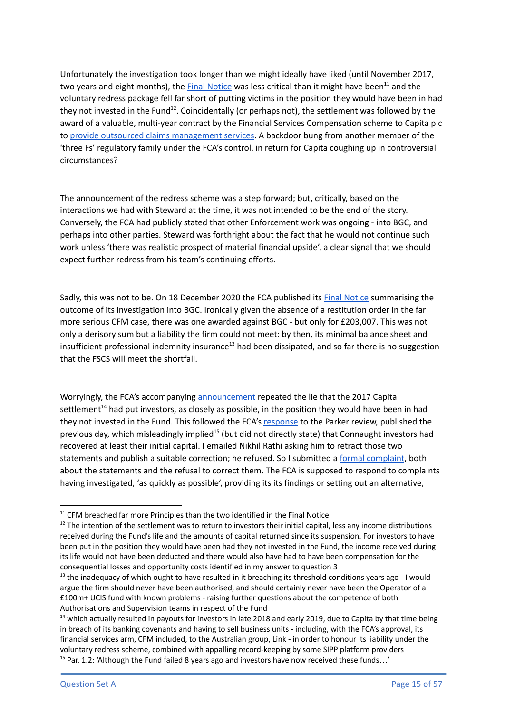Unfortunately the investigation took longer than we might ideally have liked (until November 2017, two years and eight months), the <u>Final [Notice](https://www.fca.org.uk/publication/final-notices/capita-financial-managers-limited-2017.pdf)</u> was less critical than it might have been<sup>11</sup> and the voluntary redress package fell far short of putting victims in the position they would have been in had they not invested in the Fund<sup>12</sup>. Coincidentally (or perhaps not), the settlement was followed by the award of a valuable, multi-year contract by the Financial Services Compensation scheme to Capita plc to provide outsourced claims [management](https://www.fscs.org.uk/news/protection/capita-win/?gclid=CjwKCAjw9aiIBhA1EiwAJ_GTSjBm5vukwGbXT7lbMweQMwMjDxpruoV-LiBYE9Y4xn7L9I_XqLXYABoCi_oQAvD_BwE) services. A backdoor bung from another member of the 'three Fs' regulatory family under the FCA's control, in return for Capita coughing up in controversial circumstances?

The announcement of the redress scheme was a step forward; but, critically, based on the interactions we had with Steward at the time, it was not intended to be the end of the story. Conversely, the FCA had publicly stated that other Enforcement work was ongoing - into BGC, and perhaps into other parties. Steward was forthright about the fact that he would not continue such work unless 'there was realistic prospect of material financial upside', a clear signal that we should expect further redress from his team's continuing efforts.

Sadly, this was not to be. On 18 December 2020 the FCA published its Final [Notice](https://www.fca.org.uk/publication/final-notices/blue-gate-capital-limited-2020.pdf) summarising the outcome of its investigation into BGC. Ironically given the absence of a restitution order in the far more serious CFM case, there was one awarded against BGC - but only for £203,007. This was not only a derisory sum but a liability the firm could not meet: by then, its minimal balance sheet and insufficient professional indemnity insurance<sup>13</sup> had been dissipated, and so far there is no suggestion that the FSCS will meet the shortfall.

Worryingly, the FCA's accompanying [announcement](https://www.fca.org.uk/news/press-releases/blue-gate-capital-limited-ordered-pay-connaught-investors) repeated the lie that the 2017 Capita settlement<sup>14</sup> had put investors, as closely as possible, in the position they would have been in had they not invested in the Fund. This followed the FCA's [response](https://www.fca.org.uk/publication/corporate/connaught-independent-review-response.pdf) to the Parker review, published the previous day, which misleadingly implied<sup>15</sup> (but did not directly state) that Connaught investors had recovered at least their initial capital. I emailed Nikhil Rathi asking him to retract those two statements and publish a suitable correction; he refused. So I submitted a formal [complaint](https://drive.google.com/drive/folders/1DPe5iYG2ApdZ92SS_8hRaFP0aL6joqfq?usp=sharing), both about the statements and the refusal to correct them. The FCA is supposed to respond to complaints having investigated, 'as quickly as possible', providing its its findings or setting out an alternative,

 $11$  CFM breached far more Principles than the two identified in the Final Notice

 $12$  The intention of the settlement was to return to investors their initial capital, less any income distributions received during the Fund's life and the amounts of capital returned since its suspension. For investors to have been put in the position they would have been had they not invested in the Fund, the income received during its life would not have been deducted and there would also have had to have been compensation for the consequential losses and opportunity costs identified in my answer to question 3

 $<sup>13</sup>$  the inadequacy of which ought to have resulted in it breaching its threshold conditions years ago - I would</sup> argue the firm should never have been authorised, and should certainly never have been the Operator of a £100m+ UCIS fund with known problems - raising further questions about the competence of both Authorisations and Supervision teams in respect of the Fund

 $15$  Par. 1.2: 'Although the Fund failed 8 years ago and investors have now received these funds...'  $14$  which actually resulted in payouts for investors in late 2018 and early 2019, due to Capita by that time being in breach of its banking covenants and having to sell business units - including, with the FCA's approval, its financial services arm, CFM included, to the Australian group, Link - in order to honour its liability under the voluntary redress scheme, combined with appalling record-keeping by some SIPP platform providers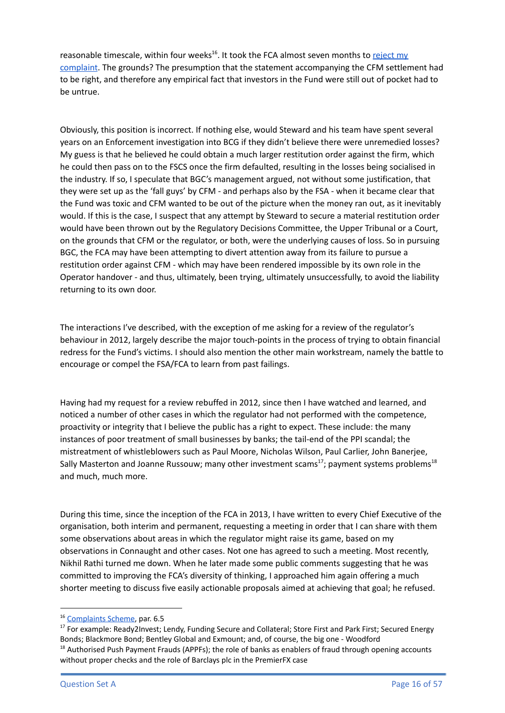reasonable timescale, within four weeks<sup>16</sup>. It took the FCA almost seven months to [reject](https://drive.google.com/file/d/19W6nP_EvjpAtJR50nXjN9L8g1X3lm4vI/view?usp=sharing) my [complaint](https://drive.google.com/file/d/19W6nP_EvjpAtJR50nXjN9L8g1X3lm4vI/view?usp=sharing). The grounds? The presumption that the statement accompanying the CFM settlement had to be right, and therefore any empirical fact that investors in the Fund were still out of pocket had to be untrue.

Obviously, this position is incorrect. If nothing else, would Steward and his team have spent several years on an Enforcement investigation into BCG if they didn't believe there were unremedied losses? My guess is that he believed he could obtain a much larger restitution order against the firm, which he could then pass on to the FSCS once the firm defaulted, resulting in the losses being socialised in the industry. If so, I speculate that BGC's management argued, not without some justification, that they were set up as the 'fall guys' by CFM - and perhaps also by the FSA - when it became clear that the Fund was toxic and CFM wanted to be out of the picture when the money ran out, as it inevitably would. If this is the case, I suspect that any attempt by Steward to secure a material restitution order would have been thrown out by the Regulatory Decisions Committee, the Upper Tribunal or a Court, on the grounds that CFM or the regulator, or both, were the underlying causes of loss. So in pursuing BGC, the FCA may have been attempting to divert attention away from its failure to pursue a restitution order against CFM - which may have been rendered impossible by its own role in the Operator handover - and thus, ultimately, been trying, ultimately unsuccessfully, to avoid the liability returning to its own door.

The interactions I've described, with the exception of me asking for a review of the regulator's behaviour in 2012, largely describe the major touch-points in the process of trying to obtain financial redress for the Fund's victims. I should also mention the other main workstream, namely the battle to encourage or compel the FSA/FCA to learn from past failings.

Having had my request for a review rebuffed in 2012, since then I have watched and learned, and noticed a number of other cases in which the regulator had not performed with the competence, proactivity or integrity that I believe the public has a right to expect. These include: the many instances of poor treatment of small businesses by banks; the tail-end of the PPI scandal; the mistreatment of whistleblowers such as Paul Moore, Nicholas Wilson, Paul Carlier, John Banerjee, Sally Masterton and Joanne Russouw; many other investment scams<sup>17</sup>; payment systems problems<sup>18</sup> and much, much more.

During this time, since the inception of the FCA in 2013, I have written to every Chief Executive of the organisation, both interim and permanent, requesting a meeting in order that I can share with them some observations about areas in which the regulator might raise its game, based on my observations in Connaught and other cases. Not one has agreed to such a meeting. Most recently, Nikhil Rathi turned me down. When he later made some public comments suggesting that he was committed to improving the FCA's diversity of thinking, I approached him again offering a much shorter meeting to discuss five easily actionable proposals aimed at achieving that goal; he refused.

<sup>&</sup>lt;sup>16</sup> [Complaints](https://www.fca.org.uk/publication/corporate/complaints-scheme.pdf) Scheme, par. 6.5

 $18$  Authorised Push Payment Frauds (APPFs); the role of banks as enablers of fraud through opening accounts without proper checks and the role of Barclays plc in the PremierFX case <sup>17</sup> For example: Ready2Invest; Lendy, Funding Secure and Collateral; Store First and Park First; Secured Energy Bonds; Blackmore Bond; Bentley Global and Exmount; and, of course, the big one - Woodford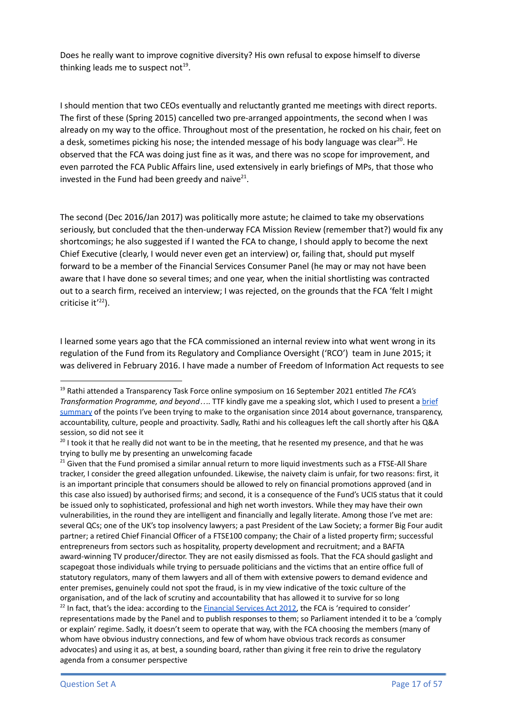Does he really want to improve cognitive diversity? His own refusal to expose himself to diverse thinking leads me to suspect not<sup>19</sup>.

I should mention that two CEOs eventually and reluctantly granted me meetings with direct reports. The first of these (Spring 2015) cancelled two pre-arranged appointments, the second when I was already on my way to the office. Throughout most of the presentation, he rocked on his chair, feet on a desk, sometimes picking his nose; the intended message of his body language was clear<sup>20</sup>. He observed that the FCA was doing just fine as it was, and there was no scope for improvement, and even parroted the FCA Public Affairs line, used extensively in early briefings of MPs, that those who invested in the Fund had been greedy and naive $^{21}$ .

The second (Dec 2016/Jan 2017) was politically more astute; he claimed to take my observations seriously, but concluded that the then-underway FCA Mission Review (remember that?) would fix any shortcomings; he also suggested if I wanted the FCA to change, I should apply to become the next Chief Executive (clearly, I would never even get an interview) or, failing that, should put myself forward to be a member of the Financial Services Consumer Panel (he may or may not have been aware that I have done so several times; and one year, when the initial shortlisting was contracted out to a search firm, received an interview; I was rejected, on the grounds that the FCA 'felt I might criticise it<sup>'22</sup>).

I learned some years ago that the FCA commissioned an internal review into what went wrong in its regulation of the Fund from its Regulatory and Compliance Oversight ('RCO') team in June 2015; it was delivered in February 2016. I have made a number of Freedom of Information Act requests to see

<sup>19</sup> Rathi attended a Transparency Task Force online symposium on 16 September 2021 entitled *The FCA's Transformation Programme, and beyond…*. TTF kindly gave me a speaking slot, which I used to present a [brief](https://youtu.be/TrwKuQCeFuw?t=7590) [summary](https://youtu.be/TrwKuQCeFuw?t=7590) of the points I've been trying to make to the organisation since 2014 about governance, transparency, accountability, culture, people and proactivity. Sadly, Rathi and his colleagues left the call shortly after his Q&A session, so did not see it

 $20$  I took it that he really did not want to be in the meeting, that he resented my presence, and that he was trying to bully me by presenting an unwelcoming facade

<sup>&</sup>lt;sup>22</sup> In fact, that's the idea: according to the **[Financial](https://www.legislation.gov.uk/ukpga/2012/21/section/6/enacted) Services Act 2012**, the FCA is 'required to consider' representations made by the Panel and to publish responses to them; so Parliament intended it to be a 'comply or explain' regime. Sadly, it doesn't seem to operate that way, with the FCA choosing the members (many of whom have obvious industry connections, and few of whom have obvious track records as consumer advocates) and using it as, at best, a sounding board, rather than giving it free rein to drive the regulatory agenda from a consumer perspective <sup>21</sup> Given that the Fund promised a similar annual return to more liquid investments such as a FTSE-All Share tracker, I consider the greed allegation unfounded. Likewise, the naivety claim is unfair, for two reasons: first, it is an important principle that consumers should be allowed to rely on financial promotions approved (and in this case also issued) by authorised firms; and second, it is a consequence of the Fund's UCIS status that it could be issued only to sophisticated, professional and high net worth investors. While they may have their own vulnerabilities, in the round they are intelligent and financially and legally literate. Among those I've met are: several QCs; one of the UK's top insolvency lawyers; a past President of the Law Society; a former Big Four audit partner; a retired Chief Financial Officer of a FTSE100 company; the Chair of a listed property firm; successful entrepreneurs from sectors such as hospitality, property development and recruitment; and a BAFTA award-winning TV producer/director. They are not easily dismissed as fools. That the FCA should gaslight and scapegoat those individuals while trying to persuade politicians and the victims that an entire office full of statutory regulators, many of them lawyers and all of them with extensive powers to demand evidence and enter premises, genuinely could not spot the fraud, is in my view indicative of the toxic culture of the organisation, and of the lack of scrutiny and accountability that has allowed it to survive for so long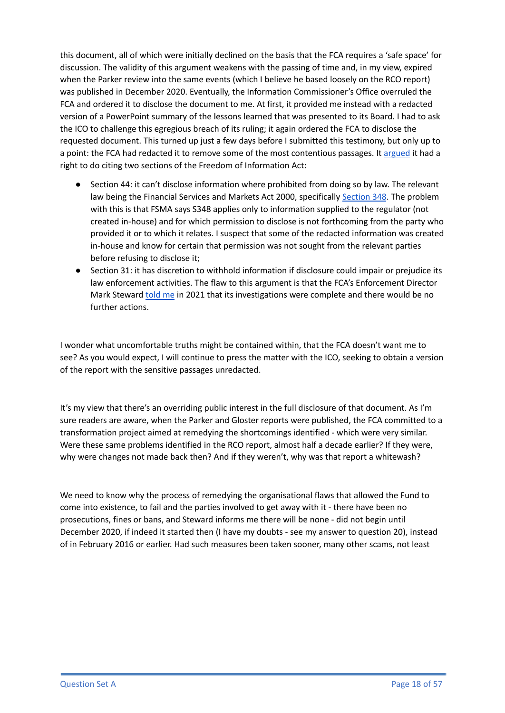this document, all of which were initially declined on the basis that the FCA requires a 'safe space' for discussion. The validity of this argument weakens with the passing of time and, in my view, expired when the Parker review into the same events (which I believe he based loosely on the RCO report) was published in December 2020. Eventually, the Information Commissioner's Office overruled the FCA and ordered it to disclose the document to me. At first, it provided me instead with a redacted version of a PowerPoint summary of the lessons learned that was presented to its Board. I had to ask the ICO to challenge this egregious breach of its ruling; it again ordered the FCA to disclose the requested document. This turned up just a few days before I submitted this testimony, but only up to a point: the FCA had redacted it to remove some of the most contentious passages. It [argued](https://drive.google.com/file/d/1nVdl_mZPBHFBkQvjNqaRlyy0o-CBFw9k/view?usp=sharing) it had a right to do citing two sections of the Freedom of Information Act:

- Section 44: it can't disclose information where prohibited from doing so by law. The relevant law being the Financial Services and Markets Act 2000, specifically [Section](https://www.legislation.gov.uk/ukpga/2000/8/section/348) 348. The problem with this is that FSMA says S348 applies only to information supplied to the regulator (not created in-house) and for which permission to disclose is not forthcoming from the party who provided it or to which it relates. I suspect that some of the redacted information was created in-house and know for certain that permission was not sought from the relevant parties before refusing to disclose it;
- Section 31: it has discretion to withhold information if disclosure could impair or prejudice its law enforcement activities. The flaw to this argument is that the FCA's Enforcement Director Mark Steward [told](https://drive.google.com/file/d/1NpCisfEtXf_Fl5JYHeIyx_iUme-hw2SB/view?usp=sharing) me in 2021 that its investigations were complete and there would be no further actions.

I wonder what uncomfortable truths might be contained within, that the FCA doesn't want me to see? As you would expect, I will continue to press the matter with the ICO, seeking to obtain a version of the report with the sensitive passages unredacted.

It's my view that there's an overriding public interest in the full disclosure of that document. As I'm sure readers are aware, when the Parker and Gloster reports were published, the FCA committed to a transformation project aimed at remedying the shortcomings identified - which were very similar. Were these same problems identified in the RCO report, almost half a decade earlier? If they were, why were changes not made back then? And if they weren't, why was that report a whitewash?

We need to know why the process of remedying the organisational flaws that allowed the Fund to come into existence, to fail and the parties involved to get away with it - there have been no prosecutions, fines or bans, and Steward informs me there will be none - did not begin until December 2020, if indeed it started then (I have my doubts - see my answer to question 20), instead of in February 2016 or earlier. Had such measures been taken sooner, many other scams, not least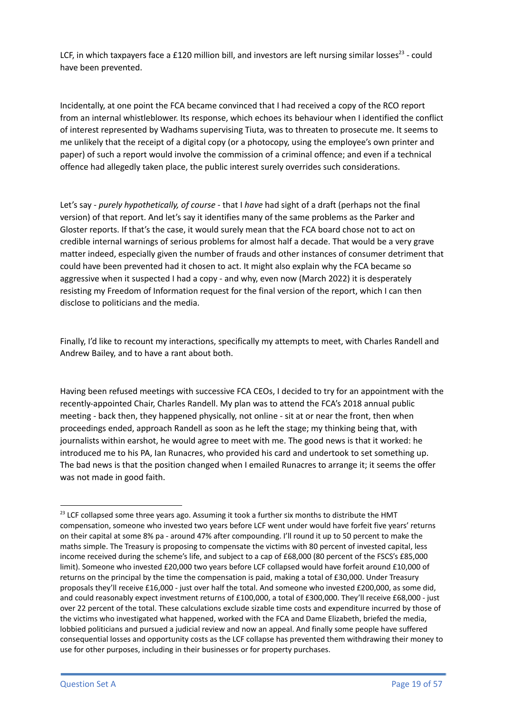LCF, in which taxpayers face a £120 million bill, and investors are left nursing similar losses<sup>23</sup> - could have been prevented.

Incidentally, at one point the FCA became convinced that I had received a copy of the RCO report from an internal whistleblower. Its response, which echoes its behaviour when I identified the conflict of interest represented by Wadhams supervising Tiuta, was to threaten to prosecute me. It seems to me unlikely that the receipt of a digital copy (or a photocopy, using the employee's own printer and paper) of such a report would involve the commission of a criminal offence; and even if a technical offence had allegedly taken place, the public interest surely overrides such considerations.

Let's say - *purely hypothetically, of course* - that I *have* had sight of a draft (perhaps not the final version) of that report. And let's say it identifies many of the same problems as the Parker and Gloster reports. If that's the case, it would surely mean that the FCA board chose not to act on credible internal warnings of serious problems for almost half a decade. That would be a very grave matter indeed, especially given the number of frauds and other instances of consumer detriment that could have been prevented had it chosen to act. It might also explain why the FCA became so aggressive when it suspected I had a copy - and why, even now (March 2022) it is desperately resisting my Freedom of Information request for the final version of the report, which I can then disclose to politicians and the media.

Finally, I'd like to recount my interactions, specifically my attempts to meet, with Charles Randell and Andrew Bailey, and to have a rant about both.

Having been refused meetings with successive FCA CEOs, I decided to try for an appointment with the recently-appointed Chair, Charles Randell. My plan was to attend the FCA's 2018 annual public meeting - back then, they happened physically, not online - sit at or near the front, then when proceedings ended, approach Randell as soon as he left the stage; my thinking being that, with journalists within earshot, he would agree to meet with me. The good news is that it worked: he introduced me to his PA, Ian Runacres, who provided his card and undertook to set something up. The bad news is that the position changed when I emailed Runacres to arrange it; it seems the offer was not made in good faith.

 $23$  LCF collapsed some three years ago. Assuming it took a further six months to distribute the HMT compensation, someone who invested two years before LCF went under would have forfeit five years' returns on their capital at some 8% pa - around 47% after compounding. I'll round it up to 50 percent to make the maths simple. The Treasury is proposing to compensate the victims with 80 percent of invested capital, less income received during the scheme's life, and subject to a cap of £68,000 (80 percent of the FSCS's £85,000 limit). Someone who invested £20,000 two years before LCF collapsed would have forfeit around £10,000 of returns on the principal by the time the compensation is paid, making a total of £30,000. Under Treasury proposals they'll receive £16,000 - just over half the total. And someone who invested £200,000, as some did, and could reasonably expect investment returns of £100,000, a total of £300,000. They'll receive £68,000 - just over 22 percent of the total. These calculations exclude sizable time costs and expenditure incurred by those of the victims who investigated what happened, worked with the FCA and Dame Elizabeth, briefed the media, lobbied politicians and pursued a judicial review and now an appeal. And finally some people have suffered consequential losses and opportunity costs as the LCF collapse has prevented them withdrawing their money to use for other purposes, including in their businesses or for property purchases.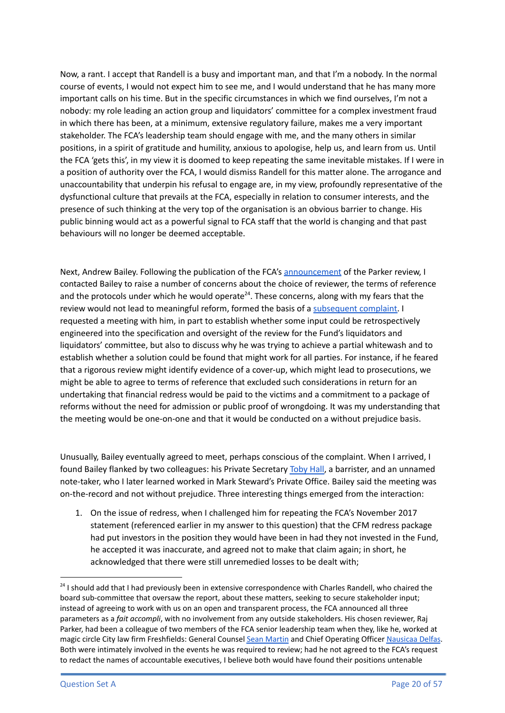Now, a rant. I accept that Randell is a busy and important man, and that I'm a nobody. In the normal course of events, I would not expect him to see me, and I would understand that he has many more important calls on his time. But in the specific circumstances in which we find ourselves, I'm not a nobody: my role leading an action group and liquidators' committee for a complex investment fraud in which there has been, at a minimum, extensive regulatory failure, makes me a very important stakeholder. The FCA's leadership team should engage with me, and the many others in similar positions, in a spirit of gratitude and humility, anxious to apologise, help us, and learn from us. Until the FCA 'gets this', in my view it is doomed to keep repeating the same inevitable mistakes. If I were in a position of authority over the FCA, I would dismiss Randell for this matter alone. The arrogance and unaccountability that underpin his refusal to engage are, in my view, profoundly representative of the dysfunctional culture that prevails at the FCA, especially in relation to consumer interests, and the presence of such thinking at the very top of the organisation is an obvious barrier to change. His public binning would act as a powerful signal to FCA staff that the world is changing and that past behaviours will no longer be deemed acceptable.

Next, Andrew Bailey. Following the publication of the FCA's [announcement](https://www.fca.org.uk/news/press-releases/independent-reviews-interest-rate-hedging-products-and-connaught-income-fund-series-1) of the Parker review, I contacted Bailey to raise a number of concerns about the choice of reviewer, the terms of reference and the protocols under which he would operate<sup>24</sup>. These concerns, along with my fears that the review would not lead to meaningful reform, formed the basis of a [subsequent](https://drive.google.com/drive/folders/1dmGpDrQcs3Rc7k8upuOL5ByupzMQS8DQ?usp=sharing) complaint. I requested a meeting with him, in part to establish whether some input could be retrospectively engineered into the specification and oversight of the review for the Fund's liquidators and liquidators' committee, but also to discuss why he was trying to achieve a partial whitewash and to establish whether a solution could be found that might work for all parties. For instance, if he feared that a rigorous review might identify evidence of a cover-up, which might lead to prosecutions, we might be able to agree to terms of reference that excluded such considerations in return for an undertaking that financial redress would be paid to the victims and a commitment to a package of reforms without the need for admission or public proof of wrongdoing. It was my understanding that the meeting would be one-on-one and that it would be conducted on a without prejudice basis.

Unusually, Bailey eventually agreed to meet, perhaps conscious of the complaint. When I arrived, I found Bailey flanked by two colleagues: his Private Secretary [Toby](https://www.linkedin.com/in/toby-hall-395284126/) Hall, a barrister, and an unnamed note-taker, who I later learned worked in Mark Steward's Private Office. Bailey said the meeting was on-the-record and not without prejudice. Three interesting things emerged from the interaction:

1. On the issue of redress, when I challenged him for repeating the FCA's November 2017 statement (referenced earlier in my answer to this question) that the CFM redress package had put investors in the position they would have been in had they not invested in the Fund, he accepted it was inaccurate, and agreed not to make that claim again; in short, he acknowledged that there were still unremedied losses to be dealt with;

<sup>&</sup>lt;sup>24</sup> I should add that I had previously been in extensive correspondence with Charles Randell, who chaired the board sub-committee that oversaw the report, about these matters, seeking to secure stakeholder input; instead of agreeing to work with us on an open and transparent process, the FCA announced all three parameters as a *fait accompli*, with no involvement from any outside stakeholders. His chosen reviewer, Raj Parker, had been a colleague of two members of the FCA senior leadership team when they, like he, worked at magic circle City law firm Freshfields: General Counsel Sean [Martin](https://www.lawgazette.co.uk/people/interview-sean-martin/5058855.article) and Chief Operating Officer [Nausicaa](https://www.linkedin.com/in/nausicaa-delfas-712ba721/) Delfas. Both were intimately involved in the events he was required to review; had he not agreed to the FCA's request to redact the names of accountable executives, I believe both would have found their positions untenable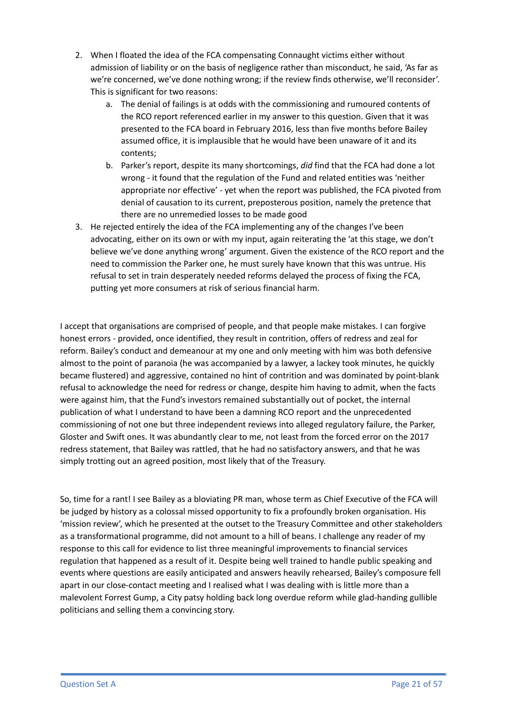- 2. When I floated the idea of the FCA compensating Connaught victims either without admission of liability or on the basis of negligence rather than misconduct, he said, 'As far as we're concerned, we've done nothing wrong; if the review finds otherwise, we'll reconsider'. This is significant for two reasons:
	- a. The denial of failings is at odds with the commissioning and rumoured contents of the RCO report referenced earlier in my answer to this question. Given that it was presented to the FCA board in February 2016, less than five months before Bailey assumed office, it is implausible that he would have been unaware of it and its contents;
	- b. Parker's report, despite its many shortcomings, *did* find that the FCA had done a lot wrong - it found that the regulation of the Fund and related entities was 'neither appropriate nor effective' - yet when the report was published, the FCA pivoted from denial of causation to its current, preposterous position, namely the pretence that there are no unremedied losses to be made good
- 3. He rejected entirely the idea of the FCA implementing any of the changes I've been advocating, either on its own or with my input, again reiterating the 'at this stage, we don't believe we've done anything wrong' argument. Given the existence of the RCO report and the need to commission the Parker one, he must surely have known that this was untrue. His refusal to set in train desperately needed reforms delayed the process of fixing the FCA, putting yet more consumers at risk of serious financial harm.

I accept that organisations are comprised of people, and that people make mistakes. I can forgive honest errors - provided, once identified, they result in contrition, offers of redress and zeal for reform. Bailey's conduct and demeanour at my one and only meeting with him was both defensive almost to the point of paranoia (he was accompanied by a lawyer, a lackey took minutes, he quickly became flustered) and aggressive, contained no hint of contrition and was dominated by point-blank refusal to acknowledge the need for redress or change, despite him having to admit, when the facts were against him, that the Fund's investors remained substantially out of pocket, the internal publication of what I understand to have been a damning RCO report and the unprecedented commissioning of not one but three independent reviews into alleged regulatory failure, the Parker, Gloster and Swift ones. It was abundantly clear to me, not least from the forced error on the 2017 redress statement, that Bailey was rattled, that he had no satisfactory answers, and that he was simply trotting out an agreed position, most likely that of the Treasury.

So, time for a rant! I see Bailey as a bloviating PR man, whose term as Chief Executive of the FCA will be judged by history as a colossal missed opportunity to fix a profoundly broken organisation. His 'mission review', which he presented at the outset to the Treasury Committee and other stakeholders as a transformational programme, did not amount to a hill of beans. I challenge any reader of my response to this call for evidence to list three meaningful improvements to financial services regulation that happened as a result of it. Despite being well trained to handle public speaking and events where questions are easily anticipated and answers heavily rehearsed, Bailey's composure fell apart in our close-contact meeting and I realised what I was dealing with is little more than a malevolent Forrest Gump, a City patsy holding back long overdue reform while glad-handing gullible politicians and selling them a convincing story.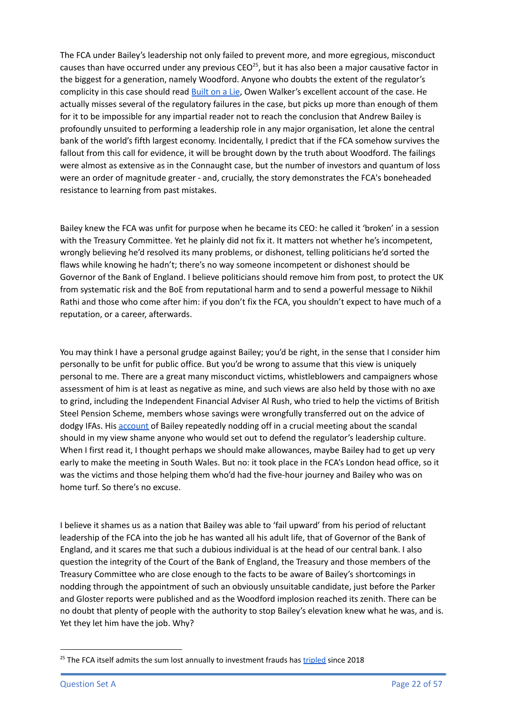The FCA under Bailey's leadership not only failed to prevent more, and more egregious, misconduct causes than have occurred under any previous CEO<sup>25</sup>, but it has also been a major causative factor in the biggest for a generation, namely Woodford. Anyone who doubts the extent of the regulator's complicity in this case should read [Built](https://www.amazon.co.uk/Built-Lie-Woodford-Middle-Englands-ebook/dp/B08J9TGY9L/ref=sr_1_1?crid=2V292767P05OM&dchild=1&keywords=built+on+a+lie&qid=1631303601&sr=8-1) on a Lie, Owen Walker's excellent account of the case. He actually misses several of the regulatory failures in the case, but picks up more than enough of them for it to be impossible for any impartial reader not to reach the conclusion that Andrew Bailey is profoundly unsuited to performing a leadership role in any major organisation, let alone the central bank of the world's fifth largest economy. Incidentally, I predict that if the FCA somehow survives the fallout from this call for evidence, it will be brought down by the truth about Woodford. The failings were almost as extensive as in the Connaught case, but the number of investors and quantum of loss were an order of magnitude greater - and, crucially, the story demonstrates the FCA's boneheaded resistance to learning from past mistakes.

Bailey knew the FCA was unfit for purpose when he became its CEO: he called it 'broken' in a session with the Treasury Committee. Yet he plainly did not fix it. It matters not whether he's incompetent, wrongly believing he'd resolved its many problems, or dishonest, telling politicians he'd sorted the flaws while knowing he hadn't; there's no way someone incompetent or dishonest should be Governor of the Bank of England. I believe politicians should remove him from post, to protect the UK from systematic risk and the BoE from reputational harm and to send a powerful message to Nikhil Rathi and those who come after him: if you don't fix the FCA, you shouldn't expect to have much of a reputation, or a career, afterwards.

You may think I have a personal grudge against Bailey; you'd be right, in the sense that I consider him personally to be unfit for public office. But you'd be wrong to assume that this view is uniquely personal to me. There are a great many misconduct victims, whistleblowers and campaigners whose assessment of him is at least as negative as mine, and such views are also held by those with no axe to grind, including the Independent Financial Adviser Al Rush, who tried to help the victims of British Steel Pension Scheme, members whose savings were wrongfully transferred out on the advice of dodgy IFAs. His [account](https://www.facebook.com/260695474841032/posts/979759572934615/) of Bailey repeatedly nodding off in a crucial meeting about the scandal should in my view shame anyone who would set out to defend the regulator's leadership culture. When I first read it, I thought perhaps we should make allowances, maybe Bailey had to get up very early to make the meeting in South Wales. But no: it took place in the FCA's London head office, so it was the victims and those helping them who'd had the five-hour journey and Bailey who was on home turf. So there's no excuse.

I believe it shames us as a nation that Bailey was able to 'fail upward' from his period of reluctant leadership of the FCA into the job he has wanted all his adult life, that of Governor of the Bank of England, and it scares me that such a dubious individual is at the head of our central bank. I also question the integrity of the Court of the Bank of England, the Treasury and those members of the Treasury Committee who are close enough to the facts to be aware of Bailey's shortcomings in nodding through the appointment of such an obviously unsuitable candidate, just before the Parker and Gloster reports were published and as the Woodford implosion reached its zenith. There can be no doubt that plenty of people with the authority to stop Bailey's elevation knew what he was, and is. Yet they let him have the job. Why?

<sup>&</sup>lt;sup>25</sup> The FCA itself admits the sum lost annually to investment frauds has [tripled](https://www.fca.org.uk/publications/corporate-documents/consumer-investments-strategy) since 2018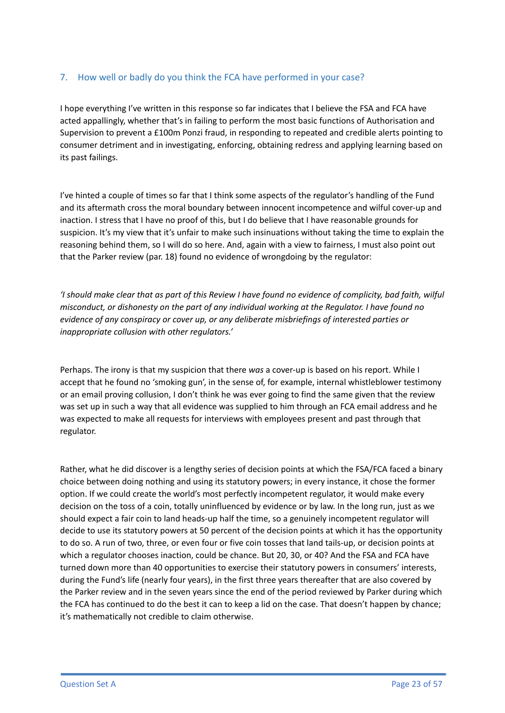## 7. How well or badly do you think the FCA have performed in your case?

I hope everything I've written in this response so far indicates that I believe the FSA and FCA have acted appallingly, whether that's in failing to perform the most basic functions of Authorisation and Supervision to prevent a £100m Ponzi fraud, in responding to repeated and credible alerts pointing to consumer detriment and in investigating, enforcing, obtaining redress and applying learning based on its past failings.

I've hinted a couple of times so far that I think some aspects of the regulator's handling of the Fund and its aftermath cross the moral boundary between innocent incompetence and wilful cover-up and inaction. I stress that I have no proof of this, but I do believe that I have reasonable grounds for suspicion. It's my view that it's unfair to make such insinuations without taking the time to explain the reasoning behind them, so I will do so here. And, again with a view to fairness, I must also point out that the Parker review (par. 18) found no evidence of wrongdoing by the regulator:

'I should make clear that as part of this Review I have found no evidence of complicity, bad faith, wilful *misconduct, or dishonesty on the part of any individual working at the Regulator. I have found no evidence of any conspiracy or cover up, or any deliberate misbriefings of interested parties or inappropriate collusion with other regulators.'*

Perhaps. The irony is that my suspicion that there *was* a cover-up is based on his report. While I accept that he found no 'smoking gun', in the sense of, for example, internal whistleblower testimony or an email proving collusion, I don't think he was ever going to find the same given that the review was set up in such a way that all evidence was supplied to him through an FCA email address and he was expected to make all requests for interviews with employees present and past through that regulator.

Rather, what he did discover is a lengthy series of decision points at which the FSA/FCA faced a binary choice between doing nothing and using its statutory powers; in every instance, it chose the former option. If we could create the world's most perfectly incompetent regulator, it would make every decision on the toss of a coin, totally uninfluenced by evidence or by law. In the long run, just as we should expect a fair coin to land heads-up half the time, so a genuinely incompetent regulator will decide to use its statutory powers at 50 percent of the decision points at which it has the opportunity to do so. A run of two, three, or even four or five coin tosses that land tails-up, or decision points at which a regulator chooses inaction, could be chance. But 20, 30, or 40? And the FSA and FCA have turned down more than 40 opportunities to exercise their statutory powers in consumers' interests, during the Fund's life (nearly four years), in the first three years thereafter that are also covered by the Parker review and in the seven years since the end of the period reviewed by Parker during which the FCA has continued to do the best it can to keep a lid on the case. That doesn't happen by chance; it's mathematically not credible to claim otherwise.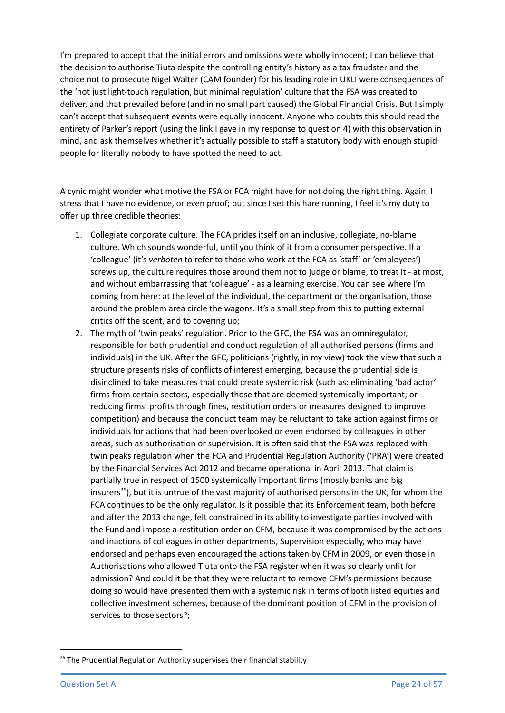I'm prepared to accept that the initial errors and omissions were wholly innocent; I can believe that the decision to authorise Tiuta despite the controlling entity's history as a tax fraudster and the choice not to prosecute Nigel Walter (CAM founder) for his leading role in UKLI were consequences of the 'not just light-touch regulation, but minimal regulation' culture that the FSA was created to deliver, and that prevailed before (and in no small part caused) the Global Financial Crisis. But I simply can't accept that subsequent events were equally innocent. Anyone who doubts this should read the entirety of Parker's report (using the link I gave in my response to question 4) with this observation in mind, and ask themselves whether it's actually possible to staff a statutory body with enough stupid people for literally nobody to have spotted the need to act.

A cynic might wonder what motive the FSA or FCA might have for not doing the right thing. Again, I stress that I have no evidence, or even proof; but since I set this hare running, I feel it's my duty to offer up three credible theories:

- 1. Collegiate corporate culture. The FCA prides itself on an inclusive, collegiate, no-blame culture. Which sounds wonderful, until you think of it from a consumer perspective. If a 'colleague' (it's *verboten* to refer to those who work at the FCA as 'staff' or 'employees') screws up, the culture requires those around them not to judge or blame, to treat it - at most, and without embarrassing that 'colleague' - as a learning exercise. You can see where I'm coming from here: at the level of the individual, the department or the organisation, those around the problem area circle the wagons. It's a small step from this to putting external critics off the scent, and to covering up;
- 2. The myth of 'twin peaks' regulation. Prior to the GFC, the FSA was an omniregulator, responsible for both prudential and conduct regulation of all authorised persons (firms and individuals) in the UK. After the GFC, politicians (rightly, in my view) took the view that such a structure presents risks of conflicts of interest emerging, because the prudential side is disinclined to take measures that could create systemic risk (such as: eliminating 'bad actor' firms from certain sectors, especially those that are deemed systemically important; or reducing firms' profits through fines, restitution orders or measures designed to improve competition) and because the conduct team may be reluctant to take action against firms or individuals for actions that had been overlooked or even endorsed by colleagues in other areas, such as authorisation or supervision. It is often said that the FSA was replaced with twin peaks regulation when the FCA and Prudential Regulation Authority ('PRA') were created by the Financial Services Act 2012 and became operational in April 2013. That claim is partially true in respect of 1500 systemically important firms (mostly banks and big insurers<sup>26</sup>), but it is untrue of the vast majority of authorised persons in the UK, for whom the FCA continues to be the only regulator. Is it possible that its Enforcement team, both before and after the 2013 change, felt constrained in its ability to investigate parties involved with the Fund and impose a restitution order on CFM, because it was compromised by the actions and inactions of colleagues in other departments, Supervision especially, who may have endorsed and perhaps even encouraged the actions taken by CFM in 2009, or even those in Authorisations who allowed Tiuta onto the FSA register when it was so clearly unfit for admission? And could it be that they were reluctant to remove CFM's permissions because doing so would have presented them with a systemic risk in terms of both listed equities and collective investment schemes, because of the dominant position of CFM in the provision of services to those sectors?;

 $26$  The Prudential Regulation Authority supervises their financial stability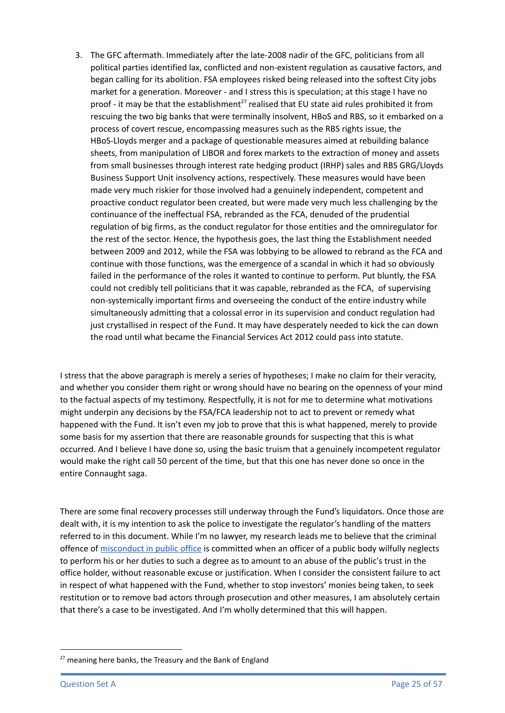3. The GFC aftermath. Immediately after the late-2008 nadir of the GFC, politicians from all political parties identified lax, conflicted and non-existent regulation as causative factors, and began calling for its abolition. FSA employees risked being released into the softest City jobs market for a generation. Moreover - and I stress this is speculation; at this stage I have no proof - it may be that the establishment<sup>27</sup> realised that EU state aid rules prohibited it from rescuing the two big banks that were terminally insolvent, HBoS and RBS, so it embarked on a process of covert rescue, encompassing measures such as the RBS rights issue, the HBoS-Lloyds merger and a package of questionable measures aimed at rebuilding balance sheets, from manipulation of LIBOR and forex markets to the extraction of money and assets from small businesses through interest rate hedging product (IRHP) sales and RBS GRG/Lloyds Business Support Unit insolvency actions, respectively. These measures would have been made very much riskier for those involved had a genuinely independent, competent and proactive conduct regulator been created, but were made very much less challenging by the continuance of the ineffectual FSA, rebranded as the FCA, denuded of the prudential regulation of big firms, as the conduct regulator for those entities and the omniregulator for the rest of the sector. Hence, the hypothesis goes, the last thing the Establishment needed between 2009 and 2012, while the FSA was lobbying to be allowed to rebrand as the FCA and continue with those functions, was the emergence of a scandal in which it had so obviously failed in the performance of the roles it wanted to continue to perform. Put bluntly, the FSA could not credibly tell politicians that it was capable, rebranded as the FCA, of supervising non-systemically important firms and overseeing the conduct of the entire industry while simultaneously admitting that a colossal error in its supervision and conduct regulation had just crystallised in respect of the Fund. It may have desperately needed to kick the can down the road until what became the Financial Services Act 2012 could pass into statute.

I stress that the above paragraph is merely a series of hypotheses; I make no claim for their veracity, and whether you consider them right or wrong should have no bearing on the openness of your mind to the factual aspects of my testimony. Respectfully, it is not for me to determine what motivations might underpin any decisions by the FSA/FCA leadership not to act to prevent or remedy what happened with the Fund. It isn't even my job to prove that this is what happened, merely to provide some basis for my assertion that there are reasonable grounds for suspecting that this is what occurred. And I believe I have done so, using the basic truism that a genuinely incompetent regulator would make the right call 50 percent of the time, but that this one has never done so once in the entire Connaught saga.

There are some final recovery processes still underway through the Fund's liquidators. Once those are dealt with, it is my intention to ask the police to investigate the regulator's handling of the matters referred to in this document. While I'm no lawyer, my research leads me to believe that the criminal offence of [misconduct](https://www.cps.gov.uk/legal-guidance/misconduct-public-office) in public office is committed when an officer of a public body wilfully neglects to perform his or her duties to such a degree as to amount to an abuse of the public's trust in the office holder, without reasonable excuse or justification. When I consider the consistent failure to act in respect of what happened with the Fund, whether to stop investors' monies being taken, to seek restitution or to remove bad actors through prosecution and other measures, I am absolutely certain that there's a case to be investigated. And I'm wholly determined that this will happen.

 $27$  meaning here banks, the Treasury and the Bank of England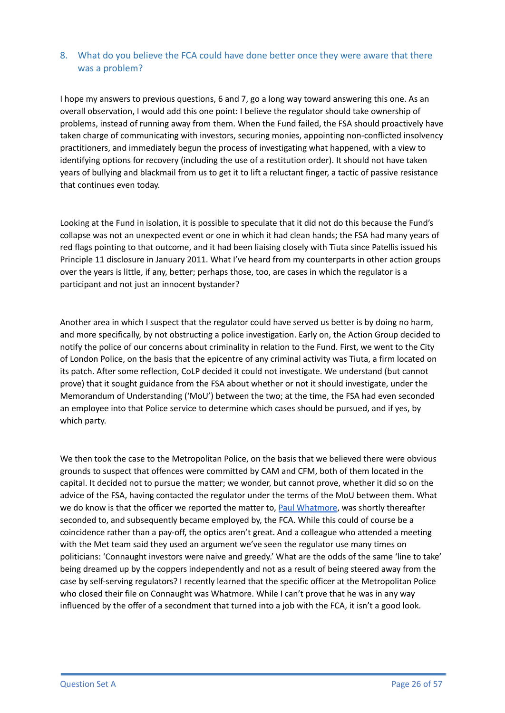## 8. What do you believe the FCA could have done better once they were aware that there was a problem?

I hope my answers to previous questions, 6 and 7, go a long way toward answering this one. As an overall observation, I would add this one point: I believe the regulator should take ownership of problems, instead of running away from them. When the Fund failed, the FSA should proactively have taken charge of communicating with investors, securing monies, appointing non-conflicted insolvency practitioners, and immediately begun the process of investigating what happened, with a view to identifying options for recovery (including the use of a restitution order). It should not have taken years of bullying and blackmail from us to get it to lift a reluctant finger, a tactic of passive resistance that continues even today.

Looking at the Fund in isolation, it is possible to speculate that it did not do this because the Fund's collapse was not an unexpected event or one in which it had clean hands; the FSA had many years of red flags pointing to that outcome, and it had been liaising closely with Tiuta since Patellis issued his Principle 11 disclosure in January 2011. What I've heard from my counterparts in other action groups over the years is little, if any, better; perhaps those, too, are cases in which the regulator is a participant and not just an innocent bystander?

Another area in which I suspect that the regulator could have served us better is by doing no harm, and more specifically, by not obstructing a police investigation. Early on, the Action Group decided to notify the police of our concerns about criminality in relation to the Fund. First, we went to the City of London Police, on the basis that the epicentre of any criminal activity was Tiuta, a firm located on its patch. After some reflection, CoLP decided it could not investigate. We understand (but cannot prove) that it sought guidance from the FSA about whether or not it should investigate, under the Memorandum of Understanding ('MoU') between the two; at the time, the FSA had even seconded an employee into that Police service to determine which cases should be pursued, and if yes, by which party.

We then took the case to the Metropolitan Police, on the basis that we believed there were obvious grounds to suspect that offences were committed by CAM and CFM, both of them located in the capital. It decided not to pursue the matter; we wonder, but cannot prove, whether it did so on the advice of the FSA, having contacted the regulator under the terms of the MoU between them. What we do know is that the officer we reported the matter to, Paul [Whatmore](https://www.linkedin.com/in/paul-whatmore-dip-aml-8b954b49/), was shortly thereafter seconded to, and subsequently became employed by, the FCA. While this could of course be a coincidence rather than a pay-off, the optics aren't great. And a colleague who attended a meeting with the Met team said they used an argument we've seen the regulator use many times on politicians: 'Connaught investors were naive and greedy.' What are the odds of the same 'line to take' being dreamed up by the coppers independently and not as a result of being steered away from the case by self-serving regulators? I recently learned that the specific officer at the Metropolitan Police who closed their file on Connaught was Whatmore. While I can't prove that he was in any way influenced by the offer of a secondment that turned into a job with the FCA, it isn't a good look.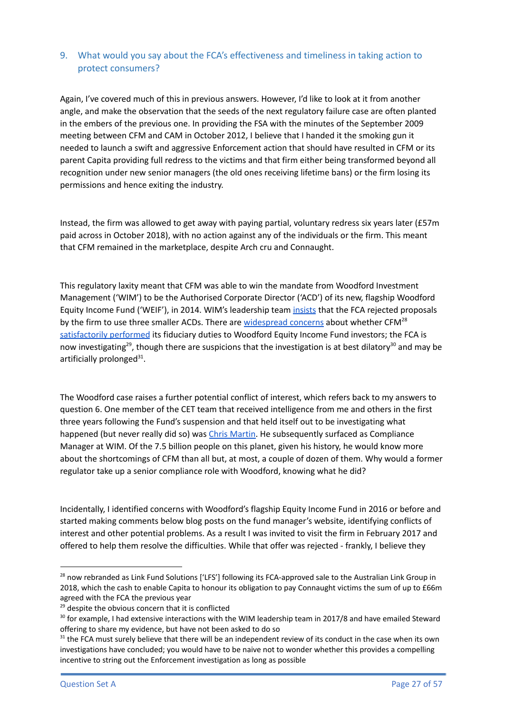## 9. What would you say about the FCA's effectiveness and timeliness in taking action to protect consumers?

Again, I've covered much of this in previous answers. However, I'd like to look at it from another angle, and make the observation that the seeds of the next regulatory failure case are often planted in the embers of the previous one. In providing the FSA with the minutes of the September 2009 meeting between CFM and CAM in October 2012, I believe that I handed it the smoking gun it needed to launch a swift and aggressive Enforcement action that should have resulted in CFM or its parent Capita providing full redress to the victims and that firm either being transformed beyond all recognition under new senior managers (the old ones receiving lifetime bans) or the firm losing its permissions and hence exiting the industry.

Instead, the firm was allowed to get away with paying partial, voluntary redress six years later (£57m paid across in October 2018), with no action against any of the individuals or the firm. This meant that CFM remained in the marketplace, despite Arch cru and Connaught.

This regulatory laxity meant that CFM was able to win the mandate from Woodford Investment Management ('WIM') to be the Authorised Corporate Director ('ACD') of its new, flagship Woodford Equity Income Fund ('WEIF'), in 2014. WIM's leadership team *[insists](https://www.ft.com/content/99e9c720-982a-11e9-8cfb-30c211dcd229)* that the FCA rejected proposals by the firm to use three smaller ACDs. There are [widespread](https://www.thetimes.co.uk/article/two-scandals-and-a-2-7m-payday-bosses-at-heart-of-woodford-affair-gmk70wsqh) concerns about whether CFM<sup>28</sup> [satisfactorily](https://www.thetimes.co.uk/article/two-scandals-and-a-2-7m-payday-bosses-at-heart-of-woodford-affair-gmk70wsqh) performed its fiduciary duties to Woodford Equity Income Fund investors; the FCA is now investigating<sup>29</sup>, though there are suspicions that the investigation is at best dilatory<sup>30</sup> and may be artificially prolonged<sup>31</sup>.

The Woodford case raises a further potential conflict of interest, which refers back to my answers to question 6. One member of the CET team that received intelligence from me and others in the first three years following the Fund's suspension and that held itself out to be investigating what happened (but never really did so) was Chris [Martin.](https://www.linkedin.com/in/chris-martin-497ba488/) He subsequently surfaced as Compliance Manager at WIM. Of the 7.5 billion people on this planet, given his history, he would know more about the shortcomings of CFM than all but, at most, a couple of dozen of them. Why would a former regulator take up a senior compliance role with Woodford, knowing what he did?

Incidentally, I identified concerns with Woodford's flagship Equity Income Fund in 2016 or before and started making comments below blog posts on the fund manager's website, identifying conflicts of interest and other potential problems. As a result I was invited to visit the firm in February 2017 and offered to help them resolve the difficulties. While that offer was rejected - frankly, I believe they

<sup>&</sup>lt;sup>28</sup> now rebranded as Link Fund Solutions ['LFS'] following its FCA-approved sale to the Australian Link Group in 2018, which the cash to enable Capita to honour its obligation to pay Connaught victims the sum of up to £66m agreed with the FCA the previous year

<sup>&</sup>lt;sup>29</sup> despite the obvious concern that it is conflicted

 $30$  for example, I had extensive interactions with the WIM leadership team in 2017/8 and have emailed Steward offering to share my evidence, but have not been asked to do so

 $31$  the FCA must surely believe that there will be an independent review of its conduct in the case when its own investigations have concluded; you would have to be naive not to wonder whether this provides a compelling incentive to string out the Enforcement investigation as long as possible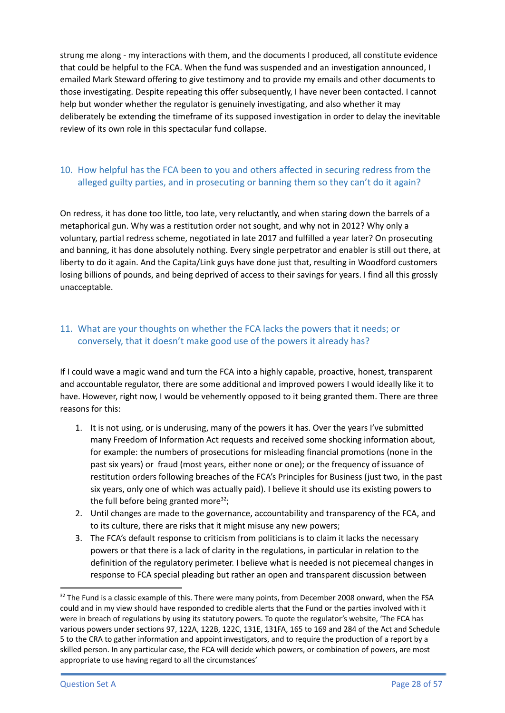strung me along - my interactions with them, and the documents I produced, all constitute evidence that could be helpful to the FCA. When the fund was suspended and an investigation announced, I emailed Mark Steward offering to give testimony and to provide my emails and other documents to those investigating. Despite repeating this offer subsequently, I have never been contacted. I cannot help but wonder whether the regulator is genuinely investigating, and also whether it may deliberately be extending the timeframe of its supposed investigation in order to delay the inevitable review of its own role in this spectacular fund collapse.

# 10. How helpful has the FCA been to you and others affected in securing redress from the alleged guilty parties, and in prosecuting or banning them so they can't do it again?

On redress, it has done too little, too late, very reluctantly, and when staring down the barrels of a metaphorical gun. Why was a restitution order not sought, and why not in 2012? Why only a voluntary, partial redress scheme, negotiated in late 2017 and fulfilled a year later? On prosecuting and banning, it has done absolutely nothing. Every single perpetrator and enabler is still out there, at liberty to do it again. And the Capita/Link guys have done just that, resulting in Woodford customers losing billions of pounds, and being deprived of access to their savings for years. I find all this grossly unacceptable.

## 11. What are your thoughts on whether the FCA lacks the powers that it needs; or conversely, that it doesn't make good use of the powers it already has?

If I could wave a magic wand and turn the FCA into a highly capable, proactive, honest, transparent and accountable regulator, there are some additional and improved powers I would ideally like it to have. However, right now, I would be vehemently opposed to it being granted them. There are three reasons for this:

- 1. It is not using, or is underusing, many of the powers it has. Over the years I've submitted many Freedom of Information Act requests and received some shocking information about, for example: the numbers of prosecutions for misleading financial promotions (none in the past six years) or fraud (most years, either none or one); or the frequency of issuance of restitution orders following breaches of the FCA's Principles for Business (just two, in the past six years, only one of which was actually paid). I believe it should use its existing powers to the full before being granted more<sup>32</sup>;
- 2. Until changes are made to the governance, accountability and transparency of the FCA, and to its culture, there are risks that it might misuse any new powers;
- 3. The FCA's default response to criticism from politicians is to claim it lacks the necessary powers or that there is a lack of clarity in the regulations, in particular in relation to the definition of the regulatory perimeter. I believe what is needed is not piecemeal changes in response to FCA special pleading but rather an open and transparent discussion between

<sup>&</sup>lt;sup>32</sup> The Fund is a classic example of this. There were many points, from December 2008 onward, when the FSA could and in my view should have responded to credible alerts that the Fund or the parties involved with it were in breach of regulations by using its statutory powers. To quote the regulator's website, 'The FCA has various powers under sections 97, 122A, 122B, 122C, 131E, 131FA, 165 to 169 and 284 of the Act and Schedule 5 to the CRA to gather information and appoint investigators, and to require the production of a report by a skilled person. In any particular case, the FCA will decide which powers, or combination of powers, are most appropriate to use having regard to all the circumstances'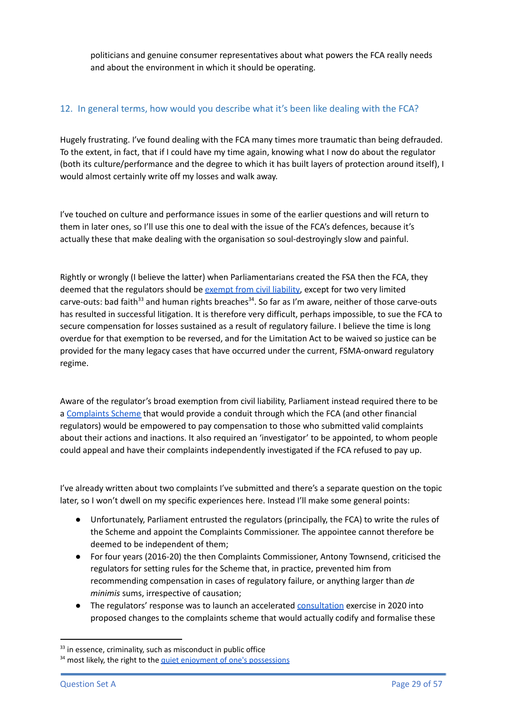politicians and genuine consumer representatives about what powers the FCA really needs and about the environment in which it should be operating.

### 12. In general terms, how would you describe what it's been like dealing with the FCA?

Hugely frustrating. I've found dealing with the FCA many times more traumatic than being defrauded. To the extent, in fact, that if I could have my time again, knowing what I now do about the regulator (both its culture/performance and the degree to which it has built layers of protection around itself), I would almost certainly write off my losses and walk away.

I've touched on culture and performance issues in some of the earlier questions and will return to them in later ones, so I'll use this one to deal with the issue of the FCA's defences, because it's actually these that make dealing with the organisation so soul-destroyingly slow and painful.

Rightly or wrongly (I believe the latter) when Parliamentarians created the FSA then the FCA, they deemed that the regulators should be [exempt](https://questions-statements.parliament.uk/written-questions/detail/2019-03-04/228164) from civil liability, except for two very limited carve-outs: bad faith<sup>33</sup> and human rights breaches<sup>34</sup>. So far as I'm aware, neither of those carve-outs has resulted in successful litigation. It is therefore very difficult, perhaps impossible, to sue the FCA to secure compensation for losses sustained as a result of regulatory failure. I believe the time is long overdue for that exemption to be reversed, and for the Limitation Act to be waived so justice can be provided for the many legacy cases that have occurred under the current, FSMA-onward regulatory regime.

Aware of the regulator's broad exemption from civil liability, Parliament instead required there to be a [Complaints](https://www.legislation.gov.uk/ukpga/2012/21/part/6/enacted) Scheme that would provide a conduit through which the FCA (and other financial regulators) would be empowered to pay compensation to those who submitted valid complaints about their actions and inactions. It also required an 'investigator' to be appointed, to whom people could appeal and have their complaints independently investigated if the FCA refused to pay up.

I've already written about two complaints I've submitted and there's a separate question on the topic later, so I won't dwell on my specific experiences here. Instead I'll make some general points:

- Unfortunately, Parliament entrusted the regulators (principally, the FCA) to write the rules of the Scheme and appoint the Complaints Commissioner. The appointee cannot therefore be deemed to be independent of them;
- For four years (2016-20) the then Complaints Commissioner, Antony Townsend, criticised the regulators for setting rules for the Scheme that, in practice, prevented him from recommending compensation in cases of regulatory failure, or anything larger than *de minimis* sums, irrespective of causation;
- The regulators' response was to launch an accelerated [consultation](https://www.fca.org.uk/publications/consultation-papers/cp20-11-complaints-against-regulators-fca-pra-boe) exercise in 2020 into proposed changes to the complaints scheme that would actually codify and formalise these

 $33$  in essence, criminality, such as misconduct in public office

<sup>&</sup>lt;sup>34</sup> most likely, the right to the quiet enjoyment of one's [possessions](https://www.legislation.gov.uk/ukpga/1998/42/schedule/1/part/II/chapter/1)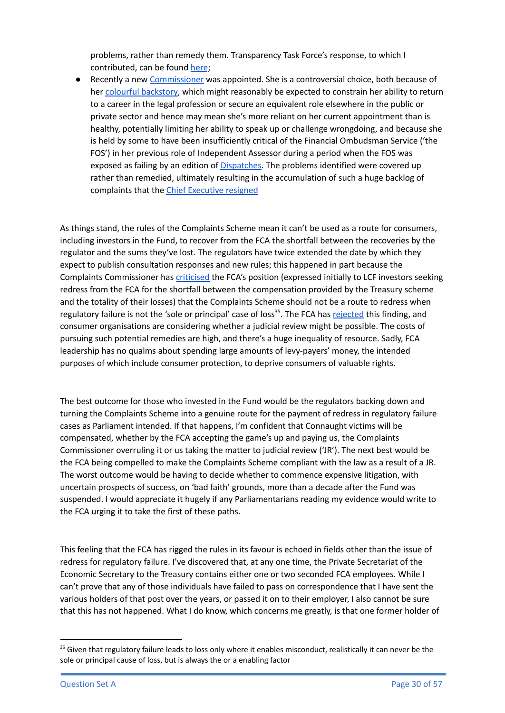problems, rather than remedy them. Transparency Task Force's response, to which I contributed, can be found [here](https://www.transparencytaskforce.org/wp-content/uploads/2020/10/Complaints-agains-the-Regulators-CP2011-1.pdf);

● Recently a new [Commissioner](https://frccommissioner.org.uk/profile/) was appointed. She is a controversial choice, both because of her colourful [backstory,](https://www.dailymail.co.uk/news/article-1297448/Raoul-Moat-probe-chief-left-wife-IPCC-colleague.html) which might reasonably be expected to constrain her ability to return to a career in the legal profession or secure an equivalent role elsewhere in the public or private sector and hence may mean she's more reliant on her current appointment than is healthy, potentially limiting her ability to speak up or challenge wrongdoing, and because she is held by some to have been insufficiently critical of the Financial Ombudsman Service ('the FOS') in her previous role of Independent Assessor during a period when the FOS was exposed as failing by an edition of **Dispatches**. The problems identified were covered up rather than remedied, ultimately resulting in the accumulation of such a huge backlog of complaints that the Chief [Executive](https://www.financial-ombudsman.org.uk/news-events/caroline-wayman-to-step-down-as-chief-ombudsman-and-chief-executive-at-the-financial-ombudsman-service#:~:text=News%20and%20events%20%2F-,Caroline%20Wayman%20to%20step%20down%20as%20chief%20ombudsman%20%26%20chief,at%20the%20Financial%20Ombudsman%20Service&text=Caroline%20Wayman%2C%20chief%20ombudsman%20%26%20chief,7%20years%20as%20chief%20executive.) resigned

As things stand, the rules of the Complaints Scheme mean it can't be used as a route for consumers, including investors in the Fund, to recover from the FCA the shortfall between the recoveries by the regulator and the sums they've lost. The regulators have twice extended the date by which they expect to publish consultation responses and new rules; this happened in part because the Complaints Commissioner has [criticised](https://frccommissioner.org.uk/wp-content/uploads/The-Complaints-Commissioner-Final-Report-LCF-15.02.2022.pdf) the FCA's position (expressed initially to LCF investors seeking redress from the FCA for the shortfall between the compensation provided by the Treasury scheme and the totality of their losses) that the Complaints Scheme should not be a route to redress when regulatory failure is not the 'sole or principal' case of loss<sup>35</sup>. The FCA has [rejected](https://www.fca.org.uk/publication/corporate/response-to-complaints-commissioner-final-report-fca-oversight-lcf-15-march-2022.pdf) this finding, and consumer organisations are considering whether a judicial review might be possible. The costs of pursuing such potential remedies are high, and there's a huge inequality of resource. Sadly, FCA leadership has no qualms about spending large amounts of levy-payers' money, the intended purposes of which include consumer protection, to deprive consumers of valuable rights.

The best outcome for those who invested in the Fund would be the regulators backing down and turning the Complaints Scheme into a genuine route for the payment of redress in regulatory failure cases as Parliament intended. If that happens, I'm confident that Connaught victims will be compensated, whether by the FCA accepting the game's up and paying us, the Complaints Commissioner overruling it or us taking the matter to judicial review ('JR'). The next best would be the FCA being compelled to make the Complaints Scheme compliant with the law as a result of a JR. The worst outcome would be having to decide whether to commence expensive litigation, with uncertain prospects of success, on 'bad faith' grounds, more than a decade after the Fund was suspended. I would appreciate it hugely if any Parliamentarians reading my evidence would write to the FCA urging it to take the first of these paths.

This feeling that the FCA has rigged the rules in its favour is echoed in fields other than the issue of redress for regulatory failure. I've discovered that, at any one time, the Private Secretariat of the Economic Secretary to the Treasury contains either one or two seconded FCA employees. While I can't prove that any of those individuals have failed to pass on correspondence that I have sent the various holders of that post over the years, or passed it on to their employer, I also cannot be sure that this has not happened. What I do know, which concerns me greatly, is that one former holder of

<sup>&</sup>lt;sup>35</sup> Given that regulatory failure leads to loss only where it enables misconduct, realistically it can never be the sole or principal cause of loss, but is always the or a enabling factor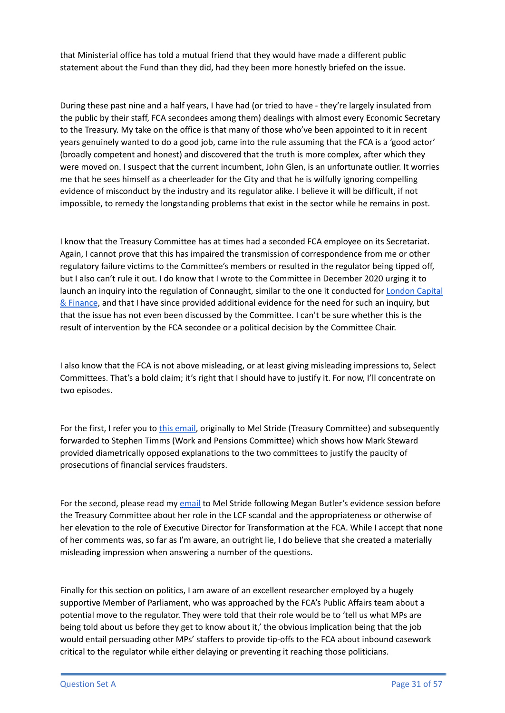that Ministerial office has told a mutual friend that they would have made a different public statement about the Fund than they did, had they been more honestly briefed on the issue.

During these past nine and a half years, I have had (or tried to have - they're largely insulated from the public by their staff, FCA secondees among them) dealings with almost every Economic Secretary to the Treasury. My take on the office is that many of those who've been appointed to it in recent years genuinely wanted to do a good job, came into the rule assuming that the FCA is a 'good actor' (broadly competent and honest) and discovered that the truth is more complex, after which they were moved on. I suspect that the current incumbent, John Glen, is an unfortunate outlier. It worries me that he sees himself as a cheerleader for the City and that he is wilfully ignoring compelling evidence of misconduct by the industry and its regulator alike. I believe it will be difficult, if not impossible, to remedy the longstanding problems that exist in the sector while he remains in post.

I know that the Treasury Committee has at times had a seconded FCA employee on its Secretariat. Again, I cannot prove that this has impaired the transmission of correspondence from me or other regulatory failure victims to the Committee's members or resulted in the regulator being tipped off, but I also can't rule it out. I do know that I wrote to the Committee in December 2020 urging it to launch an inquiry into the regulation of Connaught, similar to the one it conducted for **[London](https://committees.parliament.uk/work/1000/the-financial-conduct-authoritys-regulation-of-london-capital-finance-plc/) Capital** & [Finance](https://committees.parliament.uk/work/1000/the-financial-conduct-authoritys-regulation-of-london-capital-finance-plc/), and that I have since provided additional evidence for the need for such an inquiry, but that the issue has not even been discussed by the Committee. I can't be sure whether this is the result of intervention by the FCA secondee or a political decision by the Committee Chair.

I also know that the FCA is not above misleading, or at least giving misleading impressions to, Select Committees. That's a bold claim; it's right that I should have to justify it. For now, I'll concentrate on two episodes.

For the first, I refer you to this [email](https://drive.google.com/file/d/19j2fD0Z22VsY5obc0txUUY-MkUqsI6Mq/view?usp=sharing), originally to Mel Stride (Treasury Committee) and subsequently forwarded to Stephen Timms (Work and Pensions Committee) which shows how Mark Steward provided diametrically opposed explanations to the two committees to justify the paucity of prosecutions of financial services fraudsters.

For the second, please read my [email](https://drive.google.com/file/d/1A1tfpA_qQepd6Z-VntKCdP215q7GA-pX/view?usp=sharing) to Mel Stride following Megan Butler's evidence session before the Treasury Committee about her role in the LCF scandal and the appropriateness or otherwise of her elevation to the role of Executive Director for Transformation at the FCA. While I accept that none of her comments was, so far as I'm aware, an outright lie, I do believe that she created a materially misleading impression when answering a number of the questions.

Finally for this section on politics, I am aware of an excellent researcher employed by a hugely supportive Member of Parliament, who was approached by the FCA's Public Affairs team about a potential move to the regulator. They were told that their role would be to 'tell us what MPs are being told about us before they get to know about it,' the obvious implication being that the job would entail persuading other MPs' staffers to provide tip-offs to the FCA about inbound casework critical to the regulator while either delaying or preventing it reaching those politicians.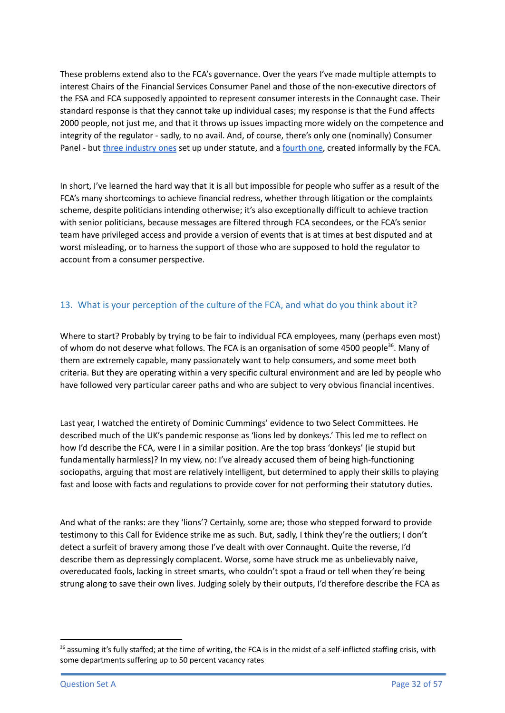These problems extend also to the FCA's governance. Over the years I've made multiple attempts to interest Chairs of the Financial Services Consumer Panel and those of the non-executive directors of the FSA and FCA supposedly appointed to represent consumer interests in the Connaught case. Their standard response is that they cannot take up individual cases; my response is that the Fund affects 2000 people, not just me, and that it throws up issues impacting more widely on the competence and integrity of the regulator - sadly, to no avail. And, of course, there's only one (nominally) Consumer Panel - but three [industry](https://www.fca.org.uk/about/uk-regulators-government-other-bodies/statutory-panels) ones set up under statute, and a [fourth](https://www.fca.org.uk/about/uk-regulators-government-other-bodies/listing-authority-advisory-panel) one, created informally by the FCA.

In short, I've learned the hard way that it is all but impossible for people who suffer as a result of the FCA's many shortcomings to achieve financial redress, whether through litigation or the complaints scheme, despite politicians intending otherwise; it's also exceptionally difficult to achieve traction with senior politicians, because messages are filtered through FCA secondees, or the FCA's senior team have privileged access and provide a version of events that is at times at best disputed and at worst misleading, or to harness the support of those who are supposed to hold the regulator to account from a consumer perspective.

## 13. What is your perception of the culture of the FCA, and what do you think about it?

Where to start? Probably by trying to be fair to individual FCA employees, many (perhaps even most) of whom do not deserve what follows. The FCA is an organisation of some 4500 people<sup>36</sup>. Many of them are extremely capable, many passionately want to help consumers, and some meet both criteria. But they are operating within a very specific cultural environment and are led by people who have followed very particular career paths and who are subject to very obvious financial incentives.

Last year, I watched the entirety of Dominic Cummings' evidence to two Select Committees. He described much of the UK's pandemic response as 'lions led by donkeys.' This led me to reflect on how I'd describe the FCA, were I in a similar position. Are the top brass 'donkeys' (ie stupid but fundamentally harmless)? In my view, no: I've already accused them of being high-functioning sociopaths, arguing that most are relatively intelligent, but determined to apply their skills to playing fast and loose with facts and regulations to provide cover for not performing their statutory duties.

And what of the ranks: are they 'lions'? Certainly, some are; those who stepped forward to provide testimony to this Call for Evidence strike me as such. But, sadly, I think they're the outliers; I don't detect a surfeit of bravery among those I've dealt with over Connaught. Quite the reverse, I'd describe them as depressingly complacent. Worse, some have struck me as unbelievably naive, overeducated fools, lacking in street smarts, who couldn't spot a fraud or tell when they're being strung along to save their own lives. Judging solely by their outputs, I'd therefore describe the FCA as

<sup>&</sup>lt;sup>36</sup> assuming it's fully staffed; at the time of writing, the FCA is in the midst of a self-inflicted staffing crisis, with some departments suffering up to 50 percent vacancy rates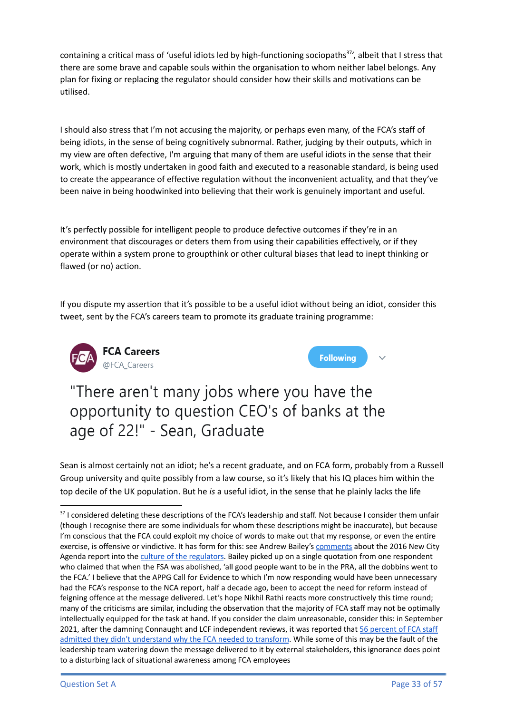containing a critical mass of 'useful idiots led by high-functioning sociopaths<sup>37</sup>', albeit that I stress that there are some brave and capable souls within the organisation to whom neither label belongs. Any plan for fixing or replacing the regulator should consider how their skills and motivations can be utilised.

I should also stress that I'm not accusing the majority, or perhaps even many, of the FCA's staff of being idiots, in the sense of being cognitively subnormal. Rather, judging by their outputs, which in my view are often defective, I'm arguing that many of them are useful idiots in the sense that their work, which is mostly undertaken in good faith and executed to a reasonable standard, is being used to create the appearance of effective regulation without the inconvenient actuality, and that they've been naive in being hoodwinked into believing that their work is genuinely important and useful.

It's perfectly possible for intelligent people to produce defective outcomes if they're in an environment that discourages or deters them from using their capabilities effectively, or if they operate within a system prone to groupthink or other cultural biases that lead to inept thinking or flawed (or no) action.

If you dispute my assertion that it's possible to be a useful idiot without being an idiot, consider this tweet, sent by the FCA's careers team to promote its graduate training programme:





"There aren't many jobs where you have the opportunity to question CEO's of banks at the age of 22!" - Sean, Graduate

Sean is almost certainly not an idiot; he's a recent graduate, and on FCA form, probably from a Russell Group university and quite possibly from a law course, so it's likely that his IQ places him within the top decile of the UK population. But he *is* a useful idiot, in the sense that he plainly lacks the life

<sup>&</sup>lt;sup>37</sup> I considered deleting these descriptions of the FCA's leadership and staff. Not because I consider them unfair (though I recognise there are some individuals for whom these descriptions might be inaccurate), but because I'm conscious that the FCA could exploit my choice of words to make out that my response, or even the entire exercise, is offensive or vindictive. It has form for this: see Andrew Bailey's [comments](https://smeinfo.my/downright-offensive-finance-watchdog-attacks-report-that-called-staff-dobbins/) about the 2016 New City Agenda report into the culture of the [regulators](https://newcityagenda.co.uk/wp-content/uploads/2016/10/NCA-Cultural_Change_in_regulators_report.pdf). Bailey picked up on a single quotation from one respondent who claimed that when the FSA was abolished, 'all good people want to be in the PRA, all the dobbins went to the FCA.' I believe that the APPG Call for Evidence to which I'm now responding would have been unnecessary had the FCA's response to the NCA report, half a decade ago, been to accept the need for reform instead of feigning offence at the message delivered. Let's hope Nikhil Rathi reacts more constructively this time round; many of the criticisms are similar, including the observation that the majority of FCA staff may not be optimally intellectually equipped for the task at hand. If you consider the claim unreasonable, consider this: in September 2021, after the damning Connaught and LCF independent reviews, it was reported that 56 [percent](https://www.fnlondon.com/articles/fca-memo-shows-bosses-seek-to-quell-staff-outcry-as-morale-slumps-to-all-time-low-20210906) of FCA staff admitted they didn't [understand](https://www.fnlondon.com/articles/fca-memo-shows-bosses-seek-to-quell-staff-outcry-as-morale-slumps-to-all-time-low-20210906) why the FCA needed to transform. While some of this may be the fault of the leadership team watering down the message delivered to it by external stakeholders, this ignorance does point to a disturbing lack of situational awareness among FCA employees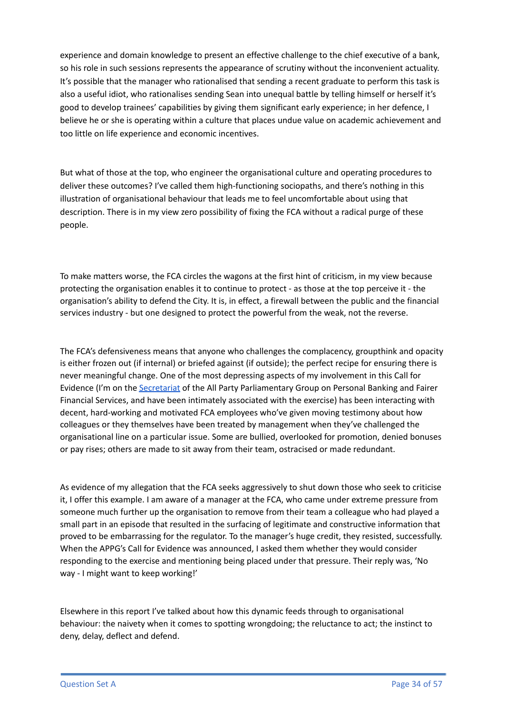experience and domain knowledge to present an effective challenge to the chief executive of a bank, so his role in such sessions represents the appearance of scrutiny without the inconvenient actuality. It's possible that the manager who rationalised that sending a recent graduate to perform this task is also a useful idiot, who rationalises sending Sean into unequal battle by telling himself or herself it's good to develop trainees' capabilities by giving them significant early experience; in her defence, I believe he or she is operating within a culture that places undue value on academic achievement and too little on life experience and economic incentives.

But what of those at the top, who engineer the organisational culture and operating procedures to deliver these outcomes? I've called them high-functioning sociopaths, and there's nothing in this illustration of organisational behaviour that leads me to feel uncomfortable about using that description. There is in my view zero possibility of fixing the FCA without a radical purge of these people.

To make matters worse, the FCA circles the wagons at the first hint of criticism, in my view because protecting the organisation enables it to continue to protect - as those at the top perceive it - the organisation's ability to defend the City. It is, in effect, a firewall between the public and the financial services industry - but one designed to protect the powerful from the weak, not the reverse.

The FCA's defensiveness means that anyone who challenges the complacency, groupthink and opacity is either frozen out (if internal) or briefed against (if outside); the perfect recipe for ensuring there is never meaningful change. One of the most depressing aspects of my involvement in this Call for Evidence (I'm on the [Secretariat](https://appgonpersonalbankingandfairerfinancialservices.org/about-us/secretariat) of the All Party Parliamentary Group on Personal Banking and Fairer Financial Services, and have been intimately associated with the exercise) has been interacting with decent, hard-working and motivated FCA employees who've given moving testimony about how colleagues or they themselves have been treated by management when they've challenged the organisational line on a particular issue. Some are bullied, overlooked for promotion, denied bonuses or pay rises; others are made to sit away from their team, ostracised or made redundant.

As evidence of my allegation that the FCA seeks aggressively to shut down those who seek to criticise it, I offer this example. I am aware of a manager at the FCA, who came under extreme pressure from someone much further up the organisation to remove from their team a colleague who had played a small part in an episode that resulted in the surfacing of legitimate and constructive information that proved to be embarrassing for the regulator. To the manager's huge credit, they resisted, successfully. When the APPG's Call for Evidence was announced, I asked them whether they would consider responding to the exercise and mentioning being placed under that pressure. Their reply was, 'No way - I might want to keep working!'

Elsewhere in this report I've talked about how this dynamic feeds through to organisational behaviour: the naivety when it comes to spotting wrongdoing; the reluctance to act; the instinct to deny, delay, deflect and defend.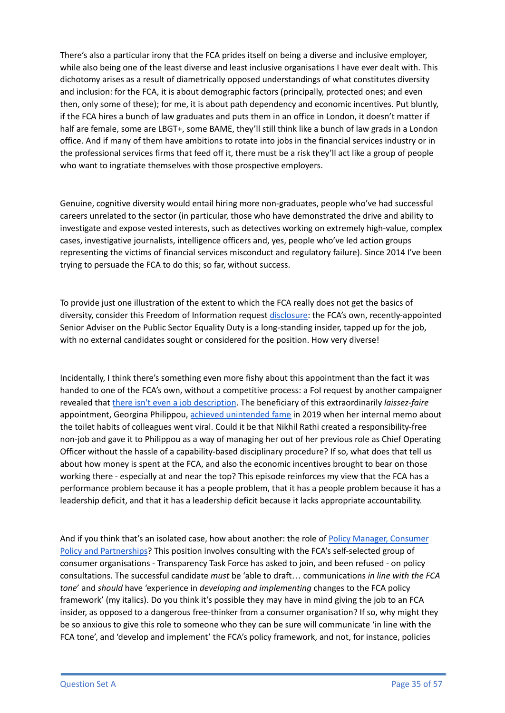There's also a particular irony that the FCA prides itself on being a diverse and inclusive employer, while also being one of the least diverse and least inclusive organisations I have ever dealt with. This dichotomy arises as a result of diametrically opposed understandings of what constitutes diversity and inclusion: for the FCA, it is about demographic factors (principally, protected ones; and even then, only some of these); for me, it is about path dependency and economic incentives. Put bluntly, if the FCA hires a bunch of law graduates and puts them in an office in London, it doesn't matter if half are female, some are LBGT+, some BAME, they'll still think like a bunch of law grads in a London office. And if many of them have ambitions to rotate into jobs in the financial services industry or in the professional services firms that feed off it, there must be a risk they'll act like a group of people who want to ingratiate themselves with those prospective employers.

Genuine, cognitive diversity would entail hiring more non-graduates, people who've had successful careers unrelated to the sector (in particular, those who have demonstrated the drive and ability to investigate and expose vested interests, such as detectives working on extremely high-value, complex cases, investigative journalists, intelligence officers and, yes, people who've led action groups representing the victims of financial services misconduct and regulatory failure). Since 2014 I've been trying to persuade the FCA to do this; so far, without success.

To provide just one illustration of the extent to which the FCA really does not get the basics of diversity, consider this Freedom of Information request [disclosure](https://drive.google.com/file/d/1OIEqRZMAuTG39MjOcCrojdD5XQ-IcC94/view?usp=sharing): the FCA's own, recently-appointed Senior Adviser on the Public Sector Equality Duty is a long-standing insider, tapped up for the job, with no external candidates sought or considered for the position. How very diverse!

Incidentally, I think there's something even more fishy about this appointment than the fact it was handed to one of the FCA's own, without a competitive process: a FoI request by another campaigner revealed that there isn't even a job [description.](https://www.whatdotheyknow.com/request/fca_public_sector_equality_duty#incoming-2007250) The beneficiary of this extraordinarily *laissez-faire* appointment, Georgina Philippou, achieved [unintended](https://www.bondreview.co.uk/2019/11/13/fca-officials-shit-on-the-floor-as-well-as-the-bed/) fame in 2019 when her internal memo about the toilet habits of colleagues went viral. Could it be that Nikhil Rathi created a responsibility-free non-job and gave it to Philippou as a way of managing her out of her previous role as Chief Operating Officer without the hassle of a capability-based disciplinary procedure? If so, what does that tell us about how money is spent at the FCA, and also the economic incentives brought to bear on those working there - especially at and near the top? This episode reinforces my view that the FCA has a performance problem because it has a people problem, that it has a people problem because it has a leadership deficit, and that it has a leadership deficit because it lacks appropriate accountability.

And if you think that's an isolated case, how about another: the role of Policy Manager, [Consumer](https://fca.wd3.myworkdayjobs.com/en-US/FCA_Careers/job/London/Policy-Manager--Consumer-Policy-and-Partnerships_JR0004742-1) Policy and [Partnerships](https://fca.wd3.myworkdayjobs.com/en-US/FCA_Careers/job/London/Policy-Manager--Consumer-Policy-and-Partnerships_JR0004742-1)? This position involves consulting with the FCA's self-selected group of consumer organisations - Transparency Task Force has asked to join, and been refused - on policy consultations. The successful candidate *must* be 'able to draft… communications *in line with the FCA tone*' and *should* have 'experience in *developing and implementing* changes to the FCA policy framework' (my italics). Do you think it's possible they may have in mind giving the job to an FCA insider, as opposed to a dangerous free-thinker from a consumer organisation? If so, why might they be so anxious to give this role to someone who they can be sure will communicate 'in line with the FCA tone', and 'develop and implement' the FCA's policy framework, and not, for instance, policies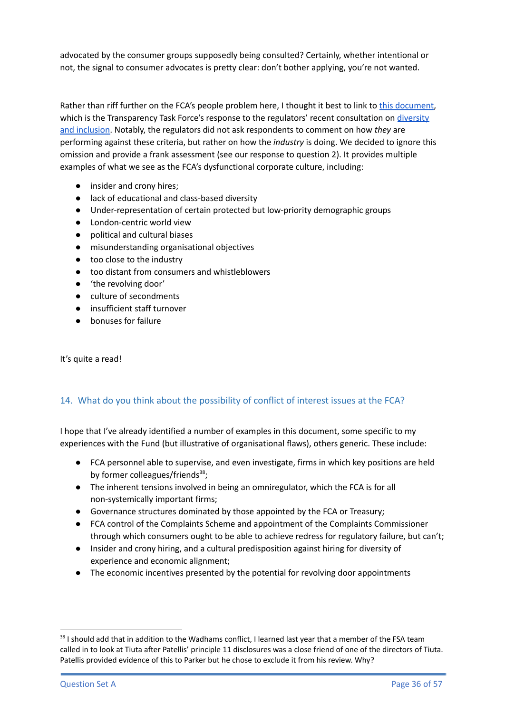advocated by the consumer groups supposedly being consulted? Certainly, whether intentional or not, the signal to consumer advocates is pretty clear: don't bother applying, you're not wanted.

Rather than riff further on the FCA's people problem here, I thought it best to link to this [document](https://www.transparencytaskforce.org/wp-content/uploads/2021/09/DP21_2_-Diversity-and-inclusion-in-the-financial-sector.pdf), which is the Transparency Task Force's response to the regulators' recent consultation on [diversity](https://www.transparencytaskforce.org/wp-content/uploads/2021/09/DP21_2_-Diversity-and-inclusion-in-the-financial-sector.pdf) and [inclusion.](https://www.transparencytaskforce.org/wp-content/uploads/2021/09/DP21_2_-Diversity-and-inclusion-in-the-financial-sector.pdf) Notably, the regulators did not ask respondents to comment on how *they* are performing against these criteria, but rather on how the *industry* is doing. We decided to ignore this omission and provide a frank assessment (see our response to question 2). It provides multiple examples of what we see as the FCA's dysfunctional corporate culture, including:

- insider and crony hires;
- lack of educational and class-based diversity
- Under-representation of certain protected but low-priority demographic groups
- London-centric world view
- political and cultural biases
- misunderstanding organisational objectives
- too close to the industry
- too distant from consumers and whistleblowers
- 'the revolving door'
- culture of secondments
- insufficient staff turnover
- bonuses for failure

It's quite a read!

### 14. What do you think about the possibility of conflict of interest issues at the FCA?

I hope that I've already identified a number of examples in this document, some specific to my experiences with the Fund (but illustrative of organisational flaws), others generic. These include:

- FCA personnel able to supervise, and even investigate, firms in which key positions are held by former colleagues/friends<sup>38</sup>;
- The inherent tensions involved in being an omniregulator, which the FCA is for all non-systemically important firms;
- Governance structures dominated by those appointed by the FCA or Treasury;
- FCA control of the Complaints Scheme and appointment of the Complaints Commissioner through which consumers ought to be able to achieve redress for regulatory failure, but can't;
- Insider and crony hiring, and a cultural predisposition against hiring for diversity of experience and economic alignment;
- The economic incentives presented by the potential for revolving door appointments

<sup>&</sup>lt;sup>38</sup> I should add that in addition to the Wadhams conflict. I learned last year that a member of the FSA team called in to look at Tiuta after Patellis' principle 11 disclosures was a close friend of one of the directors of Tiuta. Patellis provided evidence of this to Parker but he chose to exclude it from his review. Why?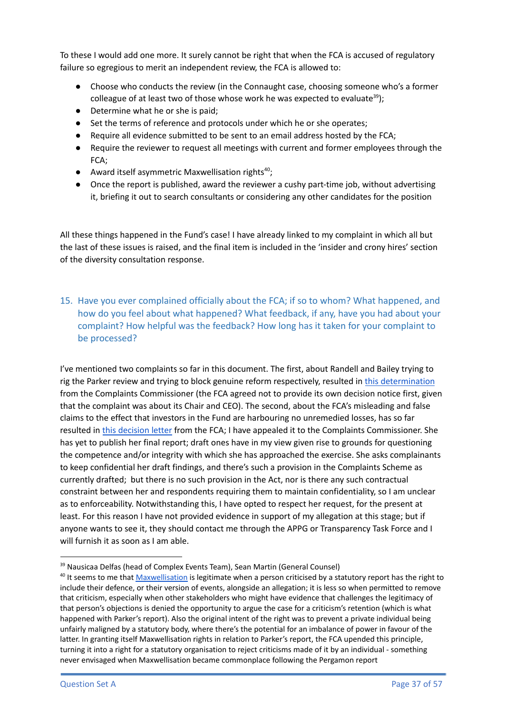To these I would add one more. It surely cannot be right that when the FCA is accused of regulatory failure so egregious to merit an independent review, the FCA is allowed to:

- Choose who conducts the review (in the Connaught case, choosing someone who's a former colleague of at least two of those whose work he was expected to evaluate<sup>39</sup>);
- Determine what he or she is paid:
- Set the terms of reference and protocols under which he or she operates;
- Require all evidence submitted to be sent to an email address hosted by the FCA;
- Require the reviewer to request all meetings with current and former employees through the FCA;
- Award itself asymmetric Maxwellisation rights<sup>40</sup>;
- Once the report is published, award the reviewer a cushy part-time job, without advertising it, briefing it out to search consultants or considering any other candidates for the position

All these things happened in the Fund's case! I have already linked to my complaint in which all but the last of these issues is raised, and the final item is included in the 'insider and crony hires' section of the diversity consultation response.

15. Have you ever complained officially about the FCA; if so to whom? What happened, and how do you feel about what happened? What feedback, if any, have you had about your complaint? How helpful was the feedback? How long has it taken for your complaint to be processed?

I've mentioned two complaints so far in this document. The first, about Randell and Bailey trying to rig the Parker review and trying to block genuine reform respectively, resulted in this [determination](https://drive.google.com/file/d/1D8GXyA8bc69LNqSfKehasBUZOaLMLE3R/view?usp=sharing) from the Complaints Commissioner (the FCA agreed not to provide its own decision notice first, given that the complaint was about its Chair and CEO). The second, about the FCA's misleading and false claims to the effect that investors in the Fund are harbouring no unremedied losses, has so far resulted in this [decision](https://drive.google.com/file/d/19W6nP_EvjpAtJR50nXjN9L8g1X3lm4vI/view?usp=sharing) letter from the FCA; I have appealed it to the Complaints Commissioner. She has yet to publish her final report; draft ones have in my view given rise to grounds for questioning the competence and/or integrity with which she has approached the exercise. She asks complainants to keep confidential her draft findings, and there's such a provision in the Complaints Scheme as currently drafted; but there is no such provision in the Act, nor is there any such contractual constraint between her and respondents requiring them to maintain confidentiality, so I am unclear as to enforceability. Notwithstanding this, I have opted to respect her request, for the present at least. For this reason I have not provided evidence in support of my allegation at this stage; but if anyone wants to see it, they should contact me through the APPG or Transparency Task Force and I will furnish it as soon as I am able.

<sup>&</sup>lt;sup>39</sup> Nausicaa Delfas (head of Complex Events Team), Sean Martin (General Counsel)

<sup>&</sup>lt;sup>40</sup> It seems to me that [Maxwellisation](https://en.wikipedia.org/wiki/Maxwellisation) is legitimate when a person criticised by a statutory report has the right to include their defence, or their version of events, alongside an allegation; it is less so when permitted to remove that criticism, especially when other stakeholders who might have evidence that challenges the legitimacy of that person's objections is denied the opportunity to argue the case for a criticism's retention (which is what happened with Parker's report). Also the original intent of the right was to prevent a private individual being unfairly maligned by a statutory body, where there's the potential for an imbalance of power in favour of the latter. In granting itself Maxwellisation rights in relation to Parker's report, the FCA upended this principle, turning it into a right for a statutory organisation to reject criticisms made of it by an individual - something never envisaged when Maxwellisation became commonplace following the Pergamon report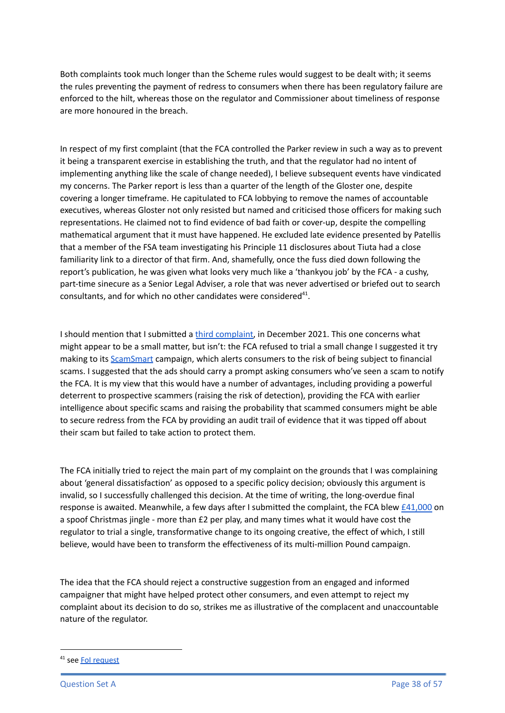Both complaints took much longer than the Scheme rules would suggest to be dealt with; it seems the rules preventing the payment of redress to consumers when there has been regulatory failure are enforced to the hilt, whereas those on the regulator and Commissioner about timeliness of response are more honoured in the breach.

In respect of my first complaint (that the FCA controlled the Parker review in such a way as to prevent it being a transparent exercise in establishing the truth, and that the regulator had no intent of implementing anything like the scale of change needed), I believe subsequent events have vindicated my concerns. The Parker report is less than a quarter of the length of the Gloster one, despite covering a longer timeframe. He capitulated to FCA lobbying to remove the names of accountable executives, whereas Gloster not only resisted but named and criticised those officers for making such representations. He claimed not to find evidence of bad faith or cover-up, despite the compelling mathematical argument that it must have happened. He excluded late evidence presented by Patellis that a member of the FSA team investigating his Principle 11 disclosures about Tiuta had a close familiarity link to a director of that firm. And, shamefully, once the fuss died down following the report's publication, he was given what looks very much like a 'thankyou job' by the FCA - a cushy, part-time sinecure as a Senior Legal Adviser, a role that was never advertised or briefed out to search consultants, and for which no other candidates were considered<sup>41</sup>.

I should mention that I submitted a third [complaint](https://drive.google.com/drive/folders/1FpGD3f2j0E-1EOStpZzxa_ErpLlmr-1X?usp=sharing), in December 2021. This one concerns what might appear to be a small matter, but isn't: the FCA refused to trial a small change I suggested it try making to its **[ScamSmart](https://www.fca.org.uk/scamsmart)** campaign, which alerts consumers to the risk of being subject to financial scams. I suggested that the ads should carry a prompt asking consumers who've seen a scam to notify the FCA. It is my view that this would have a number of advantages, including providing a powerful deterrent to prospective scammers (raising the risk of detection), providing the FCA with earlier intelligence about specific scams and raising the probability that scammed consumers might be able to secure redress from the FCA by providing an audit trail of evidence that it was tipped off about their scam but failed to take action to protect them.

The FCA initially tried to reject the main part of my complaint on the grounds that I was complaining about 'general dissatisfaction' as opposed to a specific policy decision; obviously this argument is invalid, so I successfully challenged this decision. At the time of writing, the long-overdue final response is awaited. Meanwhile, a few days after I submitted the complaint, the FCA blew [£41,000](https://www.fnlondon.com/articles/fca-threw-41000-at-christmas-jingle-to-raise-fraud-awareness-20220113) on a spoof Christmas jingle - more than £2 per play, and many times what it would have cost the regulator to trial a single, transformative change to its ongoing creative, the effect of which, I still believe, would have been to transform the effectiveness of its multi-million Pound campaign.

The idea that the FCA should reject a constructive suggestion from an engaged and informed campaigner that might have helped protect other consumers, and even attempt to reject my complaint about its decision to do so, strikes me as illustrative of the complacent and unaccountable nature of the regulator.

<sup>&</sup>lt;sup>41</sup> see **Fol [request](https://drive.google.com/file/d/19jjkDEBmj49bLT7XcUe3yRP3bKBxaQTl/view?usp=sharing)**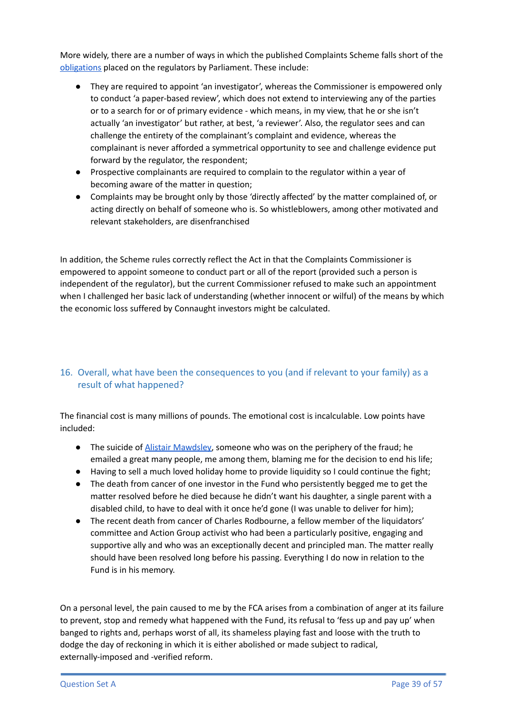More widely, there are a number of ways in which the published Complaints Scheme falls short of the [obligations](https://www.legislation.gov.uk/ukpga/2012/21/part/6/enacted) placed on the regulators by Parliament. These include:

- They are required to appoint 'an investigator', whereas the Commissioner is empowered only to conduct 'a paper-based review', which does not extend to interviewing any of the parties or to a search for or of primary evidence - which means, in my view, that he or she isn't actually 'an investigator' but rather, at best, 'a reviewer'. Also, the regulator sees and can challenge the entirety of the complainant's complaint and evidence, whereas the complainant is never afforded a symmetrical opportunity to see and challenge evidence put forward by the regulator, the respondent;
- Prospective complainants are required to complain to the regulator within a year of becoming aware of the matter in question;
- Complaints may be brought only by those 'directly affected' by the matter complained of, or acting directly on behalf of someone who is. So whistleblowers, among other motivated and relevant stakeholders, are disenfranchised

In addition, the Scheme rules correctly reflect the Act in that the Complaints Commissioner is empowered to appoint someone to conduct part or all of the report (provided such a person is independent of the regulator), but the current Commissioner refused to make such an appointment when I challenged her basic lack of understanding (whether innocent or wilful) of the means by which the economic loss suffered by Connaught investors might be calculated.

## 16. Overall, what have been the consequences to you (and if relevant to your family) as a result of what happened?

The financial cost is many millions of pounds. The emotional cost is incalculable. Low points have included:

- The suicide of Alistair [Mawdsley,](https://www.fnlondon.com/articles/alistair-mawdsley-connaught-asset-management-death-20140407) someone who was on the periphery of the fraud; he emailed a great many people, me among them, blaming me for the decision to end his life;
- Having to sell a much loved holiday home to provide liquidity so I could continue the fight;
- The death from cancer of one investor in the Fund who persistently begged me to get the matter resolved before he died because he didn't want his daughter, a single parent with a disabled child, to have to deal with it once he'd gone (I was unable to deliver for him);
- The recent death from cancer of Charles Rodbourne, a fellow member of the liquidators' committee and Action Group activist who had been a particularly positive, engaging and supportive ally and who was an exceptionally decent and principled man. The matter really should have been resolved long before his passing. Everything I do now in relation to the Fund is in his memory.

On a personal level, the pain caused to me by the FCA arises from a combination of anger at its failure to prevent, stop and remedy what happened with the Fund, its refusal to 'fess up and pay up' when banged to rights and, perhaps worst of all, its shameless playing fast and loose with the truth to dodge the day of reckoning in which it is either abolished or made subject to radical, externally-imposed and -verified reform.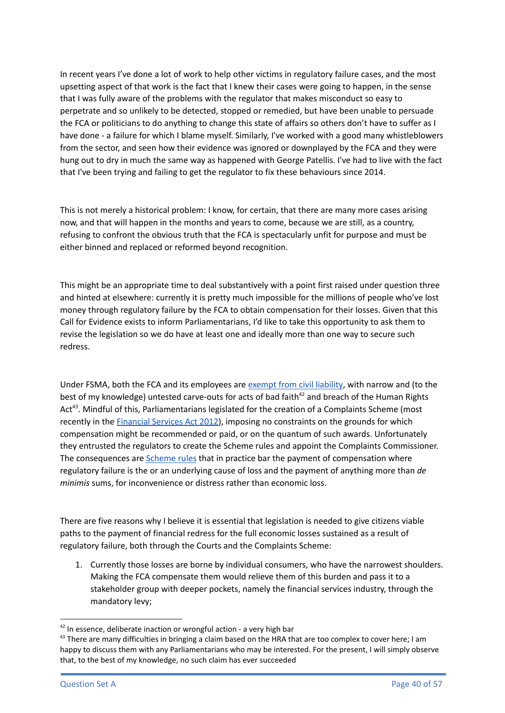In recent years I've done a lot of work to help other victims in regulatory failure cases, and the most upsetting aspect of that work is the fact that I knew their cases were going to happen, in the sense that I was fully aware of the problems with the regulator that makes misconduct so easy to perpetrate and so unlikely to be detected, stopped or remedied, but have been unable to persuade the FCA or politicians to do anything to change this state of affairs so others don't have to suffer as I have done - a failure for which I blame myself. Similarly, I've worked with a good many whistleblowers from the sector, and seen how their evidence was ignored or downplayed by the FCA and they were hung out to dry in much the same way as happened with George Patellis. I've had to live with the fact that I've been trying and failing to get the regulator to fix these behaviours since 2014.

This is not merely a historical problem: I know, for certain, that there are many more cases arising now, and that will happen in the months and years to come, because we are still, as a country, refusing to confront the obvious truth that the FCA is spectacularly unfit for purpose and must be either binned and replaced or reformed beyond recognition.

This might be an appropriate time to deal substantively with a point first raised under question three and hinted at elsewhere: currently it is pretty much impossible for the millions of people who've lost money through regulatory failure by the FCA to obtain compensation for their losses. Given that this Call for Evidence exists to inform Parliamentarians, I'd like to take this opportunity to ask them to revise the legislation so we do have at least one and ideally more than one way to secure such redress.

Under FSMA, both the FCA and its employees are [exempt](https://www.legislation.gov.uk/ukpga/2000/8/schedule/1ZA/part/4) from civil liability, with narrow and (to the best of my knowledge) untested carve-outs for acts of bad faith<sup>42</sup> and breach of the Human Rights Act<sup>43</sup>. Mindful of this, Parliamentarians legislated for the creation of a Complaints Scheme (most recently in the [Financial](https://www.legislation.gov.uk/ukpga/2012/21/part/6) Services Act 2012), imposing no constraints on the grounds for which compensation might be recommended or paid, or on the quantum of such awards. Unfortunately they entrusted the regulators to create the Scheme rules and appoint the Complaints Commissioner. The consequences are [Scheme](https://www.fca.org.uk/publication/corporate/complaints-scheme.pdf) rules that in practice bar the payment of compensation where regulatory failure is the or an underlying cause of loss and the payment of anything more than *de minimis* sums, for inconvenience or distress rather than economic loss.

There are five reasons why I believe it is essential that legislation is needed to give citizens viable paths to the payment of financial redress for the full economic losses sustained as a result of regulatory failure, both through the Courts and the Complaints Scheme:

1. Currently those losses are borne by individual consumers, who have the narrowest shoulders. Making the FCA compensate them would relieve them of this burden and pass it to a stakeholder group with deeper pockets, namely the financial services industry, through the mandatory levy;

<sup>&</sup>lt;sup>42</sup> In essence, deliberate inaction or wrongful action - a very high bar

 $43$  There are many difficulties in bringing a claim based on the HRA that are too complex to cover here; I am happy to discuss them with any Parliamentarians who may be interested. For the present, I will simply observe that, to the best of my knowledge, no such claim has ever succeeded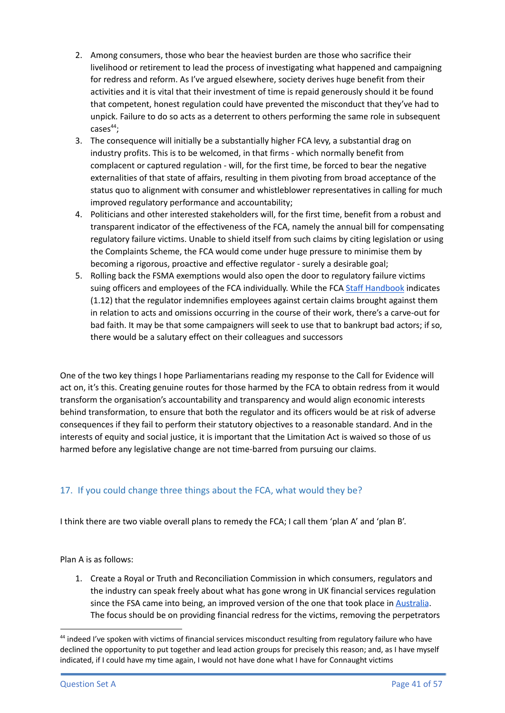- 2. Among consumers, those who bear the heaviest burden are those who sacrifice their livelihood or retirement to lead the process of investigating what happened and campaigning for redress and reform. As I've argued elsewhere, society derives huge benefit from their activities and it is vital that their investment of time is repaid generously should it be found that competent, honest regulation could have prevented the misconduct that they've had to unpick. Failure to do so acts as a deterrent to others performing the same role in subsequent cases 44 ;
- 3. The consequence will initially be a substantially higher FCA levy, a substantial drag on industry profits. This is to be welcomed, in that firms - which normally benefit from complacent or captured regulation - will, for the first time, be forced to bear the negative externalities of that state of affairs, resulting in them pivoting from broad acceptance of the status quo to alignment with consumer and whistleblower representatives in calling for much improved regulatory performance and accountability;
- 4. Politicians and other interested stakeholders will, for the first time, benefit from a robust and transparent indicator of the effectiveness of the FCA, namely the annual bill for compensating regulatory failure victims. Unable to shield itself from such claims by citing legislation or using the Complaints Scheme, the FCA would come under huge pressure to minimise them by becoming a rigorous, proactive and effective regulator - surely a desirable goal;
- 5. Rolling back the FSMA exemptions would also open the door to regulatory failure victims suing officers and employees of the FCA individually. While the FCA Staff [Handbook](https://www.fca.org.uk/publication/corporate/fca-employee-handbook.pdf) indicates (1.12) that the regulator indemnifies employees against certain claims brought against them in relation to acts and omissions occurring in the course of their work, there's a carve-out for bad faith. It may be that some campaigners will seek to use that to bankrupt bad actors; if so, there would be a salutary effect on their colleagues and successors

One of the two key things I hope Parliamentarians reading my response to the Call for Evidence will act on, it's this. Creating genuine routes for those harmed by the FCA to obtain redress from it would transform the organisation's accountability and transparency and would align economic interests behind transformation, to ensure that both the regulator and its officers would be at risk of adverse consequences if they fail to perform their statutory objectives to a reasonable standard. And in the interests of equity and social justice, it is important that the Limitation Act is waived so those of us harmed before any legislative change are not time-barred from pursuing our claims.

## 17. If you could change three things about the FCA, what would they be?

I think there are two viable overall plans to remedy the FCA; I call them 'plan A' and 'plan B'.

Plan A is as follows:

1. Create a Royal or Truth and Reconciliation Commission in which consumers, regulators and the industry can speak freely about what has gone wrong in UK financial services regulation since the FSA came into being, an improved version of the one that took place in [Australia](https://www.royalcommission.gov.au/banking). The focus should be on providing financial redress for the victims, removing the perpetrators

<sup>&</sup>lt;sup>44</sup> indeed I've spoken with victims of financial services misconduct resulting from regulatory failure who have declined the opportunity to put together and lead action groups for precisely this reason; and, as I have myself indicated, if I could have my time again, I would not have done what I have for Connaught victims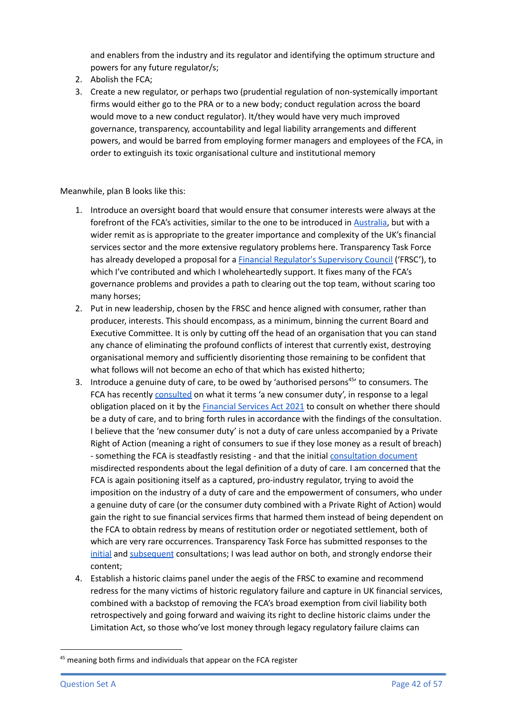and enablers from the industry and its regulator and identifying the optimum structure and powers for any future regulator/s;

- 2. Abolish the FCA;
- 3. Create a new regulator, or perhaps two (prudential regulation of non-systemically important firms would either go to the PRA or to a new body; conduct regulation across the board would move to a new conduct regulator). It/they would have very much improved governance, transparency, accountability and legal liability arrangements and different powers, and would be barred from employing former managers and employees of the FCA, in order to extinguish its toxic organisational culture and institutional memory

Meanwhile, plan B looks like this:

- 1. Introduce an oversight board that would ensure that consumer interests were always at the forefront of the FCA's activities, similar to the one to be introduced in [Australia,](https://www.legislation.gov.au/Details/C2021B00051) but with a wider remit as is appropriate to the greater importance and complexity of the UK's financial services sector and the more extensive regulatory problems here. Transparency Task Force has already developed a proposal for a Financial Regulator's [Supervisory](https://docs.google.com/document/d/1mMJaL6YgaLjxBImCUQI6pjVcPN9Owiacn05EqCazLWU/edit?usp=sharing) Council ('FRSC'), to which I've contributed and which I wholeheartedly support. It fixes many of the FCA's governance problems and provides a path to clearing out the top team, without scaring too many horses;
- 2. Put in new leadership, chosen by the FRSC and hence aligned with consumer, rather than producer, interests. This should encompass, as a minimum, binning the current Board and Executive Committee. It is only by cutting off the head of an organisation that you can stand any chance of eliminating the profound conflicts of interest that currently exist, destroying organisational memory and sufficiently disorienting those remaining to be confident that what follows will not become an echo of that which has existed hitherto;
- 3. Introduce a genuine duty of care, to be owed by 'authorised persons<sup>45'</sup> to consumers. The FCA has recently [consulted](https://www.fca.org.uk/publications/consultation-papers/cp21-13-new-consumer-duty) on what it terms 'a new consumer duty', in response to a legal obligation placed on it by the [Financial](https://www.legislation.gov.uk/ukpga/2021/22/section/29/enacted) Services Act 2021 to consult on whether there should be a duty of care, and to bring forth rules in accordance with the findings of the consultation. I believe that the 'new consumer duty' is not a duty of care unless accompanied by a Private Right of Action (meaning a right of consumers to sue if they lose money as a result of breach) - something the FCA is steadfastly resisting - and that the initial [consultation](https://www.fca.org.uk/publication/consultation/cp21-13.pdf) document misdirected respondents about the legal definition of a duty of care. I am concerned that the FCA is again positioning itself as a captured, pro-industry regulator, trying to avoid the imposition on the industry of a duty of care and the empowerment of consumers, who under a genuine duty of care (or the consumer duty combined with a Private Right of Action) would gain the right to sue financial services firms that harmed them instead of being dependent on the FCA to obtain redress by means of restitution order or negotiated settlement, both of which are very rare occurrences. Transparency Task Force has submitted responses to the [initial](https://www.transparencytaskforce.org/wp-content/uploads/2021/07/TTF-Response-to-the-FCAs-Consultation-on-Consumer-Duty.pdf) and [subsequent](https://www.transparencytaskforce.org/wp-content/uploads/2022/02/TTF-Response-to_-A-new-Consumer-Duty-Feedback-to-CP21_13-and-further-consultation.pdf) consultations; I was lead author on both, and strongly endorse their content;
- 4. Establish a historic claims panel under the aegis of the FRSC to examine and recommend redress for the many victims of historic regulatory failure and capture in UK financial services, combined with a backstop of removing the FCA's broad exemption from civil liability both retrospectively and going forward and waiving its right to decline historic claims under the Limitation Act, so those who've lost money through legacy regulatory failure claims can

 $45$  meaning both firms and individuals that appear on the FCA register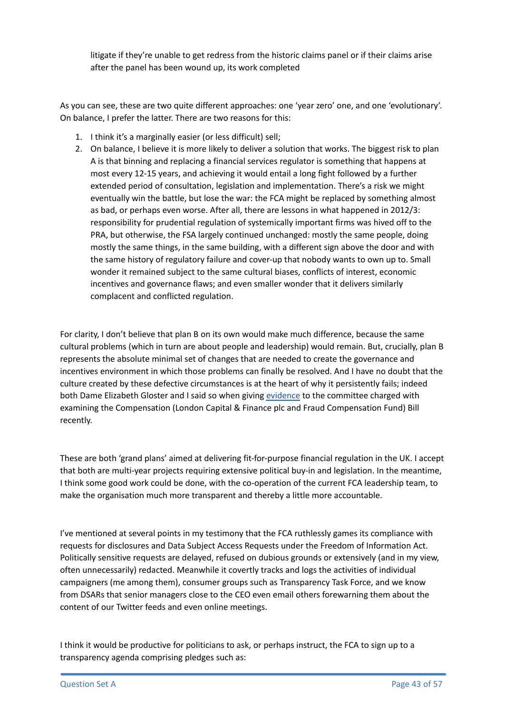litigate if they're unable to get redress from the historic claims panel or if their claims arise after the panel has been wound up, its work completed

As you can see, these are two quite different approaches: one 'year zero' one, and one 'evolutionary'. On balance, I prefer the latter. There are two reasons for this:

- 1. I think it's a marginally easier (or less difficult) sell;
- 2. On balance, I believe it is more likely to deliver a solution that works. The biggest risk to plan A is that binning and replacing a financial services regulator is something that happens at most every 12-15 years, and achieving it would entail a long fight followed by a further extended period of consultation, legislation and implementation. There's a risk we might eventually win the battle, but lose the war: the FCA might be replaced by something almost as bad, or perhaps even worse. After all, there are lessons in what happened in 2012/3: responsibility for prudential regulation of systemically important firms was hived off to the PRA, but otherwise, the FSA largely continued unchanged: mostly the same people, doing mostly the same things, in the same building, with a different sign above the door and with the same history of regulatory failure and cover-up that nobody wants to own up to. Small wonder it remained subject to the same cultural biases, conflicts of interest, economic incentives and governance flaws; and even smaller wonder that it delivers similarly complacent and conflicted regulation.

For clarity, I don't believe that plan B on its own would make much difference, because the same cultural problems (which in turn are about people and leadership) would remain. But, crucially, plan B represents the absolute minimal set of changes that are needed to create the governance and incentives environment in which those problems can finally be resolved. And I have no doubt that the culture created by these defective circumstances is at the heart of why it persistently fails; indeed both Dame Elizabeth Gloster and I said so when giving [evidence](https://hansard.parliament.uk/commons/2021-06-15/debates/0f94eb94-b4b1-4439-8857-989412739b85/Compensation(LondonCapitalAndFinancePlcAndFraudCompensationFund)Bill(FirstSitting)) to the committee charged with examining the Compensation (London Capital & Finance plc and Fraud Compensation Fund) Bill recently.

These are both 'grand plans' aimed at delivering fit-for-purpose financial regulation in the UK. I accept that both are multi-year projects requiring extensive political buy-in and legislation. In the meantime, I think some good work could be done, with the co-operation of the current FCA leadership team, to make the organisation much more transparent and thereby a little more accountable.

I've mentioned at several points in my testimony that the FCA ruthlessly games its compliance with requests for disclosures and Data Subject Access Requests under the Freedom of Information Act. Politically sensitive requests are delayed, refused on dubious grounds or extensively (and in my view, often unnecessarily) redacted. Meanwhile it covertly tracks and logs the activities of individual campaigners (me among them), consumer groups such as Transparency Task Force, and we know from DSARs that senior managers close to the CEO even email others forewarning them about the content of our Twitter feeds and even online meetings.

I think it would be productive for politicians to ask, or perhaps instruct, the FCA to sign up to a transparency agenda comprising pledges such as: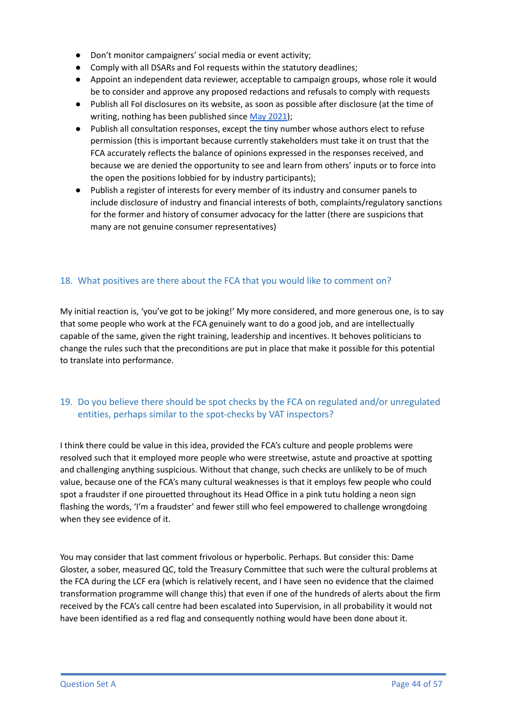- Don't monitor campaigners' social media or event activity;
- Comply with all DSARs and FoI requests within the statutory deadlines;
- Appoint an independent data reviewer, acceptable to campaign groups, whose role it would be to consider and approve any proposed redactions and refusals to comply with requests
- Publish all FoI disclosures on its website, as soon as possible after disclosure (at the time of writing, nothing has been published since May [2021\)](https://www.fca.org.uk/freedom-information/disclosure-log);
- Publish all consultation responses, except the tiny number whose authors elect to refuse permission (this is important because currently stakeholders must take it on trust that the FCA accurately reflects the balance of opinions expressed in the responses received, and because we are denied the opportunity to see and learn from others' inputs or to force into the open the positions lobbied for by industry participants);
- Publish a register of interests for every member of its industry and consumer panels to include disclosure of industry and financial interests of both, complaints/regulatory sanctions for the former and history of consumer advocacy for the latter (there are suspicions that many are not genuine consumer representatives)

### 18. What positives are there about the FCA that you would like to comment on?

My initial reaction is, 'you've got to be joking!' My more considered, and more generous one, is to say that some people who work at the FCA genuinely want to do a good job, and are intellectually capable of the same, given the right training, leadership and incentives. It behoves politicians to change the rules such that the preconditions are put in place that make it possible for this potential to translate into performance.

## 19. Do you believe there should be spot checks by the FCA on regulated and/or unregulated entities, perhaps similar to the spot-checks by VAT inspectors?

I think there could be value in this idea, provided the FCA's culture and people problems were resolved such that it employed more people who were streetwise, astute and proactive at spotting and challenging anything suspicious. Without that change, such checks are unlikely to be of much value, because one of the FCA's many cultural weaknesses is that it employs few people who could spot a fraudster if one pirouetted throughout its Head Office in a pink tutu holding a neon sign flashing the words, 'I'm a fraudster' and fewer still who feel empowered to challenge wrongdoing when they see evidence of it.

You may consider that last comment frivolous or hyperbolic. Perhaps. But consider this: Dame Gloster, a sober, measured QC, told the Treasury Committee that such were the cultural problems at the FCA during the LCF era (which is relatively recent, and I have seen no evidence that the claimed transformation programme will change this) that even if one of the hundreds of alerts about the firm received by the FCA's call centre had been escalated into Supervision, in all probability it would not have been identified as a red flag and consequently nothing would have been done about it.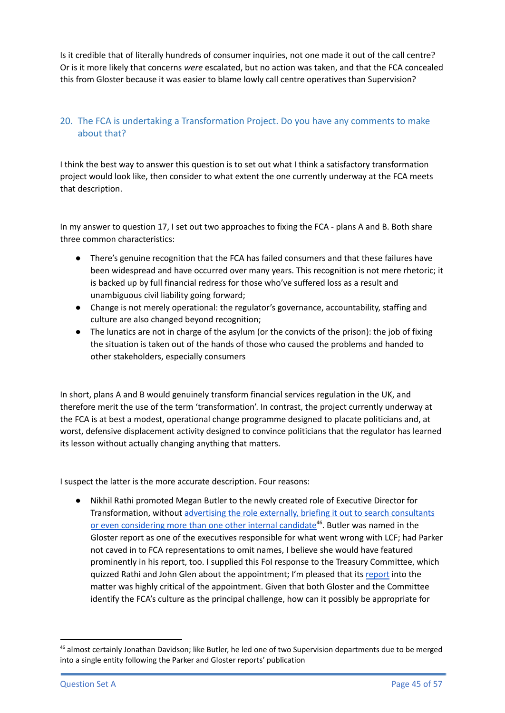Is it credible that of literally hundreds of consumer inquiries, not one made it out of the call centre? Or is it more likely that concerns *were* escalated, but no action was taken, and that the FCA concealed this from Gloster because it was easier to blame lowly call centre operatives than Supervision?

## 20. The FCA is undertaking a Transformation Project. Do you have any comments to make about that?

I think the best way to answer this question is to set out what I think a satisfactory transformation project would look like, then consider to what extent the one currently underway at the FCA meets that description.

In my answer to question 17, I set out two approaches to fixing the FCA - plans A and B. Both share three common characteristics:

- There's genuine recognition that the FCA has failed consumers and that these failures have been widespread and have occurred over many years. This recognition is not mere rhetoric; it is backed up by full financial redress for those who've suffered loss as a result and unambiguous civil liability going forward;
- Change is not merely operational: the regulator's governance, accountability, staffing and culture are also changed beyond recognition;
- The lunatics are not in charge of the asylum (or the convicts of the prison): the job of fixing the situation is taken out of the hands of those who caused the problems and handed to other stakeholders, especially consumers

In short, plans A and B would genuinely transform financial services regulation in the UK, and therefore merit the use of the term 'transformation'. In contrast, the project currently underway at the FCA is at best a modest, operational change programme designed to placate politicians and, at worst, defensive displacement activity designed to convince politicians that the regulator has learned its lesson without actually changing anything that matters.

I suspect the latter is the more accurate description. Four reasons:

Nikhil Rathi promoted Megan Butler to the newly created role of Executive Director for Transformation, without advertising the role externally, briefing it out to search [consultants](https://drive.google.com/file/d/19rJpelCu5aGnWsgRbo8bsbptHF-WMieP/view?usp=sharing) or even [considering](https://drive.google.com/file/d/19rJpelCu5aGnWsgRbo8bsbptHF-WMieP/view?usp=sharing) more than one other internal candidate<sup>46</sup>. Butler was named in the Gloster report as one of the executives responsible for what went wrong with LCF; had Parker not caved in to FCA representations to omit names, I believe she would have featured prominently in his report, too. I supplied this FoI response to the Treasury Committee, which quizzed Rathi and John Glen about the appointment; I'm pleased that its [report](https://committees.parliament.uk/publications/6397/documents/70132/default/) into the matter was highly critical of the appointment. Given that both Gloster and the Committee identify the FCA's culture as the principal challenge, how can it possibly be appropriate for

<sup>&</sup>lt;sup>46</sup> almost certainly Jonathan Davidson; like Butler, he led one of two Supervision departments due to be merged into a single entity following the Parker and Gloster reports' publication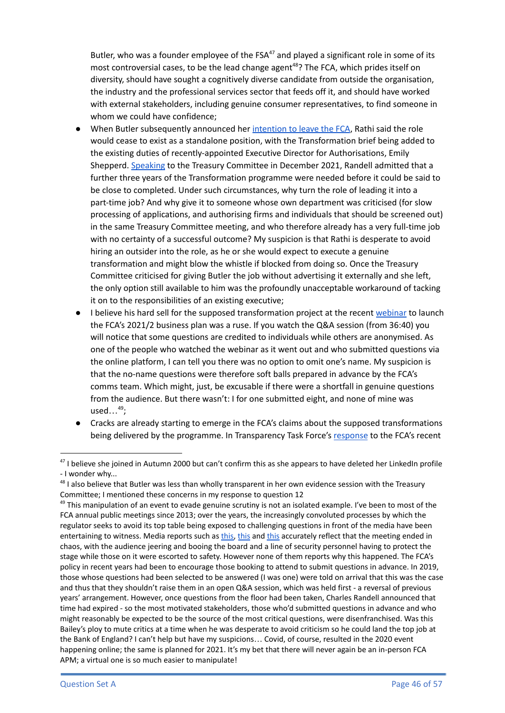Butler, who was a founder employee of the FSA<sup>47</sup> and played a significant role in some of its most controversial cases, to be the lead change agent<sup>48</sup>? The FCA, which prides itself on diversity, should have sought a cognitively diverse candidate from outside the organisation, the industry and the professional services sector that feeds off it, and should have worked with external stakeholders, including genuine consumer representatives, to find someone in whom we could have confidence;

- When Butler subsequently announced her [intention](https://citywire.com/new-model-adviser/news/megan-butler-to-leave-fca-next-year/a1592527) to leave the FCA, Rathi said the role would cease to exist as a standalone position, with the Transformation brief being added to the existing duties of recently-appointed Executive Director for Authorisations, Emily Shepperd. [Speaking](https://committees.parliament.uk/oralevidence/3177/pdf/) to the Treasury Committee in December 2021, Randell admitted that a further three years of the Transformation programme were needed before it could be said to be close to completed. Under such circumstances, why turn the role of leading it into a part-time job? And why give it to someone whose own department was criticised (for slow processing of applications, and authorising firms and individuals that should be screened out) in the same Treasury Committee meeting, and who therefore already has a very full-time job with no certainty of a successful outcome? My suspicion is that Rathi is desperate to avoid hiring an outsider into the role, as he or she would expect to execute a genuine transformation and might blow the whistle if blocked from doing so. Once the Treasury Committee criticised for giving Butler the job without advertising it externally and she left, the only option still available to him was the profoundly unacceptable workaround of tacking it on to the responsibilities of an existing executive;
- I believe his hard sell for the supposed transformation project at the recent [webinar](https://webinars.fca.org.uk/the-fcas-role-and-business-plan/room) to launch the FCA's 2021/2 business plan was a ruse. If you watch the Q&A session (from 36:40) you will notice that some questions are credited to individuals while others are anonymised. As one of the people who watched the webinar as it went out and who submitted questions via the online platform, I can tell you there was no option to omit one's name. My suspicion is that the no-name questions were therefore soft balls prepared in advance by the FCA's comms team. Which might, just, be excusable if there were a shortfall in genuine questions from the audience. But there wasn't: I for one submitted eight, and none of mine was used…<sup>49</sup> ;
- Cracks are already starting to emerge in the FCA's claims about the supposed transformations being delivered by the programme. In Transparency Task Force's [response](https://www.transparencytaskforce.org/wp-content/uploads/2021/09/DP21_2_-Diversity-and-inclusion-in-the-financial-sector.pdf) to the FCA's recent

<sup>&</sup>lt;sup>47</sup> I believe she joined in Autumn 2000 but can't confirm this as she appears to have deleted her LinkedIn profile - I wonder why...

<sup>&</sup>lt;sup>48</sup> I also believe that Butler was less than wholly transparent in her own evidence session with the Treasury Committee; I mentioned these concerns in my response to question 12

<sup>&</sup>lt;sup>49</sup> This manipulation of an event to evade genuine scrutiny is not an isolated example. I've been to most of the FCA annual public meetings since 2013; over the years, the increasingly convoluted processes by which the regulator seeks to avoid its top table being exposed to challenging questions in front of the media have been entertaining to witness. Media reports such as [this,](https://www.thetimes.co.uk/article/andrew-bailey-jeered-at-during-public-meeting-s2lfrw3cx) [this](https://citywire.co.uk/wealth-manager/news/investors-heckle-fca-boss-as-lcf-anger-boils-over/a1251178) and this accurately reflect that the meeting ended in chaos, with the audience jeering and booing the board and a line of security personnel having to protect the stage while those on it were escorted to safety. However none of them reports why this happened. The FCA's policy in recent years had been to encourage those booking to attend to submit questions in advance. In 2019, those whose questions had been selected to be answered (I was one) were told on arrival that this was the case and thus that they shouldn't raise them in an open Q&A session, which was held first - a reversal of previous years' arrangement. However, once questions from the floor had been taken, Charles Randell announced that time had expired - so the most motivated stakeholders, those who'd submitted questions in advance and who might reasonably be expected to be the source of the most critical questions, were disenfranchised. Was this Bailey's ploy to mute critics at a time when he was desperate to avoid criticism so he could land the top job at the Bank of England? I can't help but have my suspicions… Covid, of course, resulted in the 2020 event happening online; the same is planned for 2021. It's my bet that there will never again be an in-person FCA APM; a virtual one is so much easier to manipulate!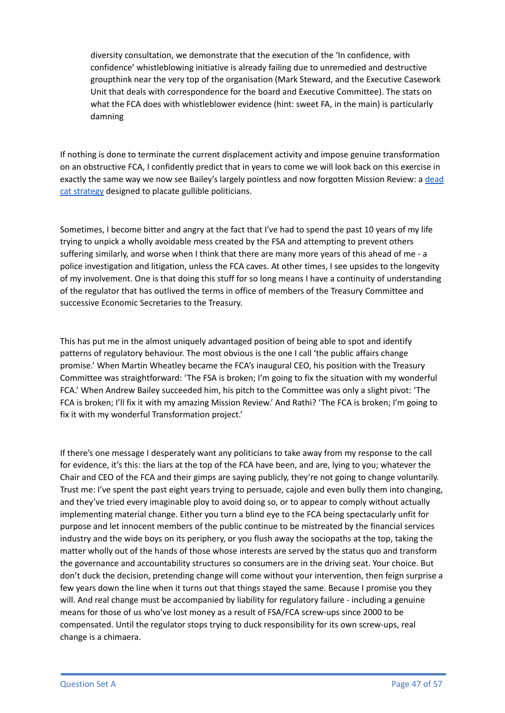diversity consultation, we demonstrate that the execution of the 'In confidence, with confidence' whistleblowing initiative is already failing due to unremedied and destructive groupthink near the very top of the organisation (Mark Steward, and the Executive Casework Unit that deals with correspondence for the board and Executive Committee). The stats on what the FCA does with whistleblower evidence (hint: sweet FA, in the main) is particularly damning

If nothing is done to terminate the current displacement activity and impose genuine transformation on an obstructive FCA, I confidently predict that in years to come we will look back on this exercise in exactly the same way we now see Bailey's largely pointless and now forgotten Mission Review: a [dead](https://en.wikipedia.org/wiki/Dead_cat_strategy#:~:text=The%20dead%20cat%20strategy%2C%20or,Australian%20political%20strategist%20Lynton%20Crosby.) cat [strategy](https://en.wikipedia.org/wiki/Dead_cat_strategy#:~:text=The%20dead%20cat%20strategy%2C%20or,Australian%20political%20strategist%20Lynton%20Crosby.) designed to placate gullible politicians.

Sometimes, I become bitter and angry at the fact that I've had to spend the past 10 years of my life trying to unpick a wholly avoidable mess created by the FSA and attempting to prevent others suffering similarly, and worse when I think that there are many more years of this ahead of me - a police investigation and litigation, unless the FCA caves. At other times, I see upsides to the longevity of my involvement. One is that doing this stuff for so long means I have a continuity of understanding of the regulator that has outlived the terms in office of members of the Treasury Committee and successive Economic Secretaries to the Treasury.

This has put me in the almost uniquely advantaged position of being able to spot and identify patterns of regulatory behaviour. The most obvious is the one I call 'the public affairs change promise.' When Martin Wheatley became the FCA's inaugural CEO, his position with the Treasury Committee was straightforward: 'The FSA is broken; I'm going to fix the situation with my wonderful FCA.' When Andrew Bailey succeeded him, his pitch to the Committee was only a slight pivot: 'The FCA is broken; I'll fix it with my amazing Mission Review.' And Rathi? 'The FCA is broken; I'm going to fix it with my wonderful Transformation project.'

If there's one message I desperately want any politicians to take away from my response to the call for evidence, it's this: the liars at the top of the FCA have been, and are, lying to you; whatever the Chair and CEO of the FCA and their gimps are saying publicly, they're not going to change voluntarily. Trust me: I've spent the past eight years trying to persuade, cajole and even bully them into changing, and they've tried every imaginable ploy to avoid doing so, or to appear to comply without actually implementing material change. Either you turn a blind eye to the FCA being spectacularly unfit for purpose and let innocent members of the public continue to be mistreated by the financial services industry and the wide boys on its periphery, or you flush away the sociopaths at the top, taking the matter wholly out of the hands of those whose interests are served by the status quo and transform the governance and accountability structures so consumers are in the driving seat. Your choice. But don't duck the decision, pretending change will come without your intervention, then feign surprise a few years down the line when it turns out that things stayed the same. Because I promise you they will. And real change must be accompanied by liability for regulatory failure - including a genuine means for those of us who've lost money as a result of FSA/FCA screw-ups since 2000 to be compensated. Until the regulator stops trying to duck responsibility for its own screw-ups, real change is a chimaera.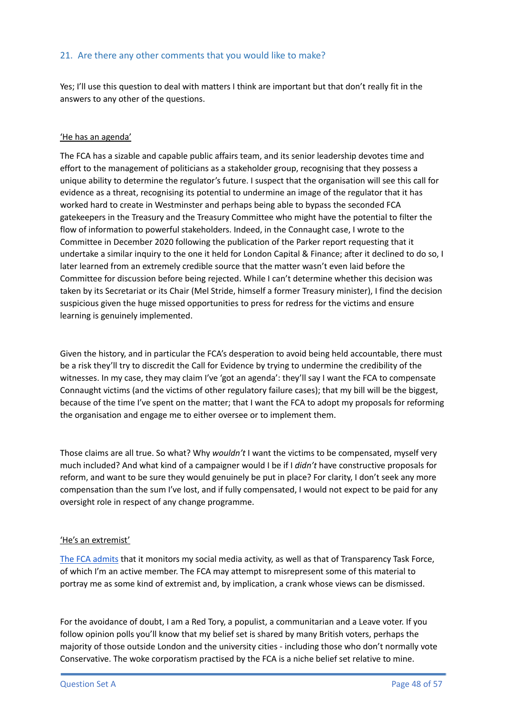## 21. Are there any other comments that you would like to make?

Yes; I'll use this question to deal with matters I think are important but that don't really fit in the answers to any other of the questions.

#### 'He has an agenda'

The FCA has a sizable and capable public affairs team, and its senior leadership devotes time and effort to the management of politicians as a stakeholder group, recognising that they possess a unique ability to determine the regulator's future. I suspect that the organisation will see this call for evidence as a threat, recognising its potential to undermine an image of the regulator that it has worked hard to create in Westminster and perhaps being able to bypass the seconded FCA gatekeepers in the Treasury and the Treasury Committee who might have the potential to filter the flow of information to powerful stakeholders. Indeed, in the Connaught case, I wrote to the Committee in December 2020 following the publication of the Parker report requesting that it undertake a similar inquiry to the one it held for London Capital & Finance; after it declined to do so, I later learned from an extremely credible source that the matter wasn't even laid before the Committee for discussion before being rejected. While I can't determine whether this decision was taken by its Secretariat or its Chair (Mel Stride, himself a former Treasury minister), I find the decision suspicious given the huge missed opportunities to press for redress for the victims and ensure learning is genuinely implemented.

Given the history, and in particular the FCA's desperation to avoid being held accountable, there must be a risk they'll try to discredit the Call for Evidence by trying to undermine the credibility of the witnesses. In my case, they may claim I've 'got an agenda': they'll say I want the FCA to compensate Connaught victims (and the victims of other regulatory failure cases); that my bill will be the biggest, because of the time I've spent on the matter; that I want the FCA to adopt my proposals for reforming the organisation and engage me to either oversee or to implement them.

Those claims are all true. So what? Why *wouldn't* I want the victims to be compensated, myself very much included? And what kind of a campaigner would I be if I *didn't* have constructive proposals for reform, and want to be sure they would genuinely be put in place? For clarity, I don't seek any more compensation than the sum I've lost, and if fully compensated, I would not expect to be paid for any oversight role in respect of any change programme.

#### 'He's an extremist'

The FCA [admits](https://drive.google.com/file/d/1Nq-0GhjfLSQjZUus9b-HUyHUs-SMt6Vu/view?usp=sharing) that it monitors my social media activity, as well as that of Transparency Task Force, of which I'm an active member. The FCA may attempt to misrepresent some of this material to portray me as some kind of extremist and, by implication, a crank whose views can be dismissed.

For the avoidance of doubt, I am a Red Tory, a populist, a communitarian and a Leave voter. If you follow opinion polls you'll know that my belief set is shared by many British voters, perhaps the majority of those outside London and the university cities - including those who don't normally vote Conservative. The woke corporatism practised by the FCA is a niche belief set relative to mine.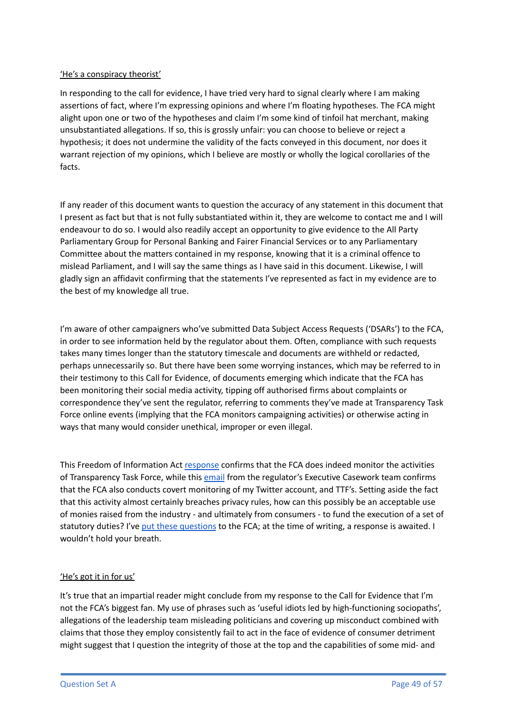#### 'He's a conspiracy theorist'

In responding to the call for evidence, I have tried very hard to signal clearly where I am making assertions of fact, where I'm expressing opinions and where I'm floating hypotheses. The FCA might alight upon one or two of the hypotheses and claim I'm some kind of tinfoil hat merchant, making unsubstantiated allegations. If so, this is grossly unfair: you can choose to believe or reject a hypothesis; it does not undermine the validity of the facts conveyed in this document, nor does it warrant rejection of my opinions, which I believe are mostly or wholly the logical corollaries of the facts.

If any reader of this document wants to question the accuracy of any statement in this document that I present as fact but that is not fully substantiated within it, they are welcome to contact me and I will endeavour to do so. I would also readily accept an opportunity to give evidence to the All Party Parliamentary Group for Personal Banking and Fairer Financial Services or to any Parliamentary Committee about the matters contained in my response, knowing that it is a criminal offence to mislead Parliament, and I will say the same things as I have said in this document. Likewise, I will gladly sign an affidavit confirming that the statements I've represented as fact in my evidence are to the best of my knowledge all true.

I'm aware of other campaigners who've submitted Data Subject Access Requests ('DSARs') to the FCA, in order to see information held by the regulator about them. Often, compliance with such requests takes many times longer than the statutory timescale and documents are withheld or redacted, perhaps unnecessarily so. But there have been some worrying instances, which may be referred to in their testimony to this Call for Evidence, of documents emerging which indicate that the FCA has been monitoring their social media activity, tipping off authorised firms about complaints or correspondence they've sent the regulator, referring to comments they've made at Transparency Task Force online events (implying that the FCA monitors campaigning activities) or otherwise acting in ways that many would consider unethical, improper or even illegal.

This Freedom of Information Act [response](https://drive.google.com/file/d/1M4JIsOcrs1Gpg8zGzpKeehhFVsoZ5mQ6/view?usp=sharing) confirms that the FCA does indeed monitor the activities of Transparency Task Force, while this [email](https://drive.google.com/file/d/1Nq-0GhjfLSQjZUus9b-HUyHUs-SMt6Vu/view?usp=sharing) from the regulator's Executive Casework team confirms that the FCA also conducts covert monitoring of my Twitter account, and TTF's. Setting aside the fact that this activity almost certainly breaches privacy rules, how can this possibly be an acceptable use of monies raised from the industry - and ultimately from consumers - to fund the execution of a set of statutory duties? I've put these [questions](https://drive.google.com/file/d/1P3EKsPoikk-xwplOqqDtz_0W_bRO7L43/view?usp=sharing) to the FCA; at the time of writing, a response is awaited. I wouldn't hold your breath.

#### 'He's got it in for us'

It's true that an impartial reader might conclude from my response to the Call for Evidence that I'm not the FCA's biggest fan. My use of phrases such as 'useful idiots led by high-functioning sociopaths', allegations of the leadership team misleading politicians and covering up misconduct combined with claims that those they employ consistently fail to act in the face of evidence of consumer detriment might suggest that I question the integrity of those at the top and the capabilities of some mid- and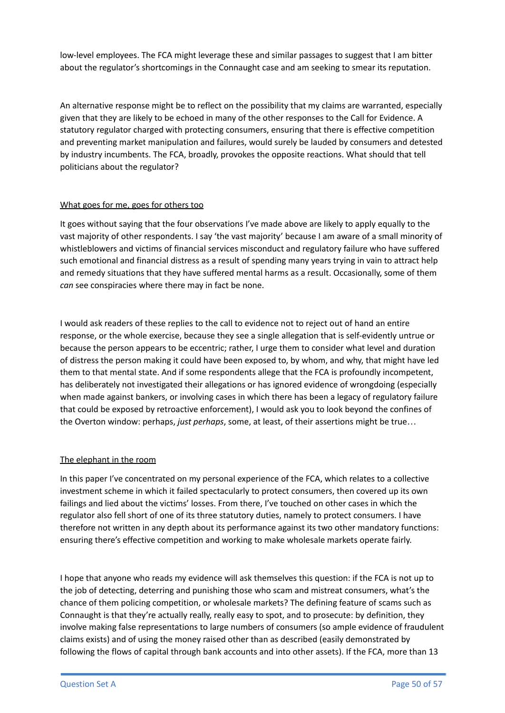low-level employees. The FCA might leverage these and similar passages to suggest that I am bitter about the regulator's shortcomings in the Connaught case and am seeking to smear its reputation.

An alternative response might be to reflect on the possibility that my claims are warranted, especially given that they are likely to be echoed in many of the other responses to the Call for Evidence. A statutory regulator charged with protecting consumers, ensuring that there is effective competition and preventing market manipulation and failures, would surely be lauded by consumers and detested by industry incumbents. The FCA, broadly, provokes the opposite reactions. What should that tell politicians about the regulator?

#### What goes for me, goes for others too

It goes without saying that the four observations I've made above are likely to apply equally to the vast majority of other respondents. I say 'the vast majority' because I am aware of a small minority of whistleblowers and victims of financial services misconduct and regulatory failure who have suffered such emotional and financial distress as a result of spending many years trying in vain to attract help and remedy situations that they have suffered mental harms as a result. Occasionally, some of them *can* see conspiracies where there may in fact be none.

I would ask readers of these replies to the call to evidence not to reject out of hand an entire response, or the whole exercise, because they see a single allegation that is self-evidently untrue or because the person appears to be eccentric; rather, I urge them to consider what level and duration of distress the person making it could have been exposed to, by whom, and why, that might have led them to that mental state. And if some respondents allege that the FCA is profoundly incompetent, has deliberately not investigated their allegations or has ignored evidence of wrongdoing (especially when made against bankers, or involving cases in which there has been a legacy of regulatory failure that could be exposed by retroactive enforcement), I would ask you to look beyond the confines of the Overton window: perhaps, *just perhaps*, some, at least, of their assertions might be true…

### The elephant in the room

In this paper I've concentrated on my personal experience of the FCA, which relates to a collective investment scheme in which it failed spectacularly to protect consumers, then covered up its own failings and lied about the victims' losses. From there, I've touched on other cases in which the regulator also fell short of one of its three statutory duties, namely to protect consumers. I have therefore not written in any depth about its performance against its two other mandatory functions: ensuring there's effective competition and working to make wholesale markets operate fairly.

I hope that anyone who reads my evidence will ask themselves this question: if the FCA is not up to the job of detecting, deterring and punishing those who scam and mistreat consumers, what's the chance of them policing competition, or wholesale markets? The defining feature of scams such as Connaught is that they're actually really, really easy to spot, and to prosecute: by definition, they involve making false representations to large numbers of consumers (so ample evidence of fraudulent claims exists) and of using the money raised other than as described (easily demonstrated by following the flows of capital through bank accounts and into other assets). If the FCA, more than 13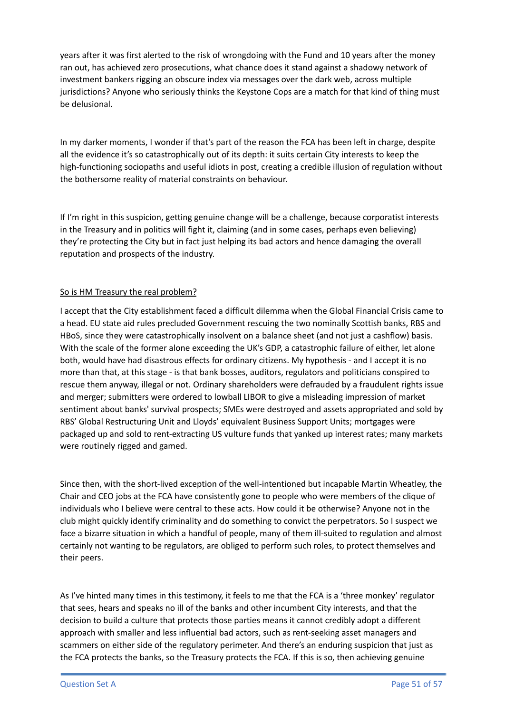years after it was first alerted to the risk of wrongdoing with the Fund and 10 years after the money ran out, has achieved zero prosecutions, what chance does it stand against a shadowy network of investment bankers rigging an obscure index via messages over the dark web, across multiple jurisdictions? Anyone who seriously thinks the Keystone Cops are a match for that kind of thing must be delusional.

In my darker moments, I wonder if that's part of the reason the FCA has been left in charge, despite all the evidence it's so catastrophically out of its depth: it suits certain City interests to keep the high-functioning sociopaths and useful idiots in post, creating a credible illusion of regulation without the bothersome reality of material constraints on behaviour.

If I'm right in this suspicion, getting genuine change will be a challenge, because corporatist interests in the Treasury and in politics will fight it, claiming (and in some cases, perhaps even believing) they're protecting the City but in fact just helping its bad actors and hence damaging the overall reputation and prospects of the industry.

#### So is HM Treasury the real problem?

I accept that the City establishment faced a difficult dilemma when the Global Financial Crisis came to a head. EU state aid rules precluded Government rescuing the two nominally Scottish banks, RBS and HBoS, since they were catastrophically insolvent on a balance sheet (and not just a cashflow) basis. With the scale of the former alone exceeding the UK's GDP, a catastrophic failure of either, let alone both, would have had disastrous effects for ordinary citizens. My hypothesis - and I accept it is no more than that, at this stage - is that bank bosses, auditors, regulators and politicians conspired to rescue them anyway, illegal or not. Ordinary shareholders were defrauded by a fraudulent rights issue and merger; submitters were ordered to lowball LIBOR to give a misleading impression of market sentiment about banks' survival prospects; SMEs were destroyed and assets appropriated and sold by RBS' Global Restructuring Unit and Lloyds' equivalent Business Support Units; mortgages were packaged up and sold to rent-extracting US vulture funds that yanked up interest rates; many markets were routinely rigged and gamed.

Since then, with the short-lived exception of the well-intentioned but incapable Martin Wheatley, the Chair and CEO jobs at the FCA have consistently gone to people who were members of the clique of individuals who I believe were central to these acts. How could it be otherwise? Anyone not in the club might quickly identify criminality and do something to convict the perpetrators. So I suspect we face a bizarre situation in which a handful of people, many of them ill-suited to regulation and almost certainly not wanting to be regulators, are obliged to perform such roles, to protect themselves and their peers.

As I've hinted many times in this testimony, it feels to me that the FCA is a 'three monkey' regulator that sees, hears and speaks no ill of the banks and other incumbent City interests, and that the decision to build a culture that protects those parties means it cannot credibly adopt a different approach with smaller and less influential bad actors, such as rent-seeking asset managers and scammers on either side of the regulatory perimeter. And there's an enduring suspicion that just as the FCA protects the banks, so the Treasury protects the FCA. If this is so, then achieving genuine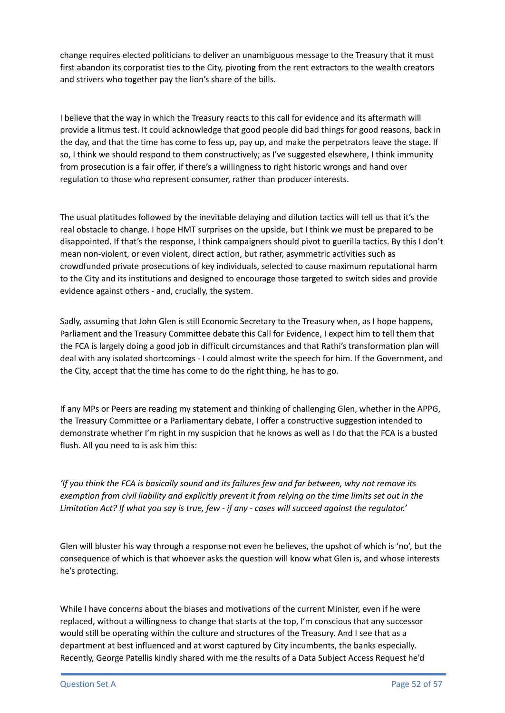change requires elected politicians to deliver an unambiguous message to the Treasury that it must first abandon its corporatist ties to the City, pivoting from the rent extractors to the wealth creators and strivers who together pay the lion's share of the bills.

I believe that the way in which the Treasury reacts to this call for evidence and its aftermath will provide a litmus test. It could acknowledge that good people did bad things for good reasons, back in the day, and that the time has come to fess up, pay up, and make the perpetrators leave the stage. If so, I think we should respond to them constructively; as I've suggested elsewhere, I think immunity from prosecution is a fair offer, if there's a willingness to right historic wrongs and hand over regulation to those who represent consumer, rather than producer interests.

The usual platitudes followed by the inevitable delaying and dilution tactics will tell us that it's the real obstacle to change. I hope HMT surprises on the upside, but I think we must be prepared to be disappointed. If that's the response, I think campaigners should pivot to guerilla tactics. By this I don't mean non-violent, or even violent, direct action, but rather, asymmetric activities such as crowdfunded private prosecutions of key individuals, selected to cause maximum reputational harm to the City and its institutions and designed to encourage those targeted to switch sides and provide evidence against others - and, crucially, the system.

Sadly, assuming that John Glen is still Economic Secretary to the Treasury when, as I hope happens, Parliament and the Treasury Committee debate this Call for Evidence, I expect him to tell them that the FCA is largely doing a good job in difficult circumstances and that Rathi's transformation plan will deal with any isolated shortcomings - I could almost write the speech for him. If the Government, and the City, accept that the time has come to do the right thing, he has to go.

If any MPs or Peers are reading my statement and thinking of challenging Glen, whether in the APPG, the Treasury Committee or a Parliamentary debate, I offer a constructive suggestion intended to demonstrate whether I'm right in my suspicion that he knows as well as I do that the FCA is a busted flush. All you need to is ask him this:

'If you think the FCA is basically sound and its failures few and far between, why not remove its exemption from civil liability and explicitly prevent it from relying on the time limits set out in the Limitation Act? If what you say is true, few - if any - cases will succeed against the regulator.'

Glen will bluster his way through a response not even he believes, the upshot of which is 'no', but the consequence of which is that whoever asks the question will know what Glen is, and whose interests he's protecting.

While I have concerns about the biases and motivations of the current Minister, even if he were replaced, without a willingness to change that starts at the top, I'm conscious that any successor would still be operating within the culture and structures of the Treasury. And I see that as a department at best influenced and at worst captured by City incumbents, the banks especially. Recently, George Patellis kindly shared with me the results of a Data Subject Access Request he'd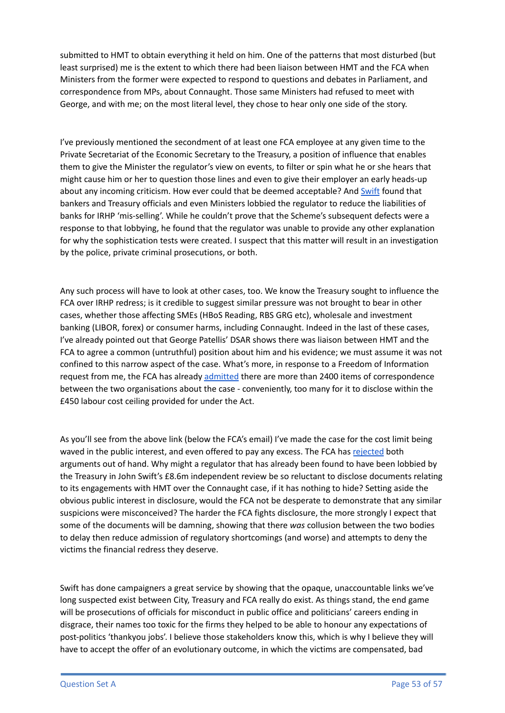submitted to HMT to obtain everything it held on him. One of the patterns that most disturbed (but least surprised) me is the extent to which there had been liaison between HMT and the FCA when Ministers from the former were expected to respond to questions and debates in Parliament, and correspondence from MPs, about Connaught. Those same Ministers had refused to meet with George, and with me; on the most literal level, they chose to hear only one side of the story.

I've previously mentioned the secondment of at least one FCA employee at any given time to the Private Secretariat of the Economic Secretary to the Treasury, a position of influence that enables them to give the Minister the regulator's view on events, to filter or spin what he or she hears that might cause him or her to question those lines and even to give their employer an early heads-up about any incoming criticism. How ever could that be deemed acceptable? And [Swift](https://www.fca.org.uk/publication/corporate/independent-review-of-interest-rate-hedging-products-final-report.pdf) found that bankers and Treasury officials and even Ministers lobbied the regulator to reduce the liabilities of banks for IRHP 'mis-selling'. While he couldn't prove that the Scheme's subsequent defects were a response to that lobbying, he found that the regulator was unable to provide any other explanation for why the sophistication tests were created. I suspect that this matter will result in an investigation by the police, private criminal prosecutions, or both.

Any such process will have to look at other cases, too. We know the Treasury sought to influence the FCA over IRHP redress; is it credible to suggest similar pressure was not brought to bear in other cases, whether those affecting SMEs (HBoS Reading, RBS GRG etc), wholesale and investment banking (LIBOR, forex) or consumer harms, including Connaught. Indeed in the last of these cases, I've already pointed out that George Patellis' DSAR shows there was liaison between HMT and the FCA to agree a common (untruthful) position about him and his evidence; we must assume it was not confined to this narrow aspect of the case. What's more, in response to a Freedom of Information request from me, the FCA has already [admitted](https://drive.google.com/file/d/1M3k1zyxhTBf_4sGY6n-FSgxgwHeyfycS/view?usp=sharing) there are more than 2400 items of correspondence between the two organisations about the case - conveniently, too many for it to disclose within the £450 labour cost ceiling provided for under the Act.

As you'll see from the above link (below the FCA's email) I've made the case for the cost limit being waved in the public interest, and even offered to pay any excess. The FCA has [rejected](https://drive.google.com/file/d/1EXsYKaSo5lTt-23Ep0Nkz3NKkis5sN-x/view?usp=sharing) both arguments out of hand. Why might a regulator that has already been found to have been lobbied by the Treasury in John Swift's £8.6m independent review be so reluctant to disclose documents relating to its engagements with HMT over the Connaught case, if it has nothing to hide? Setting aside the obvious public interest in disclosure, would the FCA not be desperate to demonstrate that any similar suspicions were misconceived? The harder the FCA fights disclosure, the more strongly I expect that some of the documents will be damning, showing that there *was* collusion between the two bodies to delay then reduce admission of regulatory shortcomings (and worse) and attempts to deny the victims the financial redress they deserve.

Swift has done campaigners a great service by showing that the opaque, unaccountable links we've long suspected exist between City, Treasury and FCA really do exist. As things stand, the end game will be prosecutions of officials for misconduct in public office and politicians' careers ending in disgrace, their names too toxic for the firms they helped to be able to honour any expectations of post-politics 'thankyou jobs'. I believe those stakeholders know this, which is why I believe they will have to accept the offer of an evolutionary outcome, in which the victims are compensated, bad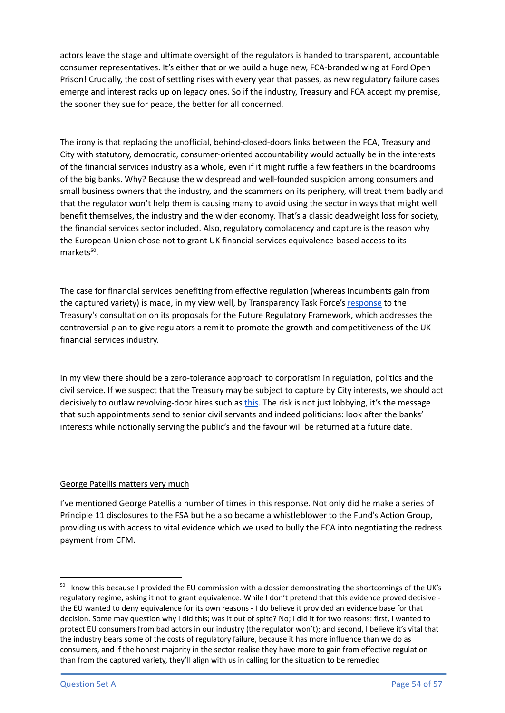actors leave the stage and ultimate oversight of the regulators is handed to transparent, accountable consumer representatives. It's either that or we build a huge new, FCA-branded wing at Ford Open Prison! Crucially, the cost of settling rises with every year that passes, as new regulatory failure cases emerge and interest racks up on legacy ones. So if the industry, Treasury and FCA accept my premise, the sooner they sue for peace, the better for all concerned.

The irony is that replacing the unofficial, behind-closed-doors links between the FCA, Treasury and City with statutory, democratic, consumer-oriented accountability would actually be in the interests of the financial services industry as a whole, even if it might ruffle a few feathers in the boardrooms of the big banks. Why? Because the widespread and well-founded suspicion among consumers and small business owners that the industry, and the scammers on its periphery, will treat them badly and that the regulator won't help them is causing many to avoid using the sector in ways that might well benefit themselves, the industry and the wider economy. That's a classic deadweight loss for society, the financial services sector included. Also, regulatory complacency and capture is the reason why the European Union chose not to grant UK financial services equivalence-based access to its markets<sup>50</sup>.

The case for financial services benefiting from effective regulation (whereas incumbents gain from the captured variety) is made, in my view well, by Transparency Task Force's [response](https://www.transparencytaskforce.org/wp-content/uploads/2022/02/TTF-Response-to-HM-Treasury-Proposals-on-the-Future-Regulatory-Framework.pdf) to the Treasury's consultation on its proposals for the Future Regulatory Framework, which addresses the controversial plan to give regulators a remit to promote the growth and competitiveness of the UK financial services industry.

In my view there should be a zero-tolerance approach to corporatism in regulation, politics and the civil service. If we suspect that the Treasury may be subject to capture by City interests, we should act decisively to outlaw revolving-door hires such as [this.](https://news.sky.com/story/threat-of-new-treasury-lobbying-row-as-top-official-braddick-quits-to-join-barclays-12400816) The risk is not just lobbying, it's the message that such appointments send to senior civil servants and indeed politicians: look after the banks' interests while notionally serving the public's and the favour will be returned at a future date.

#### George Patellis matters very much

I've mentioned George Patellis a number of times in this response. Not only did he make a series of Principle 11 disclosures to the FSA but he also became a whistleblower to the Fund's Action Group, providing us with access to vital evidence which we used to bully the FCA into negotiating the redress payment from CFM.

 $50$  I know this because I provided the EU commission with a dossier demonstrating the shortcomings of the UK's regulatory regime, asking it not to grant equivalence. While I don't pretend that this evidence proved decisive the EU wanted to deny equivalence for its own reasons - I do believe it provided an evidence base for that decision. Some may question why I did this; was it out of spite? No; I did it for two reasons: first, I wanted to protect EU consumers from bad actors in our industry (the regulator won't); and second, I believe it's vital that the industry bears some of the costs of regulatory failure, because it has more influence than we do as consumers, and if the honest majority in the sector realise they have more to gain from effective regulation than from the captured variety, they'll align with us in calling for the situation to be remedied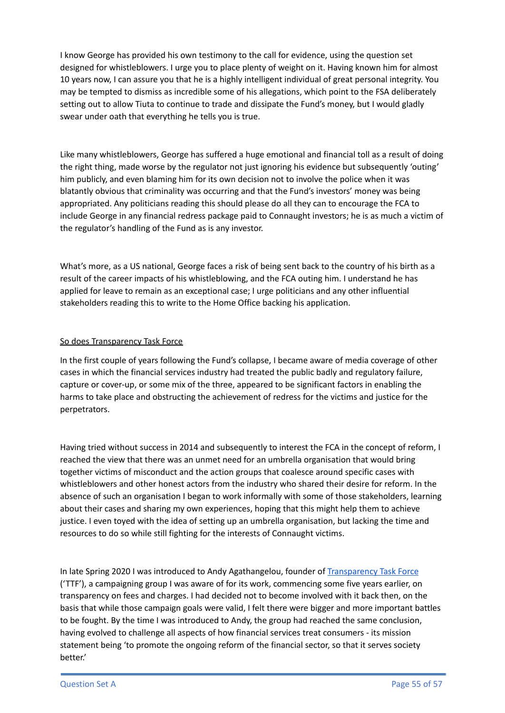I know George has provided his own testimony to the call for evidence, using the question set designed for whistleblowers. I urge you to place plenty of weight on it. Having known him for almost 10 years now, I can assure you that he is a highly intelligent individual of great personal integrity. You may be tempted to dismiss as incredible some of his allegations, which point to the FSA deliberately setting out to allow Tiuta to continue to trade and dissipate the Fund's money, but I would gladly swear under oath that everything he tells you is true.

Like many whistleblowers, George has suffered a huge emotional and financial toll as a result of doing the right thing, made worse by the regulator not just ignoring his evidence but subsequently 'outing' him publicly, and even blaming him for its own decision not to involve the police when it was blatantly obvious that criminality was occurring and that the Fund's investors' money was being appropriated. Any politicians reading this should please do all they can to encourage the FCA to include George in any financial redress package paid to Connaught investors; he is as much a victim of the regulator's handling of the Fund as is any investor.

What's more, as a US national, George faces a risk of being sent back to the country of his birth as a result of the career impacts of his whistleblowing, and the FCA outing him. I understand he has applied for leave to remain as an exceptional case; I urge politicians and any other influential stakeholders reading this to write to the Home Office backing his application.

#### So does Transparency Task Force

In the first couple of years following the Fund's collapse, I became aware of media coverage of other cases in which the financial services industry had treated the public badly and regulatory failure, capture or cover-up, or some mix of the three, appeared to be significant factors in enabling the harms to take place and obstructing the achievement of redress for the victims and justice for the perpetrators.

Having tried without success in 2014 and subsequently to interest the FCA in the concept of reform, I reached the view that there was an unmet need for an umbrella organisation that would bring together victims of misconduct and the action groups that coalesce around specific cases with whistleblowers and other honest actors from the industry who shared their desire for reform. In the absence of such an organisation I began to work informally with some of those stakeholders, learning about their cases and sharing my own experiences, hoping that this might help them to achieve justice. I even toyed with the idea of setting up an umbrella organisation, but lacking the time and resources to do so while still fighting for the interests of Connaught victims.

In late Spring 2020 I was introduced to Andy Agathangelou, founder of [Transparency](https://www.transparencytaskforce.org/) Task Force ('TTF'), a campaigning group I was aware of for its work, commencing some five years earlier, on transparency on fees and charges. I had decided not to become involved with it back then, on the basis that while those campaign goals were valid, I felt there were bigger and more important battles to be fought. By the time I was introduced to Andy, the group had reached the same conclusion, having evolved to challenge all aspects of how financial services treat consumers - its mission statement being 'to promote the ongoing reform of the financial sector, so that it serves society better.'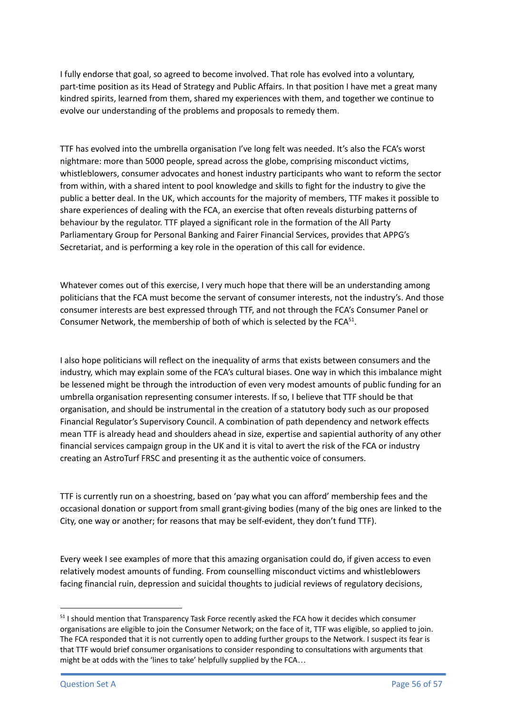I fully endorse that goal, so agreed to become involved. That role has evolved into a voluntary, part-time position as its Head of Strategy and Public Affairs. In that position I have met a great many kindred spirits, learned from them, shared my experiences with them, and together we continue to evolve our understanding of the problems and proposals to remedy them.

TTF has evolved into the umbrella organisation I've long felt was needed. It's also the FCA's worst nightmare: more than 5000 people, spread across the globe, comprising misconduct victims, whistleblowers, consumer advocates and honest industry participants who want to reform the sector from within, with a shared intent to pool knowledge and skills to fight for the industry to give the public a better deal. In the UK, which accounts for the majority of members, TTF makes it possible to share experiences of dealing with the FCA, an exercise that often reveals disturbing patterns of behaviour by the regulator. TTF played a significant role in the formation of the All Party Parliamentary Group for Personal Banking and Fairer Financial Services, provides that APPG's Secretariat, and is performing a key role in the operation of this call for evidence.

Whatever comes out of this exercise, I very much hope that there will be an understanding among politicians that the FCA must become the servant of consumer interests, not the industry's. And those consumer interests are best expressed through TTF, and not through the FCA's Consumer Panel or Consumer Network, the membership of both of which is selected by the FCA $^{51}$ .

I also hope politicians will reflect on the inequality of arms that exists between consumers and the industry, which may explain some of the FCA's cultural biases. One way in which this imbalance might be lessened might be through the introduction of even very modest amounts of public funding for an umbrella organisation representing consumer interests. If so, I believe that TTF should be that organisation, and should be instrumental in the creation of a statutory body such as our proposed Financial Regulator's Supervisory Council. A combination of path dependency and network effects mean TTF is already head and shoulders ahead in size, expertise and sapiential authority of any other financial services campaign group in the UK and it is vital to avert the risk of the FCA or industry creating an AstroTurf FRSC and presenting it as the authentic voice of consumers.

TTF is currently run on a shoestring, based on 'pay what you can afford' membership fees and the occasional donation or support from small grant-giving bodies (many of the big ones are linked to the City, one way or another; for reasons that may be self-evident, they don't fund TTF).

Every week I see examples of more that this amazing organisation could do, if given access to even relatively modest amounts of funding. From counselling misconduct victims and whistleblowers facing financial ruin, depression and suicidal thoughts to judicial reviews of regulatory decisions,

<sup>&</sup>lt;sup>51</sup> I should mention that Transparency Task Force recently asked the FCA how it decides which consumer organisations are eligible to join the Consumer Network; on the face of it, TTF was eligible, so applied to join. The FCA responded that it is not currently open to adding further groups to the Network. I suspect its fear is that TTF would brief consumer organisations to consider responding to consultations with arguments that might be at odds with the 'lines to take' helpfully supplied by the FCA…